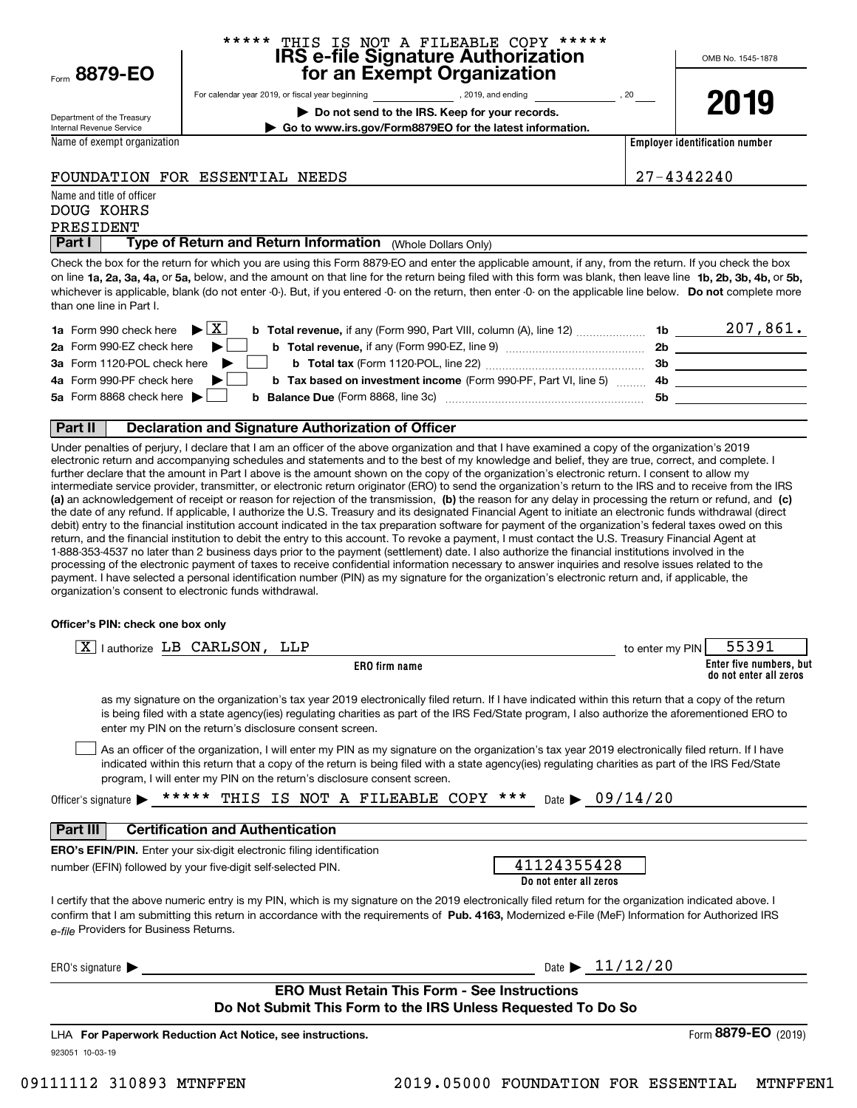| Form $8879 - EO$ |  |  |  |  |  |
|------------------|--|--|--|--|--|
|------------------|--|--|--|--|--|

### **IRS e-file Signature Authorization for an Exempt Organization** THIS IS NOT A FILEABLE COPY \*\*\*\*\*

OMB No. 1545-1878

Department of the Treasury Internal Revenue Service

For calendar year 2019, or fiscal year beginning and the state of the state of 2019, and ending calendary permu **| Do not send to the IRS. Keep for your records.**

**| Go to www.irs.gov/Form8879EO for the latest information.**

**2019**

Name of exempt organization

**Employer identification number**

## FOUNDATION FOR ESSENTIAL NEEDS 27-4342240

Name and title of officer PRESIDENT DOUG KOHRS

 (Whole Dollars Only) **Part I Type of Return and Return Information** 

on line **1a, 2a, 3a, 4a,** or **5a,** below, and the amount on that line for the return being filed with this form was blank, then leave line **1b, 2b, 3b, 4b,** or **5b,** whichever is applicable, blank (do not enter -0-). But, if you entered -0- on the return, then enter -0- on the applicable line below. **Do not** complete more Check the box for the return for which you are using this Form 8879-EO and enter the applicable amount, if any, from the return. If you check the box than one line in Part I.

| <b>1a</b> Form 990 check here $\triangleright$ $\boxed{\text{X}}$                                                            |    | 207,861. |
|------------------------------------------------------------------------------------------------------------------------------|----|----------|
| 2a Form 990-EZ check here $\blacktriangleright$<br><b>b</b> Total revenue, if any (Form 990-EZ, line 9) <i></i>              | 2b |          |
| 3a Form 1120-POL check here                                                                                                  | Зb |          |
| 4a Form 990-PF check here $\blacktriangleright$<br><b>b</b> Tax based on investment income (Form 990-PF, Part VI, line 5) 4b |    |          |
| 5a Form 8868 check here $\blacktriangleright$                                                                                | 5b |          |
|                                                                                                                              |    |          |

### **Part II Declaration and Signature Authorization of Officer**

**(a)** an acknowledgement of receipt or reason for rejection of the transmission, (b) the reason for any delay in processing the return or refund, and (c) Under penalties of perjury, I declare that I am an officer of the above organization and that I have examined a copy of the organization's 2019 electronic return and accompanying schedules and statements and to the best of my knowledge and belief, they are true, correct, and complete. I further declare that the amount in Part I above is the amount shown on the copy of the organization's electronic return. I consent to allow my intermediate service provider, transmitter, or electronic return originator (ERO) to send the organization's return to the IRS and to receive from the IRS the date of any refund. If applicable, I authorize the U.S. Treasury and its designated Financial Agent to initiate an electronic funds withdrawal (direct debit) entry to the financial institution account indicated in the tax preparation software for payment of the organization's federal taxes owed on this return, and the financial institution to debit the entry to this account. To revoke a payment, I must contact the U.S. Treasury Financial Agent at 1-888-353-4537 no later than 2 business days prior to the payment (settlement) date. I also authorize the financial institutions involved in the processing of the electronic payment of taxes to receive confidential information necessary to answer inquiries and resolve issues related to the payment. I have selected a personal identification number (PIN) as my signature for the organization's electronic return and, if applicable, the organization's consent to electronic funds withdrawal.

### **Officer's PIN: check one box only**

| lauthorize LB CARLSON, LLP<br>ΧI                                                                                                                                                                                                                                                                                                                                                 | 55391<br>to enter my PIN                          |
|----------------------------------------------------------------------------------------------------------------------------------------------------------------------------------------------------------------------------------------------------------------------------------------------------------------------------------------------------------------------------------|---------------------------------------------------|
| <b>ERO</b> firm name                                                                                                                                                                                                                                                                                                                                                             | Enter five numbers, but<br>do not enter all zeros |
| as my signature on the organization's tax year 2019 electronically filed return. If I have indicated within this return that a copy of the return<br>is being filed with a state agency(ies) regulating charities as part of the IRS Fed/State program, I also authorize the aforementioned ERO to<br>enter my PIN on the return's disclosure consent screen.                    |                                                   |
| As an officer of the organization, I will enter my PIN as my signature on the organization's tax year 2019 electronically filed return. If I have<br>indicated within this return that a copy of the return is being filed with a state agency(ies) regulating charities as part of the IRS Fed/State<br>program, I will enter my PIN on the return's disclosure consent screen. |                                                   |
| Officer's signature > ****** THIS IS NOT A FILEABLE COPY ***<br>Date $\triangleright$ 09/14/20                                                                                                                                                                                                                                                                                   |                                                   |
| <b>Certification and Authentication</b><br>Part III                                                                                                                                                                                                                                                                                                                              |                                                   |
| <b>ERO's EFIN/PIN.</b> Enter your six-digit electronic filing identification                                                                                                                                                                                                                                                                                                     |                                                   |
| 41124355428<br>number (EFIN) followed by your five-digit self-selected PIN.<br>Do not enter all zeros                                                                                                                                                                                                                                                                            |                                                   |
| I certify that the above numeric entry is my PIN, which is my signature on the 2019 electronically filed return for the organization indicated above. I<br>confirm that I am submitting this return in accordance with the requirements of Pub. 4163, Modernized e-File (MeF) Information for Authorized IRS<br>e-file Providers for Business Returns.                           |                                                   |
| Date $\blacktriangleright$ 11/12/20<br>ERO's signature $\blacktriangleright$                                                                                                                                                                                                                                                                                                     |                                                   |
| <b>ERO Must Retain This Form - See Instructions</b>                                                                                                                                                                                                                                                                                                                              |                                                   |
| Do Not Submit This Form to the IRS Unless Requested To Do So                                                                                                                                                                                                                                                                                                                     |                                                   |
| LHA For Paperwork Reduction Act Notice, see instructions.                                                                                                                                                                                                                                                                                                                        | Form 8879-EO<br>(2019)                            |

923051 10-03-19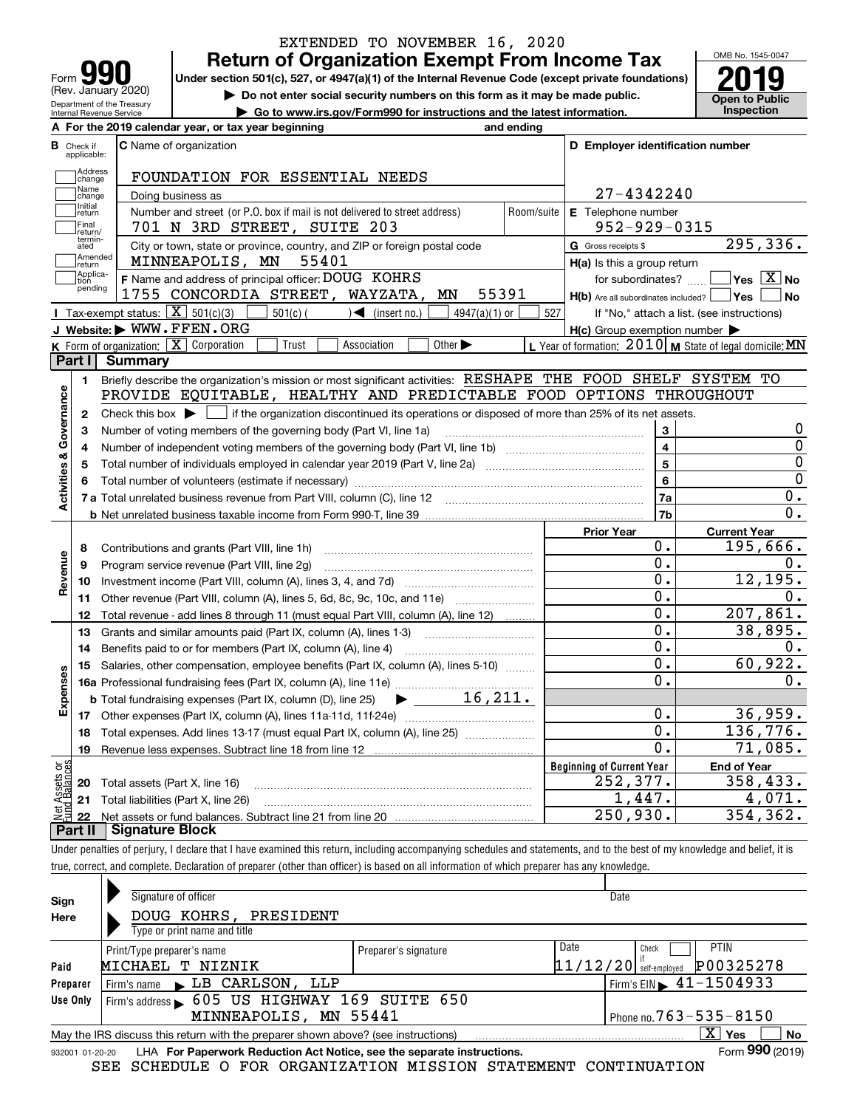| <b>1911</b>                                            |
|--------------------------------------------------------|
| Form                                                   |
| (Rev. January 2020)                                    |
| Department of the Treasury<br>Internal Revenue Service |

# **Return of Organization Exempt From Income Tax** EXTENDED TO NOVEMBER 16, 2020

Under section 501(c), 527, or 4947(a)(1) of the Internal Revenue Code (except private foundations) **2019** 

**| Do not enter social security numbers on this form as it may be made public.**

**| Go to www.irs.gov/Form990 for instructions and the latest information. Inspection**

OMB No. 1545-0047 **Open to Public** 

|                         |                             | A For the 2019 calendar year, or tax year beginning                                                                                                                         | and ending |                                                                |                                                           |
|-------------------------|-----------------------------|-----------------------------------------------------------------------------------------------------------------------------------------------------------------------------|------------|----------------------------------------------------------------|-----------------------------------------------------------|
| <b>B</b> Check if       | applicable:                 | <b>C</b> Name of organization                                                                                                                                               |            | D Employer identification number                               |                                                           |
|                         | Address<br>change           | FOUNDATION FOR ESSENTIAL NEEDS                                                                                                                                              |            |                                                                |                                                           |
|                         | Name<br>change              | Doing business as                                                                                                                                                           | 27-4342240 |                                                                |                                                           |
|                         | Initial<br>return           | Number and street (or P.O. box if mail is not delivered to street address)                                                                                                  | Room/suite | E Telephone number                                             |                                                           |
|                         | Final<br>return/            | 701 N 3RD STREET, SUITE 203                                                                                                                                                 |            | $952 - 929 - 0315$                                             |                                                           |
|                         | termin-<br>ated             | City or town, state or province, country, and ZIP or foreign postal code                                                                                                    |            | G Gross receipts \$                                            | 295, 336.                                                 |
|                         | Amended<br>return           | MINNEAPOLIS, MN<br>55401                                                                                                                                                    |            | H(a) Is this a group return                                    |                                                           |
|                         | Applica-<br>tion<br>pending | F Name and address of principal officer: DOUG KOHRS<br>1755 CONCORDIA STREET, WAYZATA, MN<br>55391                                                                          |            | for subordinates?<br>H(b) Are all subordinates included?   Yes | $\overline{\ }$ Yes $\overline{\ \ X}$ No<br>∣No          |
|                         |                             | Tax-exempt status: $\boxed{\mathbf{X}}$ 501(c)(3)<br>501(c) (<br>$\sqrt{\frac{1}{1}}$ (insert no.)<br>$4947(a)(1)$ or                                                       | 527        |                                                                | If "No," attach a list. (see instructions)                |
|                         |                             | J Website: WWW.FFEN.ORG                                                                                                                                                     |            | $H(c)$ Group exemption number $\blacktriangleright$            |                                                           |
|                         |                             | K Form of organization: $X$ Corporation<br>Trust<br>Association<br>Other $\blacktriangleright$                                                                              |            |                                                                | L Year of formation: $2010$ M State of legal domicile: MN |
|                         | Part I                      | Summary                                                                                                                                                                     |            |                                                                |                                                           |
|                         | 1.                          | Briefly describe the organization's mission or most significant activities: RESHAPE THE FOOD SHELF SYSTEM TO                                                                |            |                                                                |                                                           |
| Activities & Governance |                             | PROVIDE EQUITABLE, HEALTHY AND PREDICTABLE FOOD OPTIONS THROUGHOUT                                                                                                          |            |                                                                |                                                           |
|                         | $\mathbf{2}$                | Check this box $\blacktriangleright$   if the organization discontinued its operations or disposed of more than 25% of its net assets.                                      |            |                                                                |                                                           |
|                         | З                           | Number of voting members of the governing body (Part VI, line 1a)                                                                                                           |            |                                                                | 0<br>3                                                    |
|                         | 4                           |                                                                                                                                                                             |            |                                                                | 0<br>$\overline{\mathbf{4}}$                              |
|                         | 5                           |                                                                                                                                                                             |            |                                                                | 0<br>5                                                    |
|                         |                             |                                                                                                                                                                             |            |                                                                | $\overline{0}$<br>6                                       |
|                         |                             | 7 a Total unrelated business revenue from Part VIII, column (C), line 12 [11] [12] [11] [12] [11] [11] Total unrelated business revenue from Part VIII, column (C), line 12 |            | 7a                                                             | $\overline{0}$ .                                          |
|                         |                             |                                                                                                                                                                             |            | 7 <sub>b</sub>                                                 | $\overline{0}$ .                                          |
|                         |                             |                                                                                                                                                                             |            | <b>Prior Year</b>                                              | <b>Current Year</b>                                       |
|                         | 8                           | Contributions and grants (Part VIII, line 1h)                                                                                                                               |            | О.                                                             | 195,666.                                                  |
| Revenue                 | 9                           | Program service revenue (Part VIII, line 2g)                                                                                                                                |            | 0.                                                             | 0.                                                        |
|                         | 10                          |                                                                                                                                                                             |            | 0.                                                             | 12, 195.                                                  |
|                         |                             | 11 Other revenue (Part VIII, column (A), lines 5, 6d, 8c, 9c, 10c, and 11e)                                                                                                 |            | 0.                                                             | $0$ .                                                     |
|                         | 12                          | Total revenue - add lines 8 through 11 (must equal Part VIII, column (A), line 12)                                                                                          |            | $\overline{0}$ .                                               | 207,861.                                                  |
|                         | 13                          | Grants and similar amounts paid (Part IX, column (A), lines 1-3)                                                                                                            |            | о.                                                             | 38,895.                                                   |
|                         | 14                          |                                                                                                                                                                             |            | О.                                                             | 0.                                                        |
|                         | 15                          | Salaries, other compensation, employee benefits (Part IX, column (A), lines 5-10)                                                                                           |            | 0.                                                             | 60,922.                                                   |
|                         |                             |                                                                                                                                                                             |            | $\overline{0}$ .                                               | $\mathbf 0$ .                                             |
|                         |                             | $\blacktriangleright$ 16,211.<br><b>b</b> Total fundraising expenses (Part IX, column (D), line 25)                                                                         |            |                                                                |                                                           |
|                         |                             |                                                                                                                                                                             |            | 0.                                                             | 36,959.                                                   |
|                         |                             |                                                                                                                                                                             |            |                                                                |                                                           |
|                         | 18                          | Total expenses. Add lines 13-17 (must equal Part IX, column (A), line 25)                                                                                                   |            | 0.                                                             |                                                           |
|                         | 19                          |                                                                                                                                                                             |            | $\overline{0}$ .                                               |                                                           |
|                         |                             |                                                                                                                                                                             |            | <b>Beginning of Current Year</b>                               | <b>End of Year</b>                                        |
|                         |                             | 20 Total assets (Part X, line 16)                                                                                                                                           |            | 252, 377.                                                      | 136,776.                                                  |
| Expenses<br>äğ<br>sets  |                             | 21 Total liabilities (Part X, line 26)                                                                                                                                      |            | 1,447.<br>250,930.                                             | 71,085.<br>358,433.<br>$\overline{4.071}$ .<br>354, 362.  |

Under penalties of perjury, I declare that I have examined this return, including accompanying schedules and statements, and to the best of my knowledge and belief, it is true, correct, and complete. Declaration of preparer (other than officer) is based on all information of which preparer has any knowledge.

| Sign     | Signature of officer                                                                                           |                      |          | Date                                        |             |  |  |  |  |
|----------|----------------------------------------------------------------------------------------------------------------|----------------------|----------|---------------------------------------------|-------------|--|--|--|--|
| Here     | DOUG KOHRS, PRESIDENT                                                                                          |                      |          |                                             |             |  |  |  |  |
|          | Type or print name and title                                                                                   |                      |          |                                             |             |  |  |  |  |
|          | Print/Type preparer's name                                                                                     | Preparer's signature | Date     | Check                                       | <b>PTIN</b> |  |  |  |  |
| Paid     | MICHAEL T NIZNIK                                                                                               |                      | 11/12/20 | self-employed                               | P00325278   |  |  |  |  |
| Preparer | Firm's name LB CARLSON, LLP                                                                                    |                      |          | Firm's EIN $\blacktriangleright$ 41-1504933 |             |  |  |  |  |
| Use Only | Firm's address 605 US HIGHWAY 169 SUITE 650                                                                    |                      |          |                                             |             |  |  |  |  |
|          | MINNEAPOLIS, MN 55441                                                                                          |                      |          | Phone no. 763 - 535 - 8150                  |             |  |  |  |  |
|          | $\mathbf{X}$<br>Yes<br>No<br>May the IRS discuss this return with the preparer shown above? (see instructions) |                      |          |                                             |             |  |  |  |  |
|          | Form 990 (2019)<br>LHA For Paperwork Reduction Act Notice, see the separate instructions.<br>932001 01-20-20   |                      |          |                                             |             |  |  |  |  |

SEE SCHEDULE O FOR ORGANIZATION MISSION STATEMENT CONTINUATION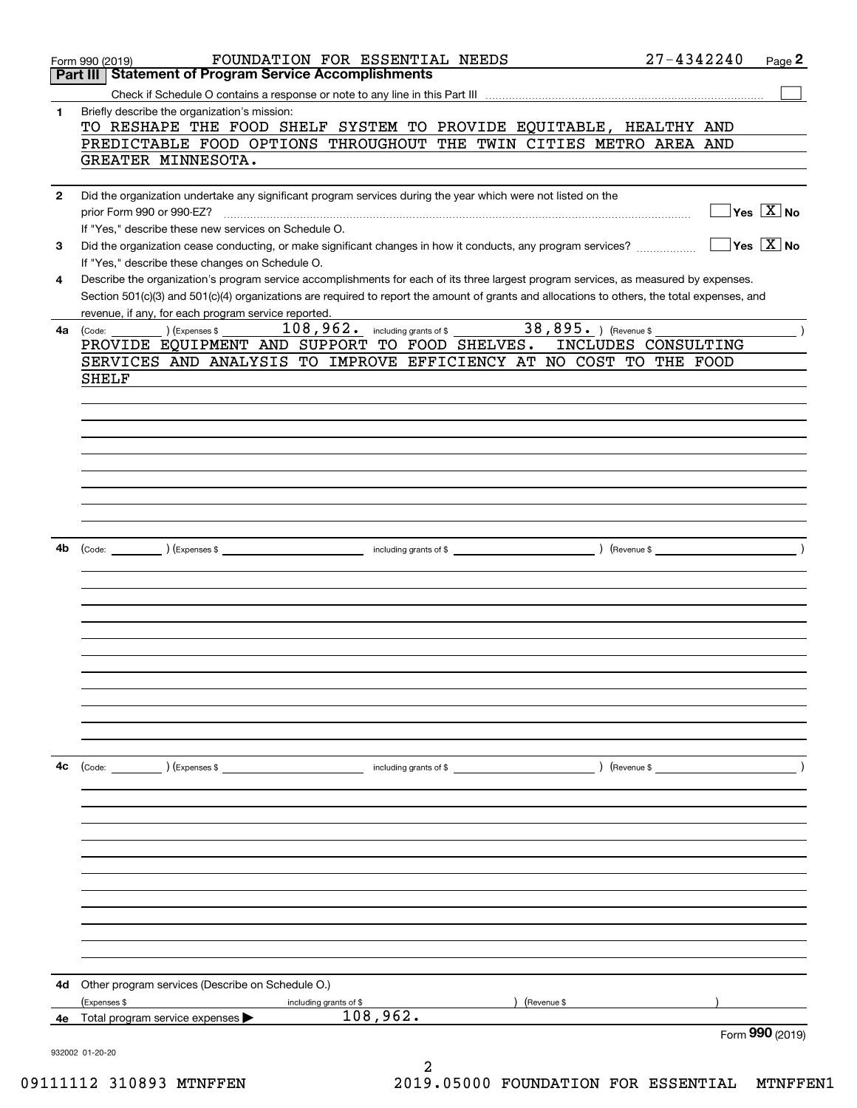|              | FOUNDATION FOR ESSENTIAL NEEDS<br>Form 990 (2019)                                                                                                   | 27-4342240<br>Page 2                                  |  |
|--------------|-----------------------------------------------------------------------------------------------------------------------------------------------------|-------------------------------------------------------|--|
|              | <b>Statement of Program Service Accomplishments</b><br>Part III                                                                                     |                                                       |  |
| 1            |                                                                                                                                                     |                                                       |  |
|              | Briefly describe the organization's mission:<br>TO RESHAPE THE FOOD SHELF SYSTEM TO PROVIDE EQUITABLE, HEALTHY AND                                  |                                                       |  |
|              | PREDICTABLE FOOD OPTIONS THROUGHOUT THE TWIN CITIES METRO AREA AND                                                                                  |                                                       |  |
|              | GREATER MINNESOTA.                                                                                                                                  |                                                       |  |
|              |                                                                                                                                                     |                                                       |  |
| $\mathbf{2}$ | Did the organization undertake any significant program services during the year which were not listed on the                                        |                                                       |  |
|              | prior Form 990 or 990-EZ?                                                                                                                           | $\Box$ Yes $[\overline{\mathrm{X}}]$ No               |  |
|              | If "Yes," describe these new services on Schedule O.                                                                                                |                                                       |  |
| 3            | Did the organization cease conducting, or make significant changes in how it conducts, any program services?                                        | $\overline{\mathsf{Y}}$ es $\overline{\mathsf{X}}$ No |  |
|              | If "Yes," describe these changes on Schedule O.                                                                                                     |                                                       |  |
| 4            | Describe the organization's program service accomplishments for each of its three largest program services, as measured by expenses.                |                                                       |  |
|              | Section 501(c)(3) and 501(c)(4) organizations are required to report the amount of grants and allocations to others, the total expenses, and        |                                                       |  |
| 4a           | revenue, if any, for each program service reported.<br>38, 895. ) (Revenue \$<br>$108$ , $962$ o including grants of \$<br>) (Expenses \$<br>(Code: |                                                       |  |
|              | PROVIDE EQUIPMENT AND SUPPORT TO FOOD SHELVES.                                                                                                      | INCLUDES CONSULTING                                   |  |
|              | SERVICES AND ANALYSIS TO IMPROVE EFFICIENCY AT NO COST TO THE FOOD                                                                                  |                                                       |  |
|              | <b>SHELF</b>                                                                                                                                        |                                                       |  |
|              |                                                                                                                                                     |                                                       |  |
|              |                                                                                                                                                     |                                                       |  |
|              |                                                                                                                                                     |                                                       |  |
|              |                                                                                                                                                     |                                                       |  |
|              |                                                                                                                                                     |                                                       |  |
|              |                                                                                                                                                     |                                                       |  |
|              |                                                                                                                                                     |                                                       |  |
|              |                                                                                                                                                     |                                                       |  |
| 4b           |                                                                                                                                                     |                                                       |  |
|              |                                                                                                                                                     |                                                       |  |
|              |                                                                                                                                                     |                                                       |  |
|              |                                                                                                                                                     |                                                       |  |
|              |                                                                                                                                                     |                                                       |  |
|              |                                                                                                                                                     |                                                       |  |
|              |                                                                                                                                                     |                                                       |  |
|              |                                                                                                                                                     |                                                       |  |
|              |                                                                                                                                                     |                                                       |  |
|              |                                                                                                                                                     |                                                       |  |
|              |                                                                                                                                                     |                                                       |  |
|              |                                                                                                                                                     |                                                       |  |
| 4c           | $\left(\text{Code:}\right)$ $\left(\text{Expenses $}\right)$<br>including grants of \$                                                              | $\qquad \qquad$<br>) (Revenue \$                      |  |
|              |                                                                                                                                                     |                                                       |  |
|              |                                                                                                                                                     |                                                       |  |
|              |                                                                                                                                                     |                                                       |  |
|              |                                                                                                                                                     |                                                       |  |
|              |                                                                                                                                                     |                                                       |  |
|              |                                                                                                                                                     |                                                       |  |
|              |                                                                                                                                                     |                                                       |  |
|              |                                                                                                                                                     |                                                       |  |
|              |                                                                                                                                                     |                                                       |  |
|              |                                                                                                                                                     |                                                       |  |
|              |                                                                                                                                                     |                                                       |  |
| 4d           | Other program services (Describe on Schedule O.)                                                                                                    |                                                       |  |
|              | (Expenses \$<br>including grants of \$<br>(Revenue \$                                                                                               |                                                       |  |
| 4e           | 108,962.<br>Total program service expenses                                                                                                          |                                                       |  |
|              |                                                                                                                                                     | Form 990 (2019)                                       |  |
|              | 932002 01-20-20<br>2                                                                                                                                |                                                       |  |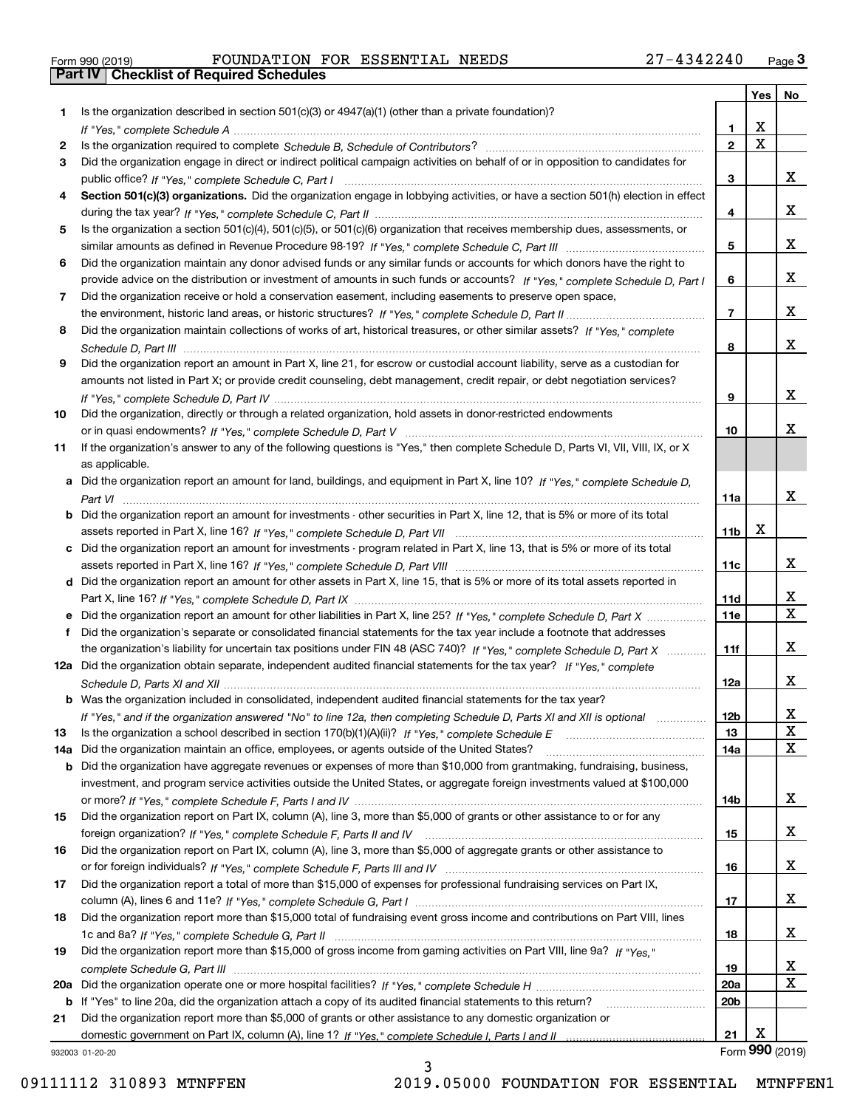| Form 990 (2019) |  |  |
|-----------------|--|--|

Form 990 (2019) FOUNDATION FOR ESSENTIAL NEEDS 27-4342240 <sub>Page</sub> 3<br>**Part IV | Checklist of Required Schedules** 

|     |                                                                                                                                       |                 | Yes $\vert$ No          |                         |
|-----|---------------------------------------------------------------------------------------------------------------------------------------|-----------------|-------------------------|-------------------------|
| 1.  | Is the organization described in section $501(c)(3)$ or $4947(a)(1)$ (other than a private foundation)?                               |                 |                         |                         |
|     |                                                                                                                                       | 1.              | X                       |                         |
| 2   |                                                                                                                                       | $\overline{2}$  | $\overline{\mathbf{x}}$ |                         |
| 3   | Did the organization engage in direct or indirect political campaign activities on behalf of or in opposition to candidates for       |                 |                         |                         |
|     |                                                                                                                                       | 3               |                         | x                       |
| 4   | Section 501(c)(3) organizations. Did the organization engage in lobbying activities, or have a section 501(h) election in effect      |                 |                         |                         |
|     |                                                                                                                                       | 4               |                         | X                       |
| 5   | Is the organization a section 501(c)(4), 501(c)(5), or 501(c)(6) organization that receives membership dues, assessments, or          |                 |                         |                         |
|     |                                                                                                                                       | 5               |                         | X                       |
| 6   | Did the organization maintain any donor advised funds or any similar funds or accounts for which donors have the right to             |                 |                         | x                       |
|     | provide advice on the distribution or investment of amounts in such funds or accounts? If "Yes," complete Schedule D, Part I          | 6               |                         |                         |
| 7   | Did the organization receive or hold a conservation easement, including easements to preserve open space,                             | $\overline{7}$  |                         | X                       |
|     | Did the organization maintain collections of works of art, historical treasures, or other similar assets? If "Yes," complete          |                 |                         |                         |
| 8   |                                                                                                                                       | 8               |                         | X                       |
| 9   | Did the organization report an amount in Part X, line 21, for escrow or custodial account liability, serve as a custodian for         |                 |                         |                         |
|     | amounts not listed in Part X; or provide credit counseling, debt management, credit repair, or debt negotiation services?             |                 |                         |                         |
|     |                                                                                                                                       | 9               |                         | x                       |
| 10  | Did the organization, directly or through a related organization, hold assets in donor-restricted endowments                          |                 |                         |                         |
|     |                                                                                                                                       | 10              |                         | х                       |
| 11  | If the organization's answer to any of the following questions is "Yes," then complete Schedule D, Parts VI, VII, VIII, IX, or X      |                 |                         |                         |
|     | as applicable.                                                                                                                        |                 |                         |                         |
|     | a Did the organization report an amount for land, buildings, and equipment in Part X, line 10? If "Yes." complete Schedule D.         |                 |                         |                         |
|     |                                                                                                                                       | 11a             |                         | x                       |
|     | <b>b</b> Did the organization report an amount for investments - other securities in Part X, line 12, that is 5% or more of its total |                 |                         |                         |
|     |                                                                                                                                       | 11 <sub>b</sub> | X                       |                         |
|     | c Did the organization report an amount for investments - program related in Part X, line 13, that is 5% or more of its total         |                 |                         |                         |
|     |                                                                                                                                       | 11c             |                         | x                       |
|     | d Did the organization report an amount for other assets in Part X, line 15, that is 5% or more of its total assets reported in       |                 |                         |                         |
|     |                                                                                                                                       | 11d             |                         | x                       |
|     | e Did the organization report an amount for other liabilities in Part X, line 25? If "Yes," complete Schedule D, Part X               | 11e             |                         | $\overline{\mathbf{X}}$ |
| f   | Did the organization's separate or consolidated financial statements for the tax year include a footnote that addresses               |                 |                         |                         |
|     | the organization's liability for uncertain tax positions under FIN 48 (ASC 740)? If "Yes," complete Schedule D, Part X                | 11f             |                         | x                       |
|     | 12a Did the organization obtain separate, independent audited financial statements for the tax year? If "Yes," complete               |                 |                         |                         |
|     |                                                                                                                                       | 12a             |                         | x                       |
|     | <b>b</b> Was the organization included in consolidated, independent audited financial statements for the tax year?                    |                 |                         |                         |
|     | If "Yes," and if the organization answered "No" to line 12a, then completing Schedule D, Parts XI and XII is optional                 | 12 <sub>b</sub> |                         | X                       |
| 13  |                                                                                                                                       | 13              |                         | X                       |
| 14a | Did the organization maintain an office, employees, or agents outside of the United States?                                           | <b>14a</b>      |                         | X                       |
|     | <b>b</b> Did the organization have aggregate revenues or expenses of more than \$10,000 from grantmaking, fundraising, business,      |                 |                         |                         |
|     | investment, and program service activities outside the United States, or aggregate foreign investments valued at \$100,000            |                 |                         |                         |
|     |                                                                                                                                       | 14b             |                         | X                       |
| 15  | Did the organization report on Part IX, column (A), line 3, more than \$5,000 of grants or other assistance to or for any             |                 |                         |                         |
|     |                                                                                                                                       | 15              |                         | X                       |
| 16  | Did the organization report on Part IX, column (A), line 3, more than \$5,000 of aggregate grants or other assistance to              |                 |                         |                         |
|     |                                                                                                                                       | 16              |                         | X                       |
| 17  | Did the organization report a total of more than \$15,000 of expenses for professional fundraising services on Part IX,               |                 |                         |                         |
|     |                                                                                                                                       | 17              |                         | X                       |
| 18  | Did the organization report more than \$15,000 total of fundraising event gross income and contributions on Part VIII, lines          |                 |                         |                         |
|     |                                                                                                                                       | 18              |                         | X                       |
| 19  | Did the organization report more than \$15,000 of gross income from gaming activities on Part VIII, line 9a? If "Yes."                |                 |                         |                         |
|     |                                                                                                                                       | 19              |                         | x                       |
|     |                                                                                                                                       | 20a             |                         | $\mathbf x$             |
|     | b If "Yes" to line 20a, did the organization attach a copy of its audited financial statements to this return?                        | 20 <sub>b</sub> |                         |                         |
| 21  | Did the organization report more than \$5,000 of grants or other assistance to any domestic organization or                           |                 |                         |                         |
|     |                                                                                                                                       | 21              | X                       |                         |
|     | 932003 01-20-20                                                                                                                       |                 |                         | Form 990 (2019)         |

3

932003 01-20-20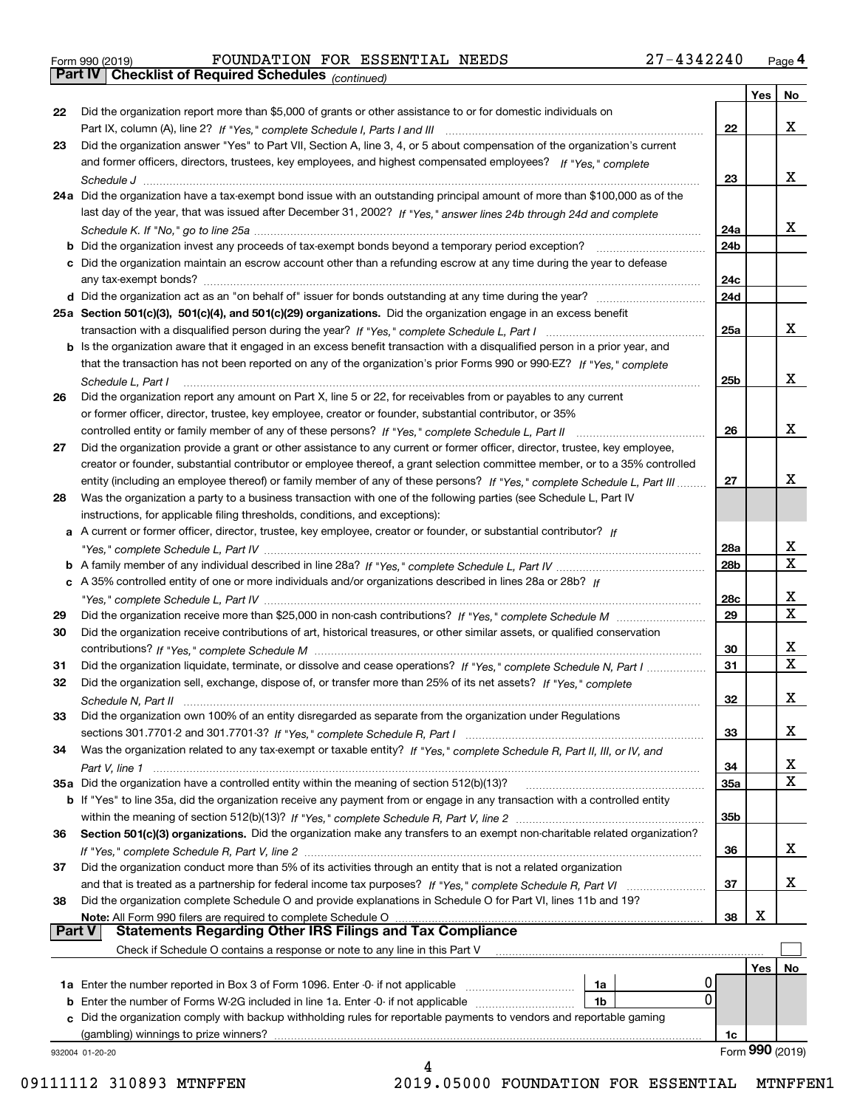| Form 990 (2019) |  |  |
|-----------------|--|--|

Form 990 (2019) FOUNDATION FOR ESSENTIAL NEEDS 27-4342240 <sub>Page</sub> 4<br>**Part IV | Checklist of Required Schedules** <sub>(continued)</sub>

*(continued)*

|               |                                                                                                                                                                                                                                               |                        | Yes | No              |
|---------------|-----------------------------------------------------------------------------------------------------------------------------------------------------------------------------------------------------------------------------------------------|------------------------|-----|-----------------|
| 22            | Did the organization report more than \$5,000 of grants or other assistance to or for domestic individuals on                                                                                                                                 |                        |     |                 |
|               |                                                                                                                                                                                                                                               | 22                     |     | x               |
| 23            | Did the organization answer "Yes" to Part VII, Section A, line 3, 4, or 5 about compensation of the organization's current                                                                                                                    |                        |     |                 |
|               | and former officers, directors, trustees, key employees, and highest compensated employees? If "Yes," complete                                                                                                                                |                        |     |                 |
|               |                                                                                                                                                                                                                                               | 23                     |     | x               |
|               | 24a Did the organization have a tax-exempt bond issue with an outstanding principal amount of more than \$100,000 as of the                                                                                                                   |                        |     |                 |
|               | last day of the year, that was issued after December 31, 2002? If "Yes," answer lines 24b through 24d and complete                                                                                                                            |                        |     |                 |
|               |                                                                                                                                                                                                                                               | 24a                    |     | x               |
|               | <b>b</b> Did the organization invest any proceeds of tax-exempt bonds beyond a temporary period exception?                                                                                                                                    | 24b                    |     |                 |
|               | c Did the organization maintain an escrow account other than a refunding escrow at any time during the year to defease                                                                                                                        |                        |     |                 |
|               | any tax-exempt bonds?                                                                                                                                                                                                                         | 24c                    |     |                 |
|               |                                                                                                                                                                                                                                               | 24d                    |     |                 |
|               | 25a Section 501(c)(3), 501(c)(4), and 501(c)(29) organizations. Did the organization engage in an excess benefit                                                                                                                              |                        |     |                 |
|               |                                                                                                                                                                                                                                               | 25a                    |     | x               |
|               | b Is the organization aware that it engaged in an excess benefit transaction with a disqualified person in a prior year, and                                                                                                                  |                        |     |                 |
|               | that the transaction has not been reported on any of the organization's prior Forms 990 or 990-EZ? If "Yes," complete                                                                                                                         |                        |     |                 |
|               | Schedule L, Part I                                                                                                                                                                                                                            | 25b                    |     | x               |
| 26            | Did the organization report any amount on Part X, line 5 or 22, for receivables from or payables to any current                                                                                                                               |                        |     |                 |
|               | or former officer, director, trustee, key employee, creator or founder, substantial contributor, or 35%                                                                                                                                       |                        |     |                 |
|               |                                                                                                                                                                                                                                               | 26                     |     | x               |
| 27            | Did the organization provide a grant or other assistance to any current or former officer, director, trustee, key employee,                                                                                                                   |                        |     |                 |
|               | creator or founder, substantial contributor or employee thereof, a grant selection committee member, or to a 35% controlled                                                                                                                   |                        |     |                 |
|               |                                                                                                                                                                                                                                               | 27                     |     | x               |
| 28            | entity (including an employee thereof) or family member of any of these persons? If "Yes," complete Schedule L, Part III<br>Was the organization a party to a business transaction with one of the following parties (see Schedule L, Part IV |                        |     |                 |
|               | instructions, for applicable filing thresholds, conditions, and exceptions):                                                                                                                                                                  |                        |     |                 |
|               | a A current or former officer, director, trustee, key employee, creator or founder, or substantial contributor? If                                                                                                                            |                        |     |                 |
|               |                                                                                                                                                                                                                                               |                        |     | x               |
|               |                                                                                                                                                                                                                                               | 28a<br>28 <sub>b</sub> |     | x               |
|               |                                                                                                                                                                                                                                               |                        |     |                 |
|               | c A 35% controlled entity of one or more individuals and/or organizations described in lines 28a or 28b? If                                                                                                                                   | 28c                    |     | x               |
|               |                                                                                                                                                                                                                                               | 29                     |     | X               |
| 29            |                                                                                                                                                                                                                                               |                        |     |                 |
| 30            | Did the organization receive contributions of art, historical treasures, or other similar assets, or qualified conservation                                                                                                                   |                        |     | x               |
|               |                                                                                                                                                                                                                                               | 30                     |     | X               |
| 31            | Did the organization liquidate, terminate, or dissolve and cease operations? If "Yes," complete Schedule N, Part I                                                                                                                            | 31                     |     |                 |
| 32            | Did the organization sell, exchange, dispose of, or transfer more than 25% of its net assets? If "Yes," complete                                                                                                                              |                        |     | x               |
|               |                                                                                                                                                                                                                                               | 32                     |     |                 |
| 33            | Did the organization own 100% of an entity disregarded as separate from the organization under Regulations                                                                                                                                    |                        |     |                 |
|               |                                                                                                                                                                                                                                               | 33                     |     | х               |
| 34            | Was the organization related to any tax-exempt or taxable entity? If "Yes," complete Schedule R, Part II, III, or IV, and                                                                                                                     |                        |     |                 |
|               |                                                                                                                                                                                                                                               | 34                     |     | x               |
|               | 35a Did the organization have a controlled entity within the meaning of section 512(b)(13)?                                                                                                                                                   | <b>35a</b>             |     | x               |
|               | b If "Yes" to line 35a, did the organization receive any payment from or engage in any transaction with a controlled entity                                                                                                                   |                        |     |                 |
|               |                                                                                                                                                                                                                                               | 35b                    |     |                 |
| 36            | Section 501(c)(3) organizations. Did the organization make any transfers to an exempt non-charitable related organization?                                                                                                                    |                        |     |                 |
|               |                                                                                                                                                                                                                                               | 36                     |     | x               |
| 37            | Did the organization conduct more than 5% of its activities through an entity that is not a related organization                                                                                                                              |                        |     |                 |
|               | and that is treated as a partnership for federal income tax purposes? If "Yes," complete Schedule R, Part VI                                                                                                                                  | 37                     |     | x               |
| 38            | Did the organization complete Schedule O and provide explanations in Schedule O for Part VI, lines 11b and 19?                                                                                                                                |                        |     |                 |
| <b>Part V</b> | Note: All Form 990 filers are required to complete Schedule O<br><b>Statements Regarding Other IRS Filings and Tax Compliance</b>                                                                                                             | 38                     | х   |                 |
|               |                                                                                                                                                                                                                                               |                        |     |                 |
|               | Check if Schedule O contains a response or note to any line in this Part V                                                                                                                                                                    |                        |     |                 |
|               |                                                                                                                                                                                                                                               |                        | Yes | No              |
|               | <b>1a</b> Enter the number reported in Box 3 of Form 1096. Enter -0- if not applicable<br>1a<br>0                                                                                                                                             |                        |     |                 |
|               | <b>b</b> Enter the number of Forms W-2G included in line 1a. Enter -0- if not applicable<br>1b                                                                                                                                                |                        |     |                 |
|               | c Did the organization comply with backup withholding rules for reportable payments to vendors and reportable gaming                                                                                                                          |                        |     |                 |
|               | (gambling) winnings to prize winners?                                                                                                                                                                                                         | 1c                     |     |                 |
|               | 932004 01-20-20                                                                                                                                                                                                                               |                        |     | Form 990 (2019) |
|               | 4                                                                                                                                                                                                                                             |                        |     |                 |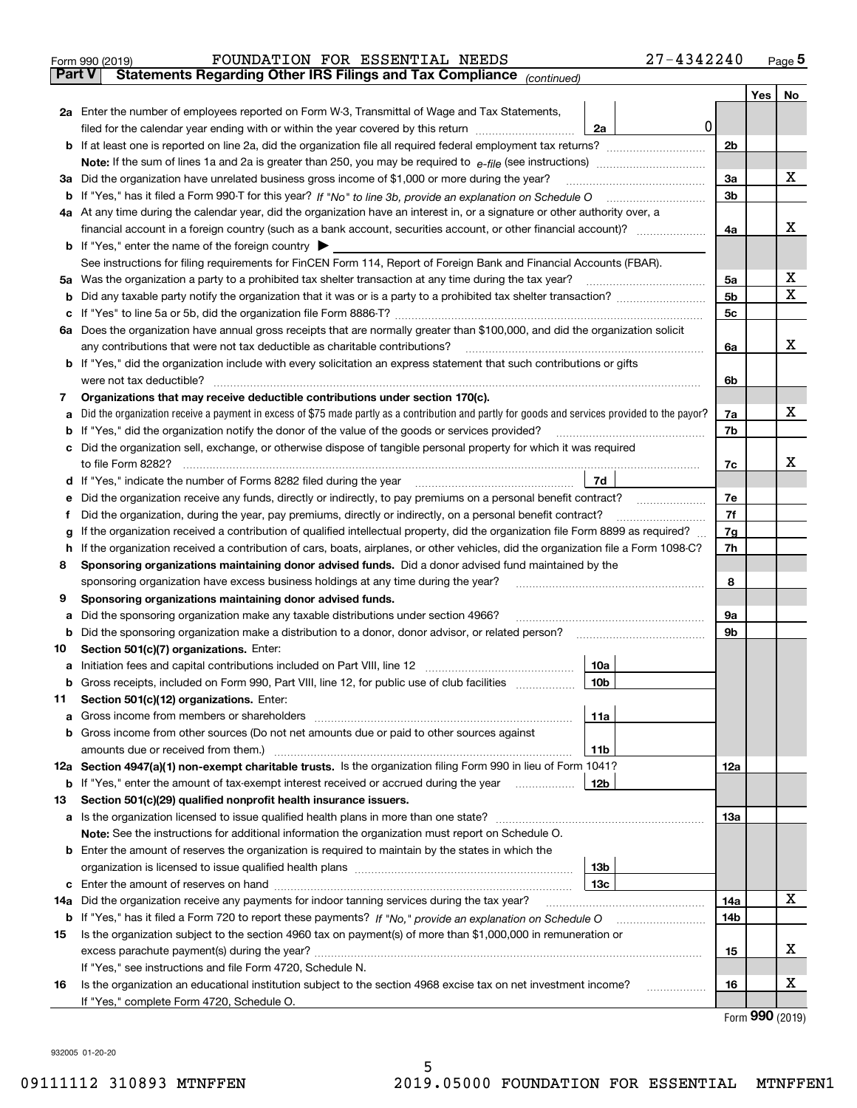|        | 27-4342240<br>FOUNDATION FOR ESSENTIAL NEEDS<br>Form 990 (2019)                                                                                                                                                |                                  |     | $Page$ <sup>5</sup> |
|--------|----------------------------------------------------------------------------------------------------------------------------------------------------------------------------------------------------------------|----------------------------------|-----|---------------------|
| Part V | <b>Statements Regarding Other IRS Filings and Tax Compliance</b><br>(continued)                                                                                                                                |                                  |     |                     |
|        |                                                                                                                                                                                                                |                                  | Yes | No                  |
|        | <b>2a</b> Enter the number of employees reported on Form W-3, Transmittal of Wage and Tax Statements,                                                                                                          |                                  |     |                     |
|        | 0<br>filed for the calendar year ending with or within the year covered by this return<br>2a                                                                                                                   |                                  |     |                     |
|        | <b>b</b> If at least one is reported on line 2a, did the organization file all required federal employment tax returns?                                                                                        | 2 <sub>b</sub>                   |     |                     |
|        | <b>Note:</b> If the sum of lines 1a and 2a is greater than 250, you may be required to $e$ -file (see instructions) <i>manimummmmmm</i>                                                                        |                                  |     |                     |
|        | 3a Did the organization have unrelated business gross income of \$1,000 or more during the year?                                                                                                               | За                               |     | х                   |
|        | b If "Yes," has it filed a Form 990-T for this year? If "No" to line 3b, provide an explanation on Schedule O                                                                                                  | 3b                               |     |                     |
|        | 4a At any time during the calendar year, did the organization have an interest in, or a signature or other authority over, a                                                                                   |                                  |     |                     |
|        | financial account in a foreign country (such as a bank account, securities account, or other financial account)?                                                                                               | 4a                               |     | х                   |
|        | <b>b</b> If "Yes," enter the name of the foreign country $\triangleright$                                                                                                                                      |                                  |     |                     |
|        | See instructions for filing requirements for FinCEN Form 114, Report of Foreign Bank and Financial Accounts (FBAR).                                                                                            |                                  |     |                     |
|        | 5a Was the organization a party to a prohibited tax shelter transaction at any time during the tax year?                                                                                                       | 5а                               |     | х<br>$\mathbf X$    |
|        |                                                                                                                                                                                                                | 5 <sub>b</sub><br>5 <sub>c</sub> |     |                     |
|        | 6a Does the organization have annual gross receipts that are normally greater than \$100,000, and did the organization solicit                                                                                 |                                  |     |                     |
|        | any contributions that were not tax deductible as charitable contributions?                                                                                                                                    | 6a                               |     | x                   |
|        | <b>b</b> If "Yes," did the organization include with every solicitation an express statement that such contributions or gifts                                                                                  |                                  |     |                     |
|        | were not tax deductible?                                                                                                                                                                                       | 6b                               |     |                     |
| 7      | Organizations that may receive deductible contributions under section 170(c).                                                                                                                                  |                                  |     |                     |
|        | a Did the organization receive a payment in excess of \$75 made partly as a contribution and partly for goods and services provided to the payor?                                                              | 7a                               |     | х                   |
| b      | If "Yes," did the organization notify the donor of the value of the goods or services provided?                                                                                                                | 7b                               |     |                     |
|        | c Did the organization sell, exchange, or otherwise dispose of tangible personal property for which it was required                                                                                            |                                  |     |                     |
|        | to file Form 8282?                                                                                                                                                                                             | 7c                               |     | х                   |
|        | 7d<br>d If "Yes," indicate the number of Forms 8282 filed during the year                                                                                                                                      |                                  |     |                     |
|        | Did the organization receive any funds, directly or indirectly, to pay premiums on a personal benefit contract?                                                                                                | 7е                               |     |                     |
| Ť.     | Did the organization, during the year, pay premiums, directly or indirectly, on a personal benefit contract?                                                                                                   | 7f                               |     |                     |
| a      | If the organization received a contribution of qualified intellectual property, did the organization file Form 8899 as required?                                                                               | 7g                               |     |                     |
| h.     | If the organization received a contribution of cars, boats, airplanes, or other vehicles, did the organization file a Form 1098-C?                                                                             | 7h                               |     |                     |
| 8      | Sponsoring organizations maintaining donor advised funds. Did a donor advised fund maintained by the                                                                                                           |                                  |     |                     |
|        | sponsoring organization have excess business holdings at any time during the year?                                                                                                                             | 8                                |     |                     |
| 9      | Sponsoring organizations maintaining donor advised funds.                                                                                                                                                      |                                  |     |                     |
| а      | Did the sponsoring organization make any taxable distributions under section 4966?                                                                                                                             | 9а                               |     |                     |
| b      | Did the sponsoring organization make a distribution to a donor, donor advisor, or related person?                                                                                                              | 9b                               |     |                     |
| 10     | Section 501(c)(7) organizations. Enter:                                                                                                                                                                        |                                  |     |                     |
|        | a Initiation fees and capital contributions included on Part VIII, line 12<br>10a                                                                                                                              |                                  |     |                     |
|        | b Gross receipts, included on Form 990, Part VIII, line 12, for public use of club facilities<br>10b                                                                                                           |                                  |     |                     |
| 11     | Section 501(c)(12) organizations. Enter:                                                                                                                                                                       |                                  |     |                     |
| а      | Gross income from members or shareholders [11] continuum material contracts income from members or shareholders<br>11a                                                                                         |                                  |     |                     |
|        | <b>b</b> Gross income from other sources (Do not net amounts due or paid to other sources against                                                                                                              |                                  |     |                     |
|        | amounts due or received from them.)<br>11b                                                                                                                                                                     |                                  |     |                     |
|        | 12a Section 4947(a)(1) non-exempt charitable trusts. Is the organization filing Form 990 in lieu of Form 1041?                                                                                                 | 12a                              |     |                     |
|        | 12b<br><b>b</b> If "Yes," enter the amount of tax-exempt interest received or accrued during the year <i>manument</i>                                                                                          |                                  |     |                     |
| 13     | Section 501(c)(29) qualified nonprofit health insurance issuers.                                                                                                                                               |                                  |     |                     |
|        | a Is the organization licensed to issue qualified health plans in more than one state?                                                                                                                         | 13a                              |     |                     |
|        | Note: See the instructions for additional information the organization must report on Schedule O.<br><b>b</b> Enter the amount of reserves the organization is required to maintain by the states in which the |                                  |     |                     |
|        | 13b                                                                                                                                                                                                            |                                  |     |                     |
|        | 13с                                                                                                                                                                                                            |                                  |     |                     |
| 14a    | Did the organization receive any payments for indoor tanning services during the tax year?                                                                                                                     | 14a                              |     | X                   |
|        |                                                                                                                                                                                                                | 14b                              |     |                     |
| 15     | Is the organization subject to the section 4960 tax on payment(s) of more than \$1,000,000 in remuneration or                                                                                                  |                                  |     |                     |
|        |                                                                                                                                                                                                                | 15                               |     | х                   |
|        | If "Yes," see instructions and file Form 4720, Schedule N.                                                                                                                                                     |                                  |     |                     |
| 16     | Is the organization an educational institution subject to the section 4968 excise tax on net investment income?<br>.                                                                                           | 16                               |     | x                   |
|        | If "Yes," complete Form 4720, Schedule O.                                                                                                                                                                      |                                  |     |                     |

Form (2019) **990**

932005 01-20-20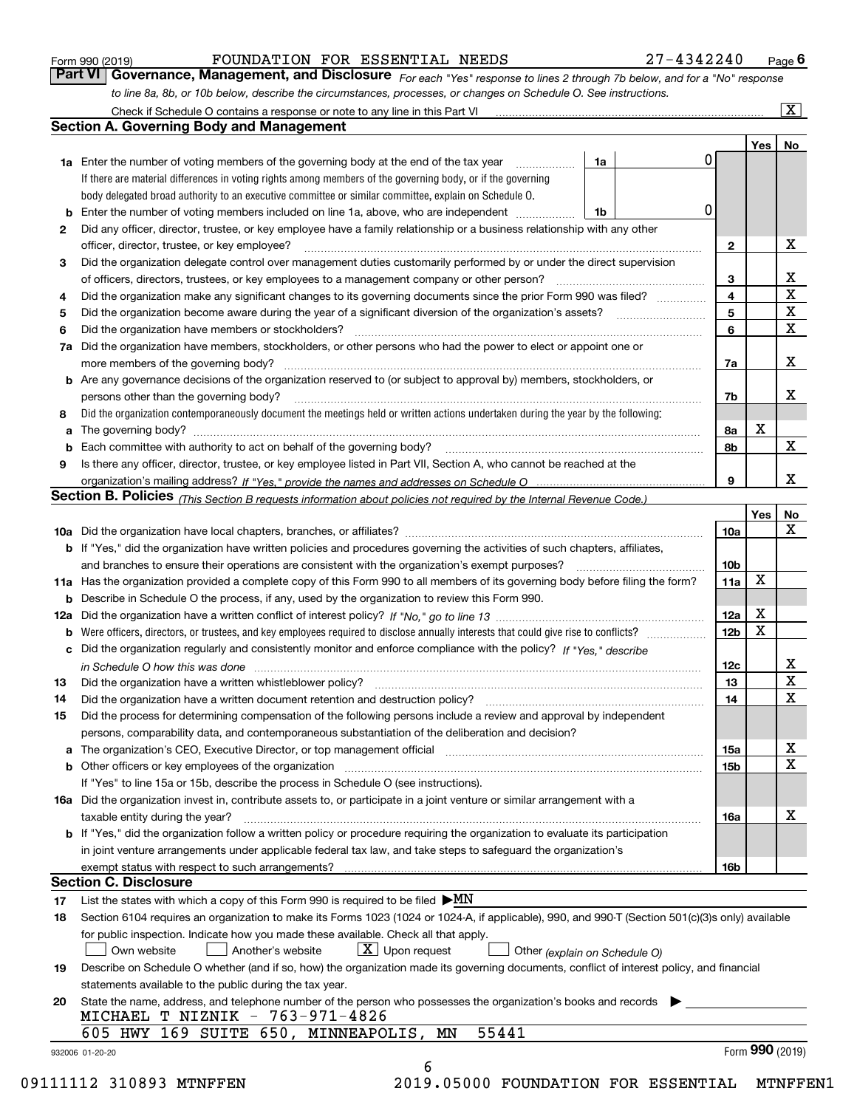| Form 990 (2019) |  |  |
|-----------------|--|--|
|                 |  |  |

FOUNDATION FOR ESSENTIAL NEEDS 27-4342240

*For each "Yes" response to lines 2 through 7b below, and for a "No" response to line 8a, 8b, or 10b below, describe the circumstances, processes, or changes on Schedule O. See instructions.* Form 990 (2019) **FOUNDATION FOR ESSENTIAL NEEDS** 27 – 434 2240 Page 6<br>**Part VI Governance, Management, and Disclosure** For each "Yes" response to lines 2 through 7b below, and for a "No" response

|                 | <b>Section A. Governing Body and Management</b>                                                                                                                       |    |                 | Yes             |             |
|-----------------|-----------------------------------------------------------------------------------------------------------------------------------------------------------------------|----|-----------------|-----------------|-------------|
|                 |                                                                                                                                                                       |    |                 |                 |             |
|                 |                                                                                                                                                                       |    |                 |                 | No          |
|                 | <b>1a</b> Enter the number of voting members of the governing body at the end of the tax year                                                                         | 1a | 0               |                 |             |
|                 | If there are material differences in voting rights among members of the governing body, or if the governing                                                           |    |                 |                 |             |
|                 | body delegated broad authority to an executive committee or similar committee, explain on Schedule O.                                                                 |    |                 |                 |             |
| b               | Enter the number of voting members included on line 1a, above, who are independent                                                                                    | 1b | 0               |                 |             |
| 2               | Did any officer, director, trustee, or key employee have a family relationship or a business relationship with any other                                              |    |                 |                 |             |
|                 | officer, director, trustee, or key employee?                                                                                                                          |    | 2               |                 | X           |
| 3               | Did the organization delegate control over management duties customarily performed by or under the direct supervision                                                 |    |                 |                 |             |
|                 | of officers, directors, trustees, or key employees to a management company or other person?                                                                           |    | 3               |                 | x           |
| 4               | Did the organization make any significant changes to its governing documents since the prior Form 990 was filed?                                                      |    | $\overline{4}$  |                 | $\mathbf X$ |
| 5               |                                                                                                                                                                       |    | 5               |                 | X           |
| 6               | Did the organization have members or stockholders?                                                                                                                    |    | 6               |                 | X           |
| 7a              | Did the organization have members, stockholders, or other persons who had the power to elect or appoint one or                                                        |    |                 |                 |             |
|                 | more members of the governing body?                                                                                                                                   |    | 7a              |                 | x           |
|                 | <b>b</b> Are any governance decisions of the organization reserved to (or subject to approval by) members, stockholders, or                                           |    |                 |                 |             |
|                 | persons other than the governing body?                                                                                                                                |    | 7b              |                 | x           |
| 8               | Did the organization contemporaneously document the meetings held or written actions undertaken during the year by the following:                                     |    |                 |                 |             |
| a               |                                                                                                                                                                       |    | 8а              | X               |             |
| b               |                                                                                                                                                                       |    | 8b              |                 | X           |
| 9               | Is there any officer, director, trustee, or key employee listed in Part VII, Section A, who cannot be reached at the                                                  |    |                 |                 |             |
|                 |                                                                                                                                                                       |    | 9               |                 | x           |
|                 | <b>Section B. Policies</b> (This Section B requests information about policies not required by the Internal Revenue Code.)                                            |    |                 |                 |             |
|                 |                                                                                                                                                                       |    |                 | Yes             | No          |
|                 |                                                                                                                                                                       |    | 10a             |                 | X           |
|                 |                                                                                                                                                                       |    |                 |                 |             |
|                 | <b>b</b> If "Yes," did the organization have written policies and procedures governing the activities of such chapters, affiliates,                                   |    |                 |                 |             |
|                 | and branches to ensure their operations are consistent with the organization's exempt purposes?                                                                       |    | 10 <sub>b</sub> | $\mathbf X$     |             |
|                 | 11a Has the organization provided a complete copy of this Form 990 to all members of its governing body before filing the form?                                       |    | 11a             |                 |             |
| b               | Describe in Schedule O the process, if any, used by the organization to review this Form 990.                                                                         |    |                 |                 |             |
| 12a             |                                                                                                                                                                       |    | 12a             | X               |             |
| b               |                                                                                                                                                                       |    | 12 <sub>b</sub> | X               |             |
| c               | Did the organization regularly and consistently monitor and enforce compliance with the policy? If "Yes." describe                                                    |    |                 |                 |             |
|                 | in Schedule O how this was done measured and contain an account of the state of the state of the state of the                                                         |    | 12c             |                 | x           |
| 13              | Did the organization have a written whistleblower policy?                                                                                                             |    | 13              |                 | X           |
| 14              | Did the organization have a written document retention and destruction policy?                                                                                        |    | 14              |                 | X           |
| 15              | Did the process for determining compensation of the following persons include a review and approval by independent                                                    |    |                 |                 |             |
|                 | persons, comparability data, and contemporaneous substantiation of the deliberation and decision?                                                                     |    |                 |                 |             |
| a               | The organization's CEO, Executive Director, or top management official manufactured content of the organization's CEO, Executive Director, or top management official |    | 15a             |                 | х           |
|                 | <b>b</b> Other officers or key employees of the organization                                                                                                          |    | 15b             |                 | $\mathbf X$ |
|                 | If "Yes" to line 15a or 15b, describe the process in Schedule O (see instructions).                                                                                   |    |                 |                 |             |
|                 | 16a Did the organization invest in, contribute assets to, or participate in a joint venture or similar arrangement with a                                             |    |                 |                 |             |
|                 | taxable entity during the year?                                                                                                                                       |    | 16a             |                 | х           |
|                 | b If "Yes," did the organization follow a written policy or procedure requiring the organization to evaluate its participation                                        |    |                 |                 |             |
|                 | in joint venture arrangements under applicable federal tax law, and take steps to safequard the organization's                                                        |    |                 |                 |             |
|                 | exempt status with respect to such arrangements?                                                                                                                      |    | 16b             |                 |             |
|                 | <b>Section C. Disclosure</b>                                                                                                                                          |    |                 |                 |             |
| 17              | List the states with which a copy of this Form 990 is required to be filed $\triangleright$ MN                                                                        |    |                 |                 |             |
| 18              | Section 6104 requires an organization to make its Forms 1023 (1024 or 1024-A, if applicable), 990, and 990-T (Section 501(c)(3)s only) available                      |    |                 |                 |             |
|                 | for public inspection. Indicate how you made these available. Check all that apply.                                                                                   |    |                 |                 |             |
|                 | $X$ Upon request<br>Another's website<br>Own website<br>Other (explain on Schedule O)                                                                                 |    |                 |                 |             |
| 19              | Describe on Schedule O whether (and if so, how) the organization made its governing documents, conflict of interest policy, and financial                             |    |                 |                 |             |
|                 | statements available to the public during the tax year.                                                                                                               |    |                 |                 |             |
| 20              | State the name, address, and telephone number of the person who possesses the organization's books and records                                                        |    |                 |                 |             |
|                 | MICHAEL T NIZNIK - 763-971-4826                                                                                                                                       |    |                 |                 |             |
|                 |                                                                                                                                                                       |    |                 |                 |             |
|                 |                                                                                                                                                                       |    |                 |                 |             |
| 932006 01-20-20 | 55441<br>605 HWY 169 SUITE 650, MINNEAPOLIS,<br>ΜN                                                                                                                    |    |                 | Form 990 (2019) |             |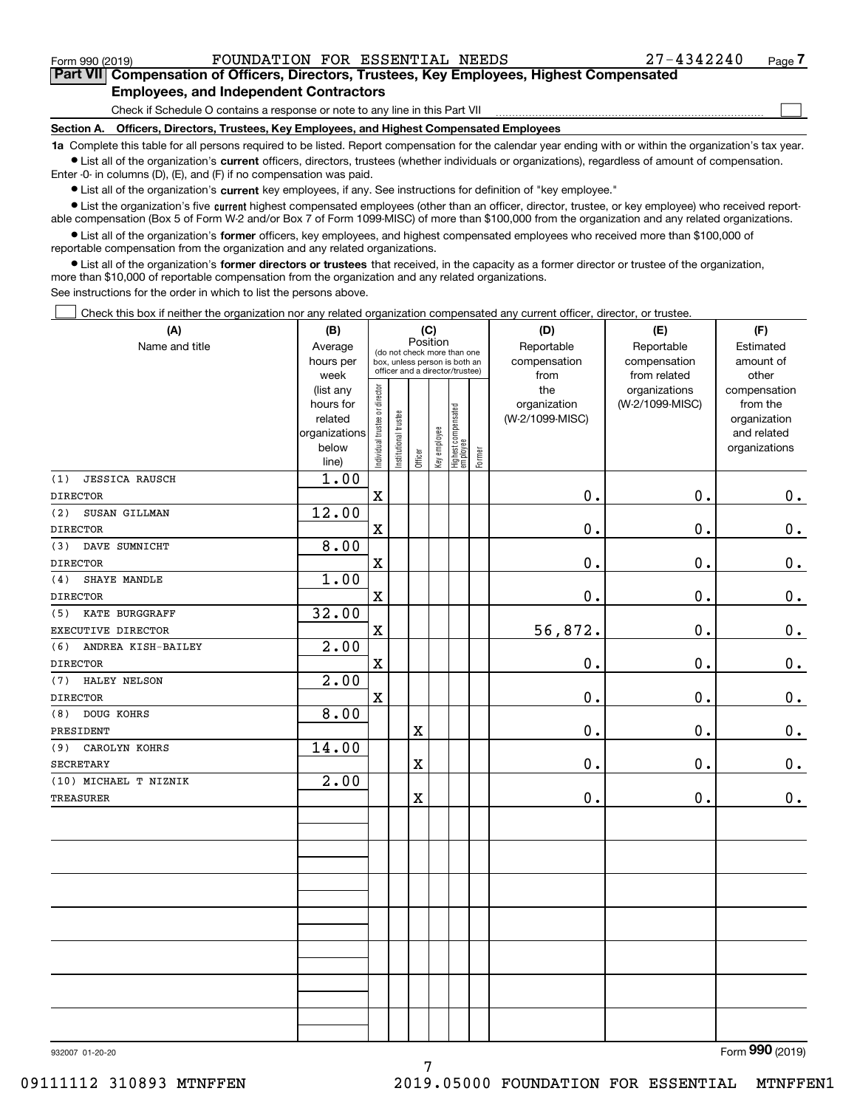$\mathcal{L}^{\text{max}}$ 

**7Part VII Compensation of Officers, Directors, Trustees, Key Employees, Highest Compensated Employees, and Independent Contractors**

Check if Schedule O contains a response or note to any line in this Part VII

**Section A. Officers, Directors, Trustees, Key Employees, and Highest Compensated Employees**

**1a**  Complete this table for all persons required to be listed. Report compensation for the calendar year ending with or within the organization's tax year. **•** List all of the organization's current officers, directors, trustees (whether individuals or organizations), regardless of amount of compensation.

Enter -0- in columns (D), (E), and (F) if no compensation was paid.

 $\bullet$  List all of the organization's  $\,$ current key employees, if any. See instructions for definition of "key employee."

**•** List the organization's five current highest compensated employees (other than an officer, director, trustee, or key employee) who received reportable compensation (Box 5 of Form W-2 and/or Box 7 of Form 1099-MISC) of more than \$100,000 from the organization and any related organizations.

**•** List all of the organization's former officers, key employees, and highest compensated employees who received more than \$100,000 of reportable compensation from the organization and any related organizations.

**former directors or trustees**  ¥ List all of the organization's that received, in the capacity as a former director or trustee of the organization, more than \$10,000 of reportable compensation from the organization and any related organizations.

See instructions for the order in which to list the persons above.

Check this box if neither the organization nor any related organization compensated any current officer, director, or trustee.  $\mathcal{L}^{\text{max}}$ 

| (A)                          | (B)                      | (C)                                     |                      |                         |              |                                  |        | (D)             | (E)             | (F)                         |
|------------------------------|--------------------------|-----------------------------------------|----------------------|-------------------------|--------------|----------------------------------|--------|-----------------|-----------------|-----------------------------|
| Name and title               | Average                  | Position<br>(do not check more than one |                      |                         |              |                                  |        | Reportable      | Reportable      | Estimated                   |
|                              | hours per                |                                         |                      |                         |              | box, unless person is both an    |        | compensation    | compensation    | amount of                   |
|                              | week                     |                                         |                      |                         |              | officer and a director/trustee)  |        | from            | from related    | other                       |
|                              | (list any                |                                         |                      |                         |              |                                  |        | the             | organizations   | compensation                |
|                              | hours for                |                                         |                      |                         |              |                                  |        | organization    | (W-2/1099-MISC) | from the                    |
|                              | related<br>organizations |                                         |                      |                         |              |                                  |        | (W-2/1099-MISC) |                 | organization<br>and related |
|                              | below                    |                                         |                      |                         |              |                                  |        |                 |                 | organizations               |
|                              | line)                    | ndividual trustee or director           | nstitutional trustee | Officer                 | Key employee | Highest compensated<br> employee | Former |                 |                 |                             |
| (1)<br><b>JESSICA RAUSCH</b> | 1.00                     |                                         |                      |                         |              |                                  |        |                 |                 |                             |
| <b>DIRECTOR</b>              |                          | $\mathbf x$                             |                      |                         |              |                                  |        | 0.              | $\mathbf{0}$ .  | $0_{.}$                     |
| (2)<br>SUSAN GILLMAN         | 12.00                    |                                         |                      |                         |              |                                  |        |                 |                 |                             |
| <b>DIRECTOR</b>              |                          | $\mathbf X$                             |                      |                         |              |                                  |        | 0.              | $\mathbf{0}$ .  | $\mathbf 0$ .               |
| DAVE SUMNICHT<br>(3)         | 8.00                     |                                         |                      |                         |              |                                  |        |                 |                 |                             |
| <b>DIRECTOR</b>              |                          | $\mathbf x$                             |                      |                         |              |                                  |        | 0.              | $\mathbf 0$ .   | $0_{.}$                     |
| (4)<br>SHAYE MANDLE          | 1.00                     |                                         |                      |                         |              |                                  |        |                 |                 |                             |
| <b>DIRECTOR</b>              |                          | $\overline{\textbf{X}}$                 |                      |                         |              |                                  |        | 0.              | $\mathbf 0$ .   | $\mathbf 0$ .               |
| KATE BURGGRAFF<br>(5)        | 32.00                    |                                         |                      |                         |              |                                  |        |                 |                 |                             |
| EXECUTIVE DIRECTOR           |                          | $\rm X$                                 |                      |                         |              |                                  |        | 56,872.         | $\mathbf 0$ .   | $0_{.}$                     |
| ANDREA KISH-BAILEY<br>(6)    | $\overline{2.00}$        |                                         |                      |                         |              |                                  |        |                 |                 |                             |
| <b>DIRECTOR</b>              |                          | $\mathbf X$                             |                      |                         |              |                                  |        | 0.              | $\mathbf 0$ .   | $0_{.}$                     |
| HALEY NELSON<br>(7)          | 2.00                     |                                         |                      |                         |              |                                  |        |                 |                 |                             |
| <b>DIRECTOR</b>              |                          | $\overline{\mathbf{X}}$                 |                      |                         |              |                                  |        | 0.              | 0.              | $\mathbf 0$ .               |
| DOUG KOHRS<br>(8)            | 8.00                     |                                         |                      |                         |              |                                  |        |                 |                 |                             |
| PRESIDENT                    |                          |                                         |                      | $\overline{\mathbf{X}}$ |              |                                  |        | 0.              | $\mathbf 0$ .   | $0_{.}$                     |
| (9)<br>CAROLYN KOHRS         | 14.00                    |                                         |                      |                         |              |                                  |        |                 |                 |                             |
| <b>SECRETARY</b>             |                          |                                         |                      | $\rm X$                 |              |                                  |        | 0.              | $\mathbf 0$ .   | $0_{.}$                     |
| (10) MICHAEL T NIZNIK        | 2.00                     |                                         |                      |                         |              |                                  |        |                 |                 |                             |
| <b>TREASURER</b>             |                          |                                         |                      | $\rm X$                 |              |                                  |        | 0.              | 0.              | 0.                          |
|                              |                          |                                         |                      |                         |              |                                  |        |                 |                 |                             |
|                              |                          |                                         |                      |                         |              |                                  |        |                 |                 |                             |
|                              |                          |                                         |                      |                         |              |                                  |        |                 |                 |                             |
|                              |                          |                                         |                      |                         |              |                                  |        |                 |                 |                             |
|                              |                          |                                         |                      |                         |              |                                  |        |                 |                 |                             |
|                              |                          |                                         |                      |                         |              |                                  |        |                 |                 |                             |
|                              |                          |                                         |                      |                         |              |                                  |        |                 |                 |                             |
|                              |                          |                                         |                      |                         |              |                                  |        |                 |                 |                             |
|                              |                          |                                         |                      |                         |              |                                  |        |                 |                 |                             |
|                              |                          |                                         |                      |                         |              |                                  |        |                 |                 |                             |
|                              |                          |                                         |                      |                         |              |                                  |        |                 |                 |                             |
|                              |                          |                                         |                      |                         |              |                                  |        |                 |                 |                             |
|                              |                          |                                         |                      |                         |              |                                  |        |                 |                 |                             |

7

932007 01-20-20

Form (2019) **990**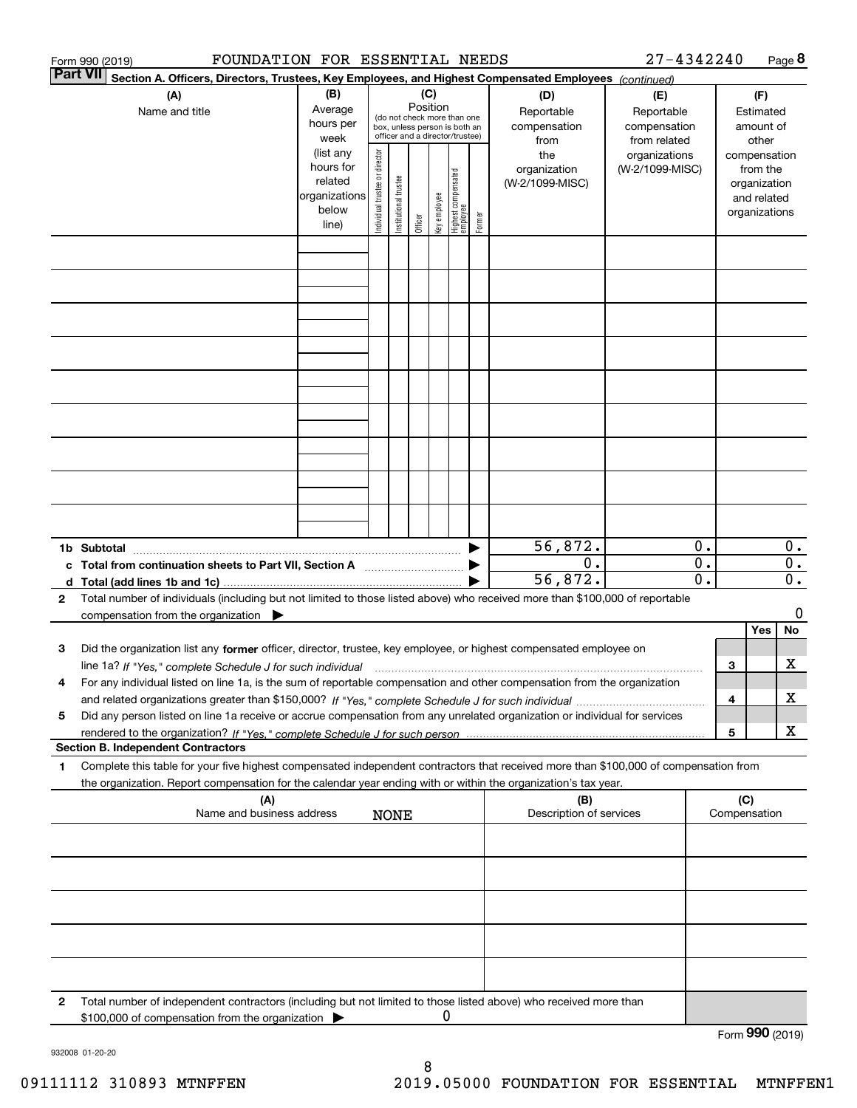| FOUNDATION FOR ESSENTIAL NEEDS<br>Form 990 (2019) |                                                                                                                                                                                                                                                                     |                                                                      |                                |                       |                                                                                                                    |              |                                 |        |                                           | 27-4342240                                        |                                            |     |                                                                          | Page 8                                        |
|---------------------------------------------------|---------------------------------------------------------------------------------------------------------------------------------------------------------------------------------------------------------------------------------------------------------------------|----------------------------------------------------------------------|--------------------------------|-----------------------|--------------------------------------------------------------------------------------------------------------------|--------------|---------------------------------|--------|-------------------------------------------|---------------------------------------------------|--------------------------------------------|-----|--------------------------------------------------------------------------|-----------------------------------------------|
| <b>Part VII</b>                                   | Section A. Officers, Directors, Trustees, Key Employees, and Highest Compensated Employees (continued)                                                                                                                                                              |                                                                      |                                |                       |                                                                                                                    |              |                                 |        |                                           |                                                   |                                            |     |                                                                          |                                               |
|                                                   | (A)<br>Name and title                                                                                                                                                                                                                                               | (B)<br>Average<br>hours per<br>week                                  |                                |                       | (C)<br>Position<br>(do not check more than one<br>box, unless person is both an<br>officer and a director/trustee) |              |                                 |        | (D)<br>Reportable<br>compensation<br>from | (E)<br>Reportable<br>compensation<br>from related |                                            |     | (F)<br>Estimated<br>amount of<br>other                                   |                                               |
|                                                   |                                                                                                                                                                                                                                                                     | (list any<br>hours for<br>related<br>organizations<br>below<br>line) | Individual trustee or director | Institutional trustee | Officer                                                                                                            | Key employee | Highest compensated<br>employee | Former | the<br>organization<br>(W-2/1099-MISC)    | organizations<br>(W-2/1099-MISC)                  |                                            |     | compensation<br>from the<br>organization<br>and related<br>organizations |                                               |
|                                                   |                                                                                                                                                                                                                                                                     |                                                                      |                                |                       |                                                                                                                    |              |                                 |        |                                           |                                                   |                                            |     |                                                                          |                                               |
|                                                   |                                                                                                                                                                                                                                                                     |                                                                      |                                |                       |                                                                                                                    |              |                                 |        |                                           |                                                   |                                            |     |                                                                          |                                               |
|                                                   |                                                                                                                                                                                                                                                                     |                                                                      |                                |                       |                                                                                                                    |              |                                 |        |                                           |                                                   |                                            |     |                                                                          |                                               |
|                                                   |                                                                                                                                                                                                                                                                     |                                                                      |                                |                       |                                                                                                                    |              |                                 |        |                                           |                                                   |                                            |     |                                                                          |                                               |
|                                                   |                                                                                                                                                                                                                                                                     |                                                                      |                                |                       |                                                                                                                    |              |                                 |        |                                           |                                                   |                                            |     |                                                                          |                                               |
|                                                   |                                                                                                                                                                                                                                                                     |                                                                      |                                |                       |                                                                                                                    |              |                                 |        |                                           |                                                   |                                            |     |                                                                          |                                               |
|                                                   |                                                                                                                                                                                                                                                                     |                                                                      |                                |                       |                                                                                                                    |              |                                 |        |                                           |                                                   |                                            |     |                                                                          |                                               |
| c<br>d                                            | 1b Subtotal<br>Total from continuation sheets to Part VII, Section A<br>Total (add lines 1b and 1c).                                                                                                                                                                |                                                                      |                                |                       |                                                                                                                    |              |                                 |        | 56,872.<br>0.<br>56,872.                  |                                                   | 0.<br>$\overline{0}$ .<br>$\overline{0}$ . |     |                                                                          | $0$ .<br>$\overline{0}$ .<br>$\overline{0}$ . |
| 2                                                 | Total number of individuals (including but not limited to those listed above) who received more than \$100,000 of reportable<br>compensation from the organization $\blacktriangleright$                                                                            |                                                                      |                                |                       |                                                                                                                    |              |                                 |        |                                           |                                                   |                                            |     |                                                                          | 0                                             |
| з                                                 | Did the organization list any former officer, director, trustee, key employee, or highest compensated employee on                                                                                                                                                   |                                                                      |                                |                       |                                                                                                                    |              |                                 |        |                                           |                                                   |                                            | З   | Yes                                                                      | No<br>x                                       |
| 4                                                 | line 1a? If "Yes," complete Schedule J for such individual manufactured contained and the Yes," complete Schedule J for such individual<br>For any individual listed on line 1a, is the sum of reportable compensation and other compensation from the organization |                                                                      |                                |                       |                                                                                                                    |              |                                 |        |                                           |                                                   |                                            | 4   |                                                                          | x                                             |
| 5                                                 | Did any person listed on line 1a receive or accrue compensation from any unrelated organization or individual for services<br><b>Section B. Independent Contractors</b>                                                                                             |                                                                      |                                |                       |                                                                                                                    |              |                                 |        |                                           |                                                   |                                            | 5   |                                                                          | x                                             |
| 1                                                 | Complete this table for your five highest compensated independent contractors that received more than \$100,000 of compensation from                                                                                                                                |                                                                      |                                |                       |                                                                                                                    |              |                                 |        |                                           |                                                   |                                            |     |                                                                          |                                               |
|                                                   | the organization. Report compensation for the calendar year ending with or within the organization's tax year.<br>(A)<br>Name and business address                                                                                                                  |                                                                      |                                | <b>NONE</b>           |                                                                                                                    |              |                                 |        | (B)<br>Description of services            |                                                   |                                            | (C) | Compensation                                                             |                                               |
|                                                   |                                                                                                                                                                                                                                                                     |                                                                      |                                |                       |                                                                                                                    |              |                                 |        |                                           |                                                   |                                            |     |                                                                          |                                               |
|                                                   |                                                                                                                                                                                                                                                                     |                                                                      |                                |                       |                                                                                                                    |              |                                 |        |                                           |                                                   |                                            |     |                                                                          |                                               |
|                                                   |                                                                                                                                                                                                                                                                     |                                                                      |                                |                       |                                                                                                                    |              |                                 |        |                                           |                                                   |                                            |     |                                                                          |                                               |
|                                                   |                                                                                                                                                                                                                                                                     |                                                                      |                                |                       |                                                                                                                    |              |                                 |        |                                           |                                                   |                                            |     |                                                                          |                                               |
| 2                                                 | Total number of independent contractors (including but not limited to those listed above) who received more than<br>\$100,000 of compensation from the organization                                                                                                 |                                                                      |                                |                       |                                                                                                                    | 0            |                                 |        |                                           |                                                   |                                            |     | Form 990 (2019)                                                          |                                               |
|                                                   |                                                                                                                                                                                                                                                                     |                                                                      |                                |                       |                                                                                                                    |              |                                 |        |                                           |                                                   |                                            |     |                                                                          |                                               |

932008 01-20-20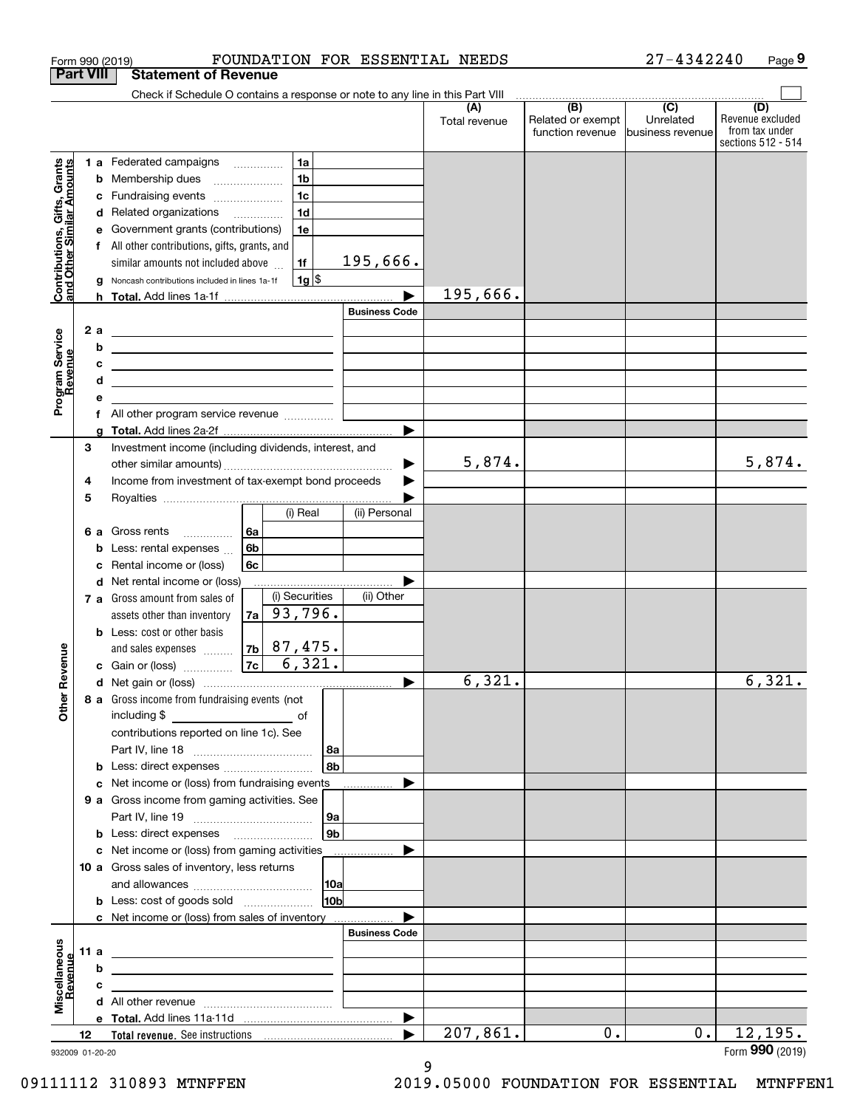|                                                           |                  |     | Form 990 (2019)                                                                                                       |                                                                          |                        | FOUNDATION FOR ESSENTIAL NEEDS |                      |                                              | 27-4342240                                      | Page 9                                    |
|-----------------------------------------------------------|------------------|-----|-----------------------------------------------------------------------------------------------------------------------|--------------------------------------------------------------------------|------------------------|--------------------------------|----------------------|----------------------------------------------|-------------------------------------------------|-------------------------------------------|
|                                                           | <b>Part VIII</b> |     | <b>Statement of Revenue</b>                                                                                           |                                                                          |                        |                                |                      |                                              |                                                 |                                           |
|                                                           |                  |     | Check if Schedule O contains a response or note to any line in this Part VIII                                         |                                                                          |                        |                                |                      |                                              |                                                 |                                           |
|                                                           |                  |     |                                                                                                                       |                                                                          |                        |                                | (A)<br>Total revenue | (B)<br>Related or exempt<br>function revenue | $\overline{C}$<br>Unrelated<br>business revenue | (D)<br>Revenue excluded<br>from tax under |
|                                                           |                  |     |                                                                                                                       |                                                                          |                        |                                |                      |                                              |                                                 | sections 512 - 514                        |
| Contributions, Gifts, Grants<br>and Other Similar Amounts |                  |     | 1 a Federated campaigns                                                                                               | 1a                                                                       |                        |                                |                      |                                              |                                                 |                                           |
|                                                           |                  |     | <b>b</b> Membership dues                                                                                              | 1 <sub>b</sub><br>$\ldots \ldots \ldots \ldots \ldots$<br>1 <sub>c</sub> |                        |                                |                      |                                              |                                                 |                                           |
|                                                           |                  | с   | Fundraising events<br>d Related organizations                                                                         | 1 <sub>d</sub>                                                           |                        |                                |                      |                                              |                                                 |                                           |
|                                                           |                  |     | e Government grants (contributions)                                                                                   | 1e                                                                       |                        |                                |                      |                                              |                                                 |                                           |
|                                                           |                  |     | f All other contributions, gifts, grants, and                                                                         |                                                                          |                        |                                |                      |                                              |                                                 |                                           |
|                                                           |                  |     | similar amounts not included above                                                                                    | 1f                                                                       |                        | 195,666.                       |                      |                                              |                                                 |                                           |
|                                                           |                  |     | Noncash contributions included in lines 1a-1f                                                                         |                                                                          | $1g$ \$                |                                |                      |                                              |                                                 |                                           |
|                                                           |                  |     |                                                                                                                       |                                                                          |                        |                                | 195,666.             |                                              |                                                 |                                           |
|                                                           |                  |     |                                                                                                                       |                                                                          |                        | <b>Business Code</b>           |                      |                                              |                                                 |                                           |
|                                                           |                  | 2 a | <u> 1989 - Johann Barn, amerikansk politiker (d. 1989)</u>                                                            |                                                                          |                        |                                |                      |                                              |                                                 |                                           |
| Program Service<br>Revenue                                |                  | b   | <u> 1989 - Johann John Stone, meil in der Stone aus der Stone aus der Stone aus der Stone aus der Stone aus der S</u> |                                                                          |                        |                                |                      |                                              |                                                 |                                           |
|                                                           |                  | c   | <u> 1989 - Johann Stein, fransk politik (d. 1989)</u>                                                                 |                                                                          |                        |                                |                      |                                              |                                                 |                                           |
|                                                           |                  | d   | <u> 1989 - Johann Barbara, martxa alemaniar a</u>                                                                     |                                                                          |                        |                                |                      |                                              |                                                 |                                           |
|                                                           |                  | е   |                                                                                                                       |                                                                          |                        |                                |                      |                                              |                                                 |                                           |
|                                                           |                  | f   |                                                                                                                       |                                                                          |                        |                                |                      |                                              |                                                 |                                           |
|                                                           |                  | a   |                                                                                                                       |                                                                          |                        | $\blacktriangleright$          |                      |                                              |                                                 |                                           |
|                                                           | 3                |     | Investment income (including dividends, interest, and                                                                 |                                                                          |                        |                                |                      |                                              |                                                 |                                           |
|                                                           |                  |     |                                                                                                                       |                                                                          |                        |                                | 5,874.               |                                              |                                                 | 5,874.                                    |
|                                                           | 4                |     | Income from investment of tax-exempt bond proceeds                                                                    |                                                                          |                        |                                |                      |                                              |                                                 |                                           |
|                                                           | 5                |     |                                                                                                                       | (i) Real                                                                 |                        |                                |                      |                                              |                                                 |                                           |
|                                                           |                  |     |                                                                                                                       |                                                                          |                        | (ii) Personal                  |                      |                                              |                                                 |                                           |
|                                                           |                  |     | 6 a Gross rents<br>.                                                                                                  | 6a                                                                       |                        |                                |                      |                                              |                                                 |                                           |
|                                                           |                  | b   | Less: rental expenses                                                                                                 | 6 <sub>b</sub>                                                           |                        |                                |                      |                                              |                                                 |                                           |
|                                                           |                  | c   | Rental income or (loss)                                                                                               | 6c                                                                       |                        |                                |                      |                                              |                                                 |                                           |
|                                                           |                  |     | d Net rental income or (loss)<br>7 a Gross amount from sales of                                                       | (i) Securities                                                           |                        | (ii) Other                     |                      |                                              |                                                 |                                           |
|                                                           |                  |     | assets other than inventory                                                                                           | 93,796.<br>7a                                                            |                        |                                |                      |                                              |                                                 |                                           |
|                                                           |                  |     | <b>b</b> Less: cost or other basis                                                                                    |                                                                          |                        |                                |                      |                                              |                                                 |                                           |
|                                                           |                  |     | and sales expenses                                                                                                    | $7b$ 87, 475.                                                            |                        |                                |                      |                                              |                                                 |                                           |
| venue                                                     |                  |     | c Gain or (loss)                                                                                                      | 7c                                                                       | 6,321.                 |                                |                      |                                              |                                                 |                                           |
|                                                           |                  |     |                                                                                                                       |                                                                          |                        |                                | 6,321.               |                                              |                                                 | 6,321.                                    |
| Other Re                                                  |                  |     | 8 a Gross income from fundraising events (not                                                                         |                                                                          |                        |                                |                      |                                              |                                                 |                                           |
|                                                           |                  |     |                                                                                                                       |                                                                          |                        |                                |                      |                                              |                                                 |                                           |
|                                                           |                  |     | contributions reported on line 1c). See                                                                               |                                                                          |                        |                                |                      |                                              |                                                 |                                           |
|                                                           |                  |     |                                                                                                                       |                                                                          | 8a                     |                                |                      |                                              |                                                 |                                           |
|                                                           |                  |     | <b>b</b> Less: direct expenses                                                                                        |                                                                          | 8b                     |                                |                      |                                              |                                                 |                                           |
|                                                           |                  |     | c Net income or (loss) from fundraising events                                                                        |                                                                          |                        | .                              |                      |                                              |                                                 |                                           |
|                                                           |                  |     | 9 a Gross income from gaming activities. See                                                                          |                                                                          |                        |                                |                      |                                              |                                                 |                                           |
|                                                           |                  |     |                                                                                                                       |                                                                          | 9а                     |                                |                      |                                              |                                                 |                                           |
|                                                           |                  |     |                                                                                                                       |                                                                          | 9 <sub>b</sub>         |                                |                      |                                              |                                                 |                                           |
|                                                           |                  |     | c Net income or (loss) from gaming activities                                                                         |                                                                          |                        |                                |                      |                                              |                                                 |                                           |
|                                                           |                  |     | 10 a Gross sales of inventory, less returns                                                                           |                                                                          |                        |                                |                      |                                              |                                                 |                                           |
|                                                           |                  |     |                                                                                                                       |                                                                          | 10a<br>10 <sub>b</sub> |                                |                      |                                              |                                                 |                                           |
|                                                           |                  |     | <b>b</b> Less: cost of goods sold                                                                                     |                                                                          |                        |                                |                      |                                              |                                                 |                                           |
|                                                           |                  |     | c Net income or (loss) from sales of inventory                                                                        |                                                                          |                        | <b>Business Code</b>           |                      |                                              |                                                 |                                           |
|                                                           | 11 a             |     |                                                                                                                       |                                                                          |                        |                                |                      |                                              |                                                 |                                           |
|                                                           |                  | b   |                                                                                                                       |                                                                          |                        |                                |                      |                                              |                                                 |                                           |
| Revenue                                                   |                  | c   |                                                                                                                       |                                                                          |                        |                                |                      |                                              |                                                 |                                           |
| Miscellaneous                                             |                  |     |                                                                                                                       |                                                                          |                        |                                |                      |                                              |                                                 |                                           |
|                                                           |                  |     |                                                                                                                       |                                                                          |                        | ▶                              |                      |                                              |                                                 |                                           |
|                                                           | 12               |     |                                                                                                                       |                                                                          |                        |                                | 207,861.             | 0.                                           | 0.1                                             | 12, 195.                                  |
| 932009 01-20-20                                           |                  |     |                                                                                                                       |                                                                          |                        |                                |                      |                                              |                                                 | Form 990 (2019)                           |

932009 01-20-20

9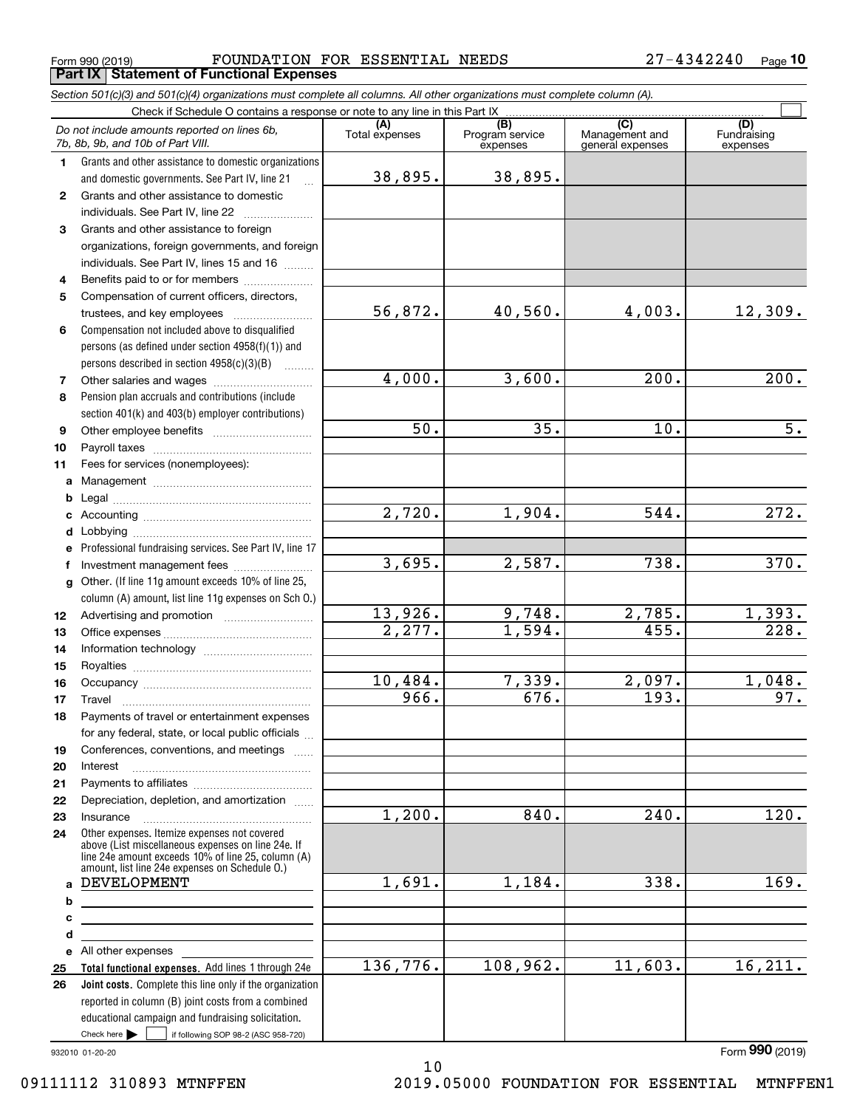Form 990 (2019) FOUNDATION FOR ESSENTIAL NEEDS 27-4342240 Page **Part IX Statement of Functional Expenses**

*Section 501(c)(3) and 501(c)(4) organizations must complete all columns. All other organizations must complete column (A).*

|    | Check if Schedule O contains a response or note to any line in this Part IX                                                                                                                                |                 |                                    |                                           |                                |
|----|------------------------------------------------------------------------------------------------------------------------------------------------------------------------------------------------------------|-----------------|------------------------------------|-------------------------------------------|--------------------------------|
|    | Do not include amounts reported on lines 6b,<br>7b, 8b, 9b, and 10b of Part VIII.                                                                                                                          | Total expenses  | (B)<br>Program service<br>expenses | (C)<br>Management and<br>general expenses | (D)<br>Fundraising<br>expenses |
| 1  | Grants and other assistance to domestic organizations                                                                                                                                                      |                 |                                    |                                           |                                |
|    | and domestic governments. See Part IV, line 21                                                                                                                                                             | 38,895.         | 38,895.                            |                                           |                                |
| 2  | Grants and other assistance to domestic                                                                                                                                                                    |                 |                                    |                                           |                                |
|    | individuals. See Part IV, line 22                                                                                                                                                                          |                 |                                    |                                           |                                |
| 3  | Grants and other assistance to foreign                                                                                                                                                                     |                 |                                    |                                           |                                |
|    | organizations, foreign governments, and foreign                                                                                                                                                            |                 |                                    |                                           |                                |
|    | individuals. See Part IV, lines 15 and 16                                                                                                                                                                  |                 |                                    |                                           |                                |
| 4  | Benefits paid to or for members                                                                                                                                                                            |                 |                                    |                                           |                                |
| 5  | Compensation of current officers, directors,                                                                                                                                                               |                 |                                    |                                           |                                |
|    | trustees, and key employees                                                                                                                                                                                | 56,872.         | 40,560.                            | 4,003.                                    | 12, 309.                       |
| 6  | Compensation not included above to disqualified                                                                                                                                                            |                 |                                    |                                           |                                |
|    | persons (as defined under section 4958(f)(1)) and                                                                                                                                                          |                 |                                    |                                           |                                |
|    | persons described in section 4958(c)(3)(B)                                                                                                                                                                 | 4,000.          | 3,600.                             | 200.                                      | 200.                           |
| 7  |                                                                                                                                                                                                            |                 |                                    |                                           |                                |
| 8  | Pension plan accruals and contributions (include<br>section 401(k) and 403(b) employer contributions)                                                                                                      |                 |                                    |                                           |                                |
| 9  |                                                                                                                                                                                                            | 50.             | 35.                                | 10.                                       | $\overline{5}$ .               |
| 10 |                                                                                                                                                                                                            |                 |                                    |                                           |                                |
| 11 | Fees for services (nonemployees):                                                                                                                                                                          |                 |                                    |                                           |                                |
| a  |                                                                                                                                                                                                            |                 |                                    |                                           |                                |
| b  |                                                                                                                                                                                                            |                 |                                    |                                           |                                |
| c  |                                                                                                                                                                                                            | 2,720.          | 1,904.                             | 544.                                      | 272.                           |
| d  |                                                                                                                                                                                                            |                 |                                    |                                           |                                |
| е  | Professional fundraising services. See Part IV, line 17                                                                                                                                                    |                 |                                    |                                           |                                |
| f  | Investment management fees                                                                                                                                                                                 | 3,695.          | 2,587.                             | 738.                                      | 370.                           |
| g  | Other. (If line 11g amount exceeds 10% of line 25,                                                                                                                                                         |                 |                                    |                                           |                                |
|    | column (A) amount, list line 11g expenses on Sch O.)                                                                                                                                                       |                 |                                    |                                           |                                |
| 12 |                                                                                                                                                                                                            | 13,926.         | 9,748.                             | 2,785.                                    | <u>1,393.</u>                  |
| 13 |                                                                                                                                                                                                            | 2,277.          | 1,594.                             | 455.                                      | $\overline{228}$ .             |
| 14 |                                                                                                                                                                                                            |                 |                                    |                                           |                                |
| 15 |                                                                                                                                                                                                            |                 |                                    |                                           |                                |
| 16 |                                                                                                                                                                                                            | 10,484.<br>966. | $\overline{7,339}$ .<br>676.       | <u>2,097.</u><br>193.                     | 1,048.<br>97.                  |
| 17 | Travel                                                                                                                                                                                                     |                 |                                    |                                           |                                |
| 18 | Payments of travel or entertainment expenses<br>for any federal, state, or local public officials                                                                                                          |                 |                                    |                                           |                                |
| 19 | Conferences, conventions, and meetings                                                                                                                                                                     |                 |                                    |                                           |                                |
| 20 | Interest                                                                                                                                                                                                   |                 |                                    |                                           |                                |
| 21 |                                                                                                                                                                                                            |                 |                                    |                                           |                                |
| 22 | Depreciation, depletion, and amortization                                                                                                                                                                  |                 |                                    |                                           |                                |
| 23 | Insurance                                                                                                                                                                                                  | 1,200.          | 840.                               | 240.                                      | 120.                           |
| 24 | Other expenses. Itemize expenses not covered<br>above (List miscellaneous expenses on line 24e. If<br>line 24e amount exceeds 10% of line 25, column (A)<br>amount, list line 24e expenses on Schedule O.) |                 |                                    |                                           |                                |
| a  | <b>DEVELOPMENT</b>                                                                                                                                                                                         | 1,691.          | 1,184.                             | 338.                                      | 169.                           |
| b  |                                                                                                                                                                                                            |                 |                                    |                                           |                                |
| с  | <u> 1989 - Johann Barbara, martin amerikan basar dan berasal dalam basa dalam basar dalam basar dalam basa dalam</u>                                                                                       |                 |                                    |                                           |                                |
| d  | <u> 1989 - Johann Stein, marwolaethau a bhann an t-Albann an t-Albann an t-Albann an t-Albann an t-Albann an t-Alb</u>                                                                                     |                 |                                    |                                           |                                |
|    |                                                                                                                                                                                                            |                 |                                    |                                           |                                |
| 25 | Total functional expenses. Add lines 1 through 24e                                                                                                                                                         | 136,776.        | 108,962.                           | 11,603.                                   | 16, 211.                       |
| 26 | <b>Joint costs.</b> Complete this line only if the organization                                                                                                                                            |                 |                                    |                                           |                                |
|    | reported in column (B) joint costs from a combined                                                                                                                                                         |                 |                                    |                                           |                                |
|    | educational campaign and fundraising solicitation.<br>Check here $\blacktriangleright$<br>if following SOP 98-2 (ASC 958-720)                                                                              |                 |                                    |                                           |                                |
|    |                                                                                                                                                                                                            |                 |                                    |                                           |                                |

10

932010 01-20-20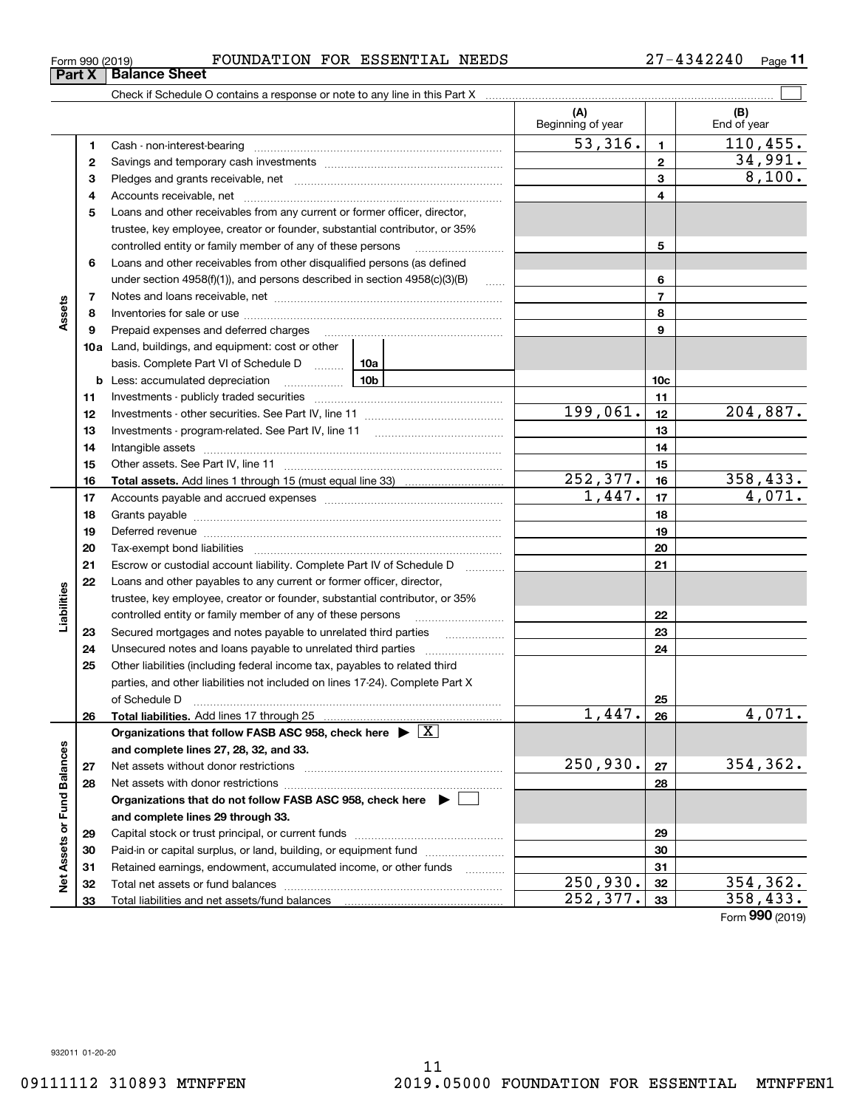**10c11121314151617181920212223242526b** Less: accumulated depreciation  $\ldots$  **10b Total assets.**  Add lines 1 through 15 (must equal line 33) **Total liabilities.**  Add lines 17 through 25 **Organizations that follow FASB ASC 958, check here** | X **and complete lines 27, 28, 32, and 33. 2728Organizations that do not follow FASB ASC 958, check here** | **and complete lines 29 through 33. 2930313233**Investments - publicly traded securities ~~~~~~~~~~~~~~~~~~~ Investments - other securities. See Part IV, line 11 ~~~~~~~~~~~~~~ Investments - program-related. See Part IV, line 11 ~~~~~~~~~~~~~Intangible assets ~~~~~~~~~~~~~~~~~~~~~~~~~~~~~~ Other assets. See Part IV, line 11 ~~~~~~~~~~~~~~~~~~~~~~ Accounts payable and accrued expenses ~~~~~~~~~~~~~~~~~~ Grants payable ~~~~~~~~~~~~~~~~~~~~~~~~~~~~~~~ Deferred revenue ~~~~~~~~~~~~~~~~~~~~~~~~~~~~~~ Tax-exempt bond liabilities …………………………………………………………… Escrow or custodial account liability. Complete Part IV of Schedule D Loans and other payables to any current or former officer, director, trustee, key employee, creator or founder, substantial contributor, or 35% controlled entity or family member of any of these persons ~~~~~~~~~Secured mortgages and notes payable to unrelated third parties **Fig. 1.1.1.1.1.1.1.1.1.1.** Unsecured notes and loans payable to unrelated third parties  $\ldots$ Other liabilities (including federal income tax, payables to related third parties, and other liabilities not included on lines 17-24). Complete Part X of Schedule D ~~~~~~~~~~~~~~~~~~~~~~~~~~~~~~~ Net assets without donor restrictions ~~~~~~~~~~~~~~~~~~~~ Net assets with donor restrictions ~~~~~~~~~~~~~~~~~~~~~~ Capital stock or trust principal, or current funds ~~~~~~~~~~~~~~~Paid-in or capital surplus, or land, building, or equipment fund Retained earnings, endowment, accumulated income, or other funds Total net assets or fund balances ~~~~~~~~~~~~~~~~~~~~~~ Total liabilities and net assets/fund balances Form (2019) **990** $252,377.$  16 358,433.  $1,447.$   $17$   $4,071.$  $1,447. |26 | 4,071.$  $250,930. |27|$  354,362.  $250,930.$   $354,362.$  $252,377.$  33 358,433.  $199,061.$   $12$  204,887.

11

### Form 990 (2019) FOUNDATION FOR ESSENTIAL NEEDS 27-4342240 Page

**3** Pledges and grants receivable, net  $\ldots$  **multimes contained and grants receivable**, net **multimes contained and grants receivable**, net **multimes contained and grants receivable** 

trustee, key employee, creator or founder, substantial contributor, or 35% controlled entity or family member of any of these persons ~~~~~~~~~ Loans and other receivables from other disqualified persons (as defined under section 4958(f)(1)), and persons described in section 4958(c)(3)(B) Notes and loans receivable, net ~~~~~~~~~~~~~~~~~~~~~~~ Inventories for sale or use ~~~~~~~~~~~~~~~~~~~~~~~~~~Prepaid expenses and deferred charges ~~~~~~~~~~~~~~~~~~

Cash - non-interest-bearing ~~~~~~~~~~~~~~~~~~~~~~~~~ Savings and temporary cash investments ~~~~~~~~~~~~~~~~~~

Accounts receivable, net ~~~~~~~~~~~~~~~~~~~~~~~~~~

Check if Schedule O contains a response or note to any line in this Part X

**5**Loans and other receivables from any current or former officer, director,

**10a**Land, buildings, and equipment: cost or other

basis. Complete Part VI of Schedule D www.ptimes.

 $53,316.$  1 10,455.

**(A) (B)**

Beginning of year | | End of year

**5**

 $\mathcal{L}^{\text{max}}$ 

8,100.

34,991.

**12**

**Part X** Balance Sheet

**4**

**6**

**789**

**Assets**

**232425**

**Liabilities**

iabilities

**26**

**2728**

**Net Assets or Fund Balances**

Net Assets or Fund Balances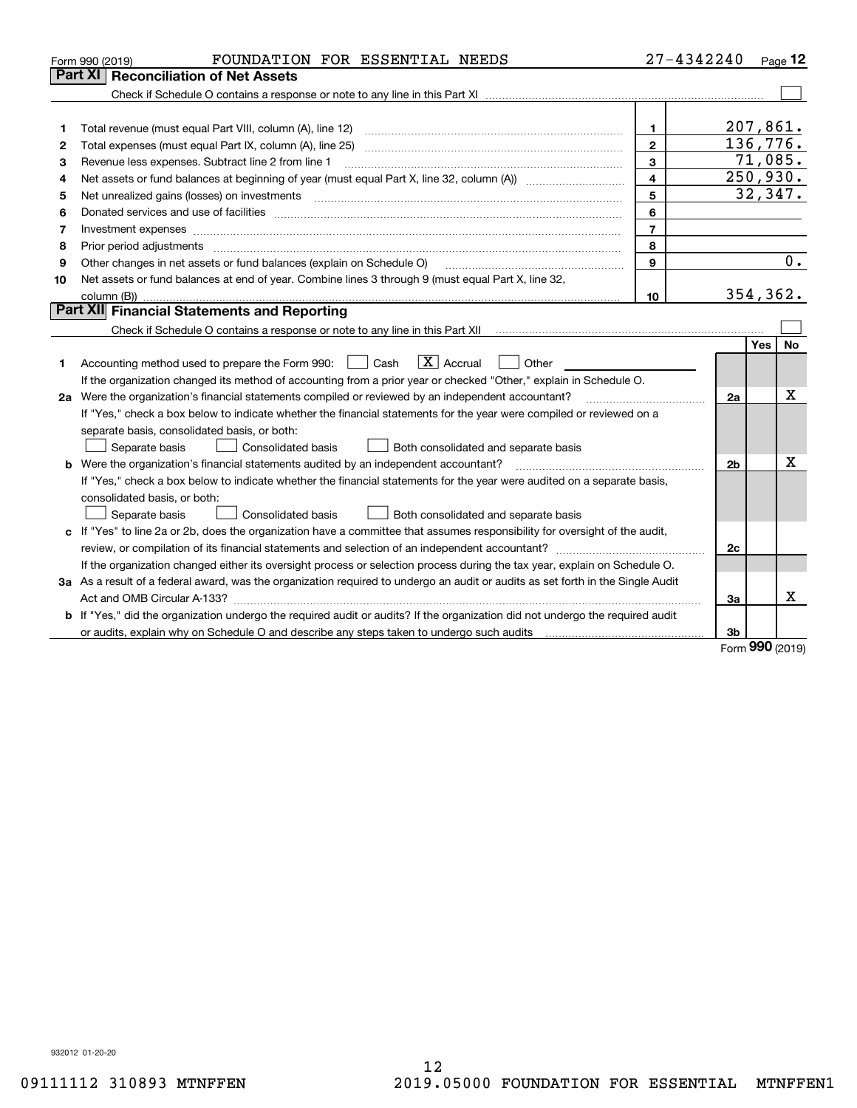|    | FOUNDATION FOR ESSENTIAL NEEDS<br>Form 990 (2019)                                                                                                                                                                              | 27-4342240     |                |         | Page 12   |
|----|--------------------------------------------------------------------------------------------------------------------------------------------------------------------------------------------------------------------------------|----------------|----------------|---------|-----------|
|    | Part XI<br><b>Reconciliation of Net Assets</b>                                                                                                                                                                                 |                |                |         |           |
|    |                                                                                                                                                                                                                                |                |                |         |           |
|    |                                                                                                                                                                                                                                |                |                |         |           |
| 1  |                                                                                                                                                                                                                                | $\mathbf{1}$   | 207,861.       |         |           |
| 2  |                                                                                                                                                                                                                                | $\overline{2}$ | 136,776.       |         |           |
| з  | Revenue less expenses. Subtract line 2 from line 1                                                                                                                                                                             | 3              |                | 71,085. |           |
| 4  |                                                                                                                                                                                                                                | 4              | 250,930.       |         |           |
| 5  |                                                                                                                                                                                                                                | 5              |                | 32,347. |           |
| 6  |                                                                                                                                                                                                                                | 6              |                |         |           |
| 7  |                                                                                                                                                                                                                                | $\overline{7}$ |                |         |           |
| 8  | Prior period adjustments manufactured content and all the content of the content of the content of the content of the content of the content of the content of the content of the content of the content of the content of the | 8              |                |         |           |
| 9  | Other changes in net assets or fund balances (explain on Schedule O)                                                                                                                                                           | 9              |                |         | 0.        |
| 10 | Net assets or fund balances at end of year. Combine lines 3 through 9 (must equal Part X, line 32,                                                                                                                             |                |                |         |           |
|    |                                                                                                                                                                                                                                | 10             | 354,362.       |         |           |
|    | Part XII Financial Statements and Reporting                                                                                                                                                                                    |                |                |         |           |
|    |                                                                                                                                                                                                                                |                |                |         |           |
|    |                                                                                                                                                                                                                                |                |                | Yes     | <b>No</b> |
| 1. | $\boxed{\text{X}}$ Accrual<br>Accounting method used to prepare the Form 990: <u>[</u> Cash<br>Other                                                                                                                           |                |                |         |           |
|    | If the organization changed its method of accounting from a prior year or checked "Other," explain in Schedule O.                                                                                                              |                |                |         |           |
|    | 2a Were the organization's financial statements compiled or reviewed by an independent accountant?                                                                                                                             |                | 2a             |         | Χ         |
|    | If "Yes," check a box below to indicate whether the financial statements for the year were compiled or reviewed on a                                                                                                           |                |                |         |           |
|    | separate basis, consolidated basis, or both:                                                                                                                                                                                   |                |                |         |           |
|    | Separate basis<br><b>Both consolidated and separate basis</b><br>Consolidated basis                                                                                                                                            |                |                |         |           |
|    | <b>b</b> Were the organization's financial statements audited by an independent accountant?                                                                                                                                    |                | 2 <sub>b</sub> |         | Χ         |
|    | If "Yes," check a box below to indicate whether the financial statements for the year were audited on a separate basis,                                                                                                        |                |                |         |           |
|    | consolidated basis, or both:                                                                                                                                                                                                   |                |                |         |           |
|    | Separate basis<br>Consolidated basis<br>Both consolidated and separate basis                                                                                                                                                   |                |                |         |           |
|    | c If "Yes" to line 2a or 2b, does the organization have a committee that assumes responsibility for oversight of the audit,                                                                                                    |                |                |         |           |
|    |                                                                                                                                                                                                                                |                | 2c             |         |           |
|    | If the organization changed either its oversight process or selection process during the tax year, explain on Schedule O.                                                                                                      |                |                |         |           |
|    | 3a As a result of a federal award, was the organization required to undergo an audit or audits as set forth in the Single Audit                                                                                                |                |                |         |           |
|    |                                                                                                                                                                                                                                |                | За             |         | x         |
|    | b If "Yes," did the organization undergo the required audit or audits? If the organization did not undergo the required audit                                                                                                  |                |                |         |           |
|    | or audits, explain why on Schedule O and describe any steps taken to undergo such audits [11] our manuscription why on Schedule O and describe any steps taken to undergo such audits                                          |                | 3b             | nnn.    |           |
|    |                                                                                                                                                                                                                                |                |                |         |           |

Form (2019) **990**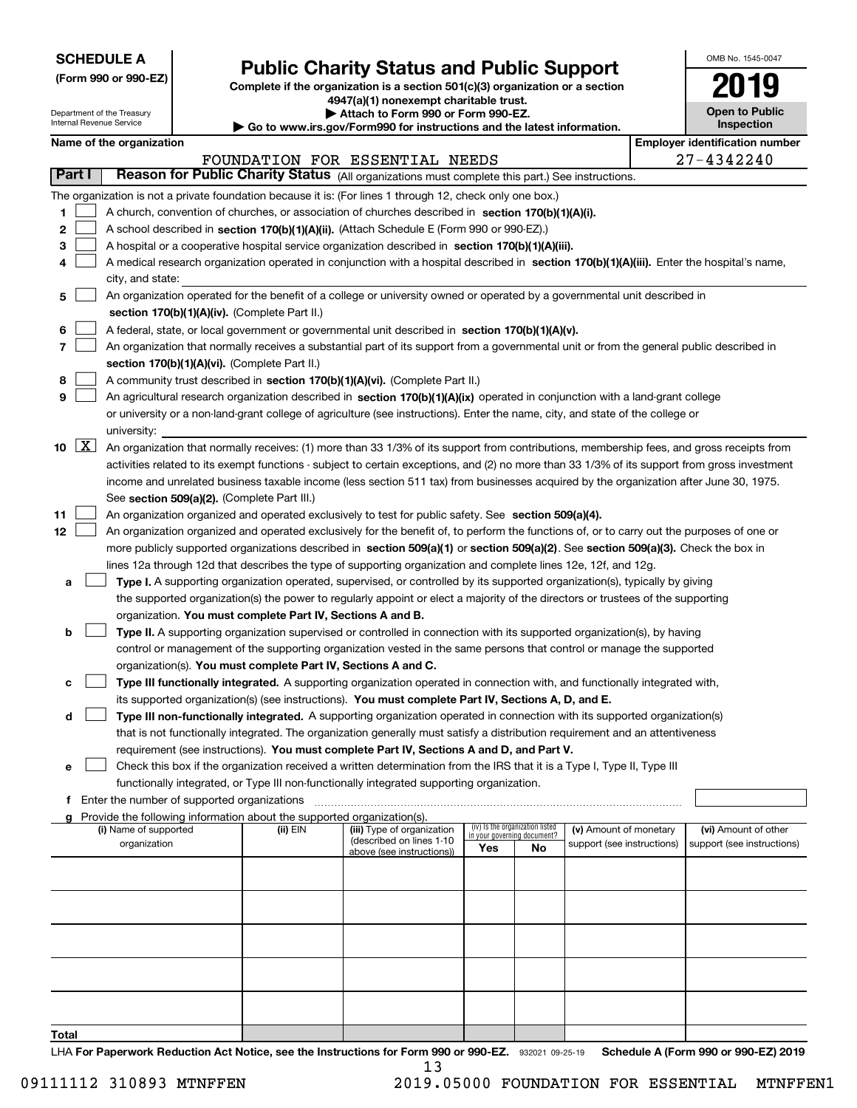| <b>SCHEDULE A</b> |
|-------------------|
|-------------------|

Department of the Treasury Internal Revenue Service

**(Form 990 or 990-EZ)**

# **Public Charity Status and Public Support**

**Complete if the organization is a section 501(c)(3) organization or a section 4947(a)(1) nonexempt charitable trust. | Attach to Form 990 or Form 990-EZ.** 

| $\blacktriangleright$ Attuon to Form over or Form over EE.               |
|--------------------------------------------------------------------------|
| ▶ Go to www.irs.gov/Form990 for instructions and the latest information. |

| OMB No 1545-0047                    |
|-------------------------------------|
| 2019                                |
| <b>Open to Public</b><br>Inspection |

|  | Name of the organization |
|--|--------------------------|
|--|--------------------------|

|       |                     | Name of the organization                                                                                                                                                                                                                        |          |                                                        |                             |                                 |                            | <b>Employer identification number</b> |
|-------|---------------------|-------------------------------------------------------------------------------------------------------------------------------------------------------------------------------------------------------------------------------------------------|----------|--------------------------------------------------------|-----------------------------|---------------------------------|----------------------------|---------------------------------------|
|       |                     |                                                                                                                                                                                                                                                 |          | FOUNDATION FOR ESSENTIAL NEEDS                         |                             |                                 |                            | 27-4342240                            |
|       | Part I              | Reason for Public Charity Status (All organizations must complete this part.) See instructions.                                                                                                                                                 |          |                                                        |                             |                                 |                            |                                       |
|       |                     | The organization is not a private foundation because it is: (For lines 1 through 12, check only one box.)                                                                                                                                       |          |                                                        |                             |                                 |                            |                                       |
| 1.    |                     | A church, convention of churches, or association of churches described in section 170(b)(1)(A)(i).                                                                                                                                              |          |                                                        |                             |                                 |                            |                                       |
| 2     |                     | A school described in section 170(b)(1)(A)(ii). (Attach Schedule E (Form 990 or 990-EZ).)                                                                                                                                                       |          |                                                        |                             |                                 |                            |                                       |
| 3     |                     | A hospital or a cooperative hospital service organization described in section $170(b)(1)(A)(iii)$ .                                                                                                                                            |          |                                                        |                             |                                 |                            |                                       |
| 4     |                     | A medical research organization operated in conjunction with a hospital described in section 170(b)(1)(A)(iii). Enter the hospital's name,                                                                                                      |          |                                                        |                             |                                 |                            |                                       |
|       |                     | city, and state:                                                                                                                                                                                                                                |          |                                                        |                             |                                 |                            |                                       |
| 5     |                     | An organization operated for the benefit of a college or university owned or operated by a governmental unit described in                                                                                                                       |          |                                                        |                             |                                 |                            |                                       |
|       |                     | section 170(b)(1)(A)(iv). (Complete Part II.)                                                                                                                                                                                                   |          |                                                        |                             |                                 |                            |                                       |
| 6     |                     | A federal, state, or local government or governmental unit described in section 170(b)(1)(A)(v).                                                                                                                                                |          |                                                        |                             |                                 |                            |                                       |
| 7     |                     | An organization that normally receives a substantial part of its support from a governmental unit or from the general public described in                                                                                                       |          |                                                        |                             |                                 |                            |                                       |
|       |                     | section 170(b)(1)(A)(vi). (Complete Part II.)                                                                                                                                                                                                   |          |                                                        |                             |                                 |                            |                                       |
| 8     |                     | A community trust described in section 170(b)(1)(A)(vi). (Complete Part II.)                                                                                                                                                                    |          |                                                        |                             |                                 |                            |                                       |
| 9     |                     | An agricultural research organization described in section 170(b)(1)(A)(ix) operated in conjunction with a land-grant college                                                                                                                   |          |                                                        |                             |                                 |                            |                                       |
|       |                     | or university or a non-land-grant college of agriculture (see instructions). Enter the name, city, and state of the college or                                                                                                                  |          |                                                        |                             |                                 |                            |                                       |
|       |                     | university:                                                                                                                                                                                                                                     |          |                                                        |                             |                                 |                            |                                       |
| 10    | $\lfloor x \rfloor$ | An organization that normally receives: (1) more than 33 1/3% of its support from contributions, membership fees, and gross receipts from                                                                                                       |          |                                                        |                             |                                 |                            |                                       |
|       |                     | activities related to its exempt functions - subject to certain exceptions, and (2) no more than 33 1/3% of its support from gross investment                                                                                                   |          |                                                        |                             |                                 |                            |                                       |
|       |                     | income and unrelated business taxable income (less section 511 tax) from businesses acquired by the organization after June 30, 1975.                                                                                                           |          |                                                        |                             |                                 |                            |                                       |
|       |                     | See section 509(a)(2). (Complete Part III.)                                                                                                                                                                                                     |          |                                                        |                             |                                 |                            |                                       |
| 11    |                     | An organization organized and operated exclusively to test for public safety. See section 509(a)(4).                                                                                                                                            |          |                                                        |                             |                                 |                            |                                       |
| 12    |                     | An organization organized and operated exclusively for the benefit of, to perform the functions of, or to carry out the purposes of one or                                                                                                      |          |                                                        |                             |                                 |                            |                                       |
|       |                     | more publicly supported organizations described in section 509(a)(1) or section 509(a)(2). See section 509(a)(3). Check the box in                                                                                                              |          |                                                        |                             |                                 |                            |                                       |
|       |                     | lines 12a through 12d that describes the type of supporting organization and complete lines 12e, 12f, and 12g.                                                                                                                                  |          |                                                        |                             |                                 |                            |                                       |
| а     |                     | Type I. A supporting organization operated, supervised, or controlled by its supported organization(s), typically by giving                                                                                                                     |          |                                                        |                             |                                 |                            |                                       |
|       |                     | the supported organization(s) the power to regularly appoint or elect a majority of the directors or trustees of the supporting                                                                                                                 |          |                                                        |                             |                                 |                            |                                       |
|       |                     | organization. You must complete Part IV, Sections A and B.                                                                                                                                                                                      |          |                                                        |                             |                                 |                            |                                       |
| b     |                     | Type II. A supporting organization supervised or controlled in connection with its supported organization(s), by having<br>control or management of the supporting organization vested in the same persons that control or manage the supported |          |                                                        |                             |                                 |                            |                                       |
|       |                     | organization(s). You must complete Part IV, Sections A and C.                                                                                                                                                                                   |          |                                                        |                             |                                 |                            |                                       |
| с     |                     | Type III functionally integrated. A supporting organization operated in connection with, and functionally integrated with,                                                                                                                      |          |                                                        |                             |                                 |                            |                                       |
|       |                     | its supported organization(s) (see instructions). You must complete Part IV, Sections A, D, and E.                                                                                                                                              |          |                                                        |                             |                                 |                            |                                       |
| d     |                     | Type III non-functionally integrated. A supporting organization operated in connection with its supported organization(s)                                                                                                                       |          |                                                        |                             |                                 |                            |                                       |
|       |                     | that is not functionally integrated. The organization generally must satisfy a distribution requirement and an attentiveness                                                                                                                    |          |                                                        |                             |                                 |                            |                                       |
|       |                     | requirement (see instructions). You must complete Part IV, Sections A and D, and Part V.                                                                                                                                                        |          |                                                        |                             |                                 |                            |                                       |
|       |                     | Check this box if the organization received a written determination from the IRS that it is a Type I, Type II, Type III                                                                                                                         |          |                                                        |                             |                                 |                            |                                       |
|       |                     | functionally integrated, or Type III non-functionally integrated supporting organization.                                                                                                                                                       |          |                                                        |                             |                                 |                            |                                       |
|       |                     | f Enter the number of supported organizations                                                                                                                                                                                                   |          |                                                        |                             |                                 |                            |                                       |
|       |                     | g Provide the following information about the supported organization(s).                                                                                                                                                                        |          |                                                        |                             |                                 |                            |                                       |
|       |                     | (i) Name of supported                                                                                                                                                                                                                           | (ii) EIN | (iii) Type of organization<br>(described on lines 1-10 | in your governing document? | (iv) Is the organization listed | (v) Amount of monetary     | (vi) Amount of other                  |
|       |                     | organization                                                                                                                                                                                                                                    |          | above (see instructions))                              | Yes                         | No                              | support (see instructions) | support (see instructions)            |
|       |                     |                                                                                                                                                                                                                                                 |          |                                                        |                             |                                 |                            |                                       |
|       |                     |                                                                                                                                                                                                                                                 |          |                                                        |                             |                                 |                            |                                       |
|       |                     |                                                                                                                                                                                                                                                 |          |                                                        |                             |                                 |                            |                                       |
|       |                     |                                                                                                                                                                                                                                                 |          |                                                        |                             |                                 |                            |                                       |
|       |                     |                                                                                                                                                                                                                                                 |          |                                                        |                             |                                 |                            |                                       |
|       |                     |                                                                                                                                                                                                                                                 |          |                                                        |                             |                                 |                            |                                       |
|       |                     |                                                                                                                                                                                                                                                 |          |                                                        |                             |                                 |                            |                                       |
|       |                     |                                                                                                                                                                                                                                                 |          |                                                        |                             |                                 |                            |                                       |
|       |                     |                                                                                                                                                                                                                                                 |          |                                                        |                             |                                 |                            |                                       |
| Total |                     |                                                                                                                                                                                                                                                 |          |                                                        |                             |                                 |                            |                                       |
|       |                     |                                                                                                                                                                                                                                                 |          |                                                        |                             |                                 |                            |                                       |

LHA For Paperwork Reduction Act Notice, see the Instructions for Form 990 or 990-EZ. 932021 09-25-19 Schedule A (Form 990 or 990-EZ) 2019 13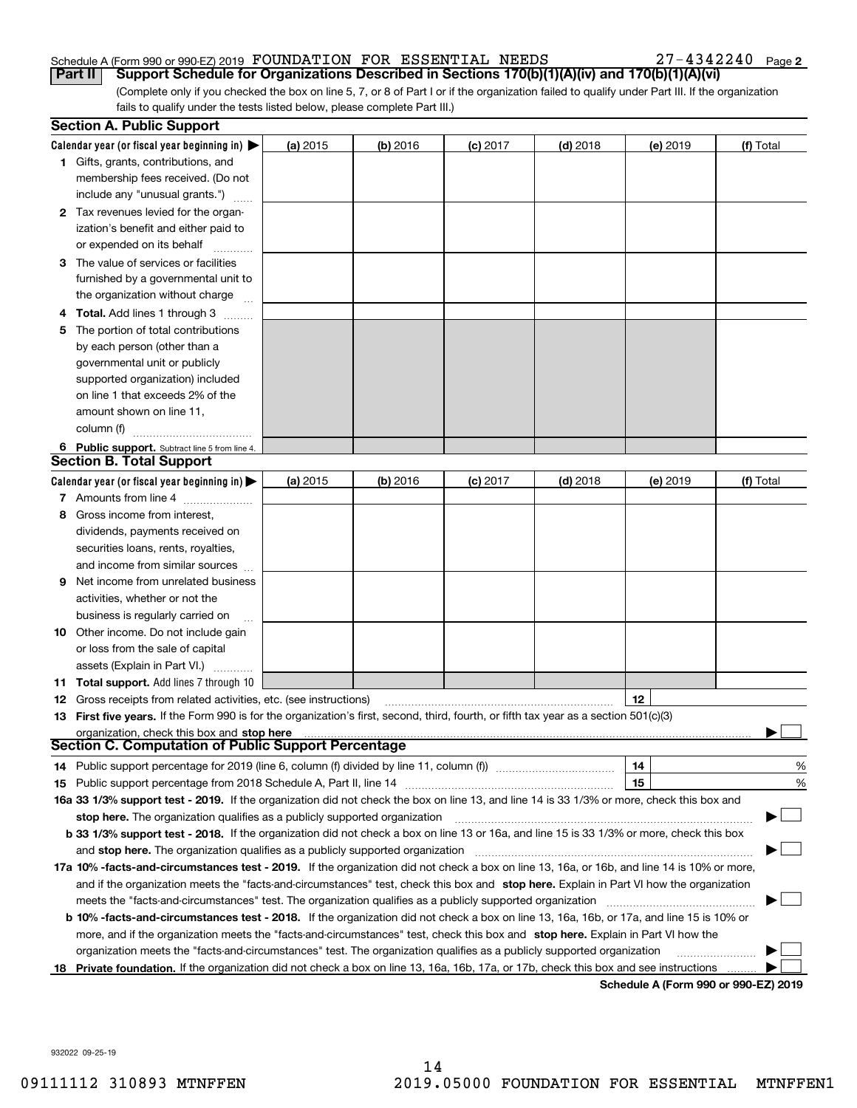### Schedule A (Form 990 or 990-EZ) 2019 Page FOUNDATION FOR ESSENTIAL NEEDS 27-4342240

 $27 - 4342240$  Page 2

(Complete only if you checked the box on line 5, 7, or 8 of Part I or if the organization failed to qualify under Part III. If the organization fails to qualify under the tests listed below, please complete Part III.) **Part II Support Schedule for Organizations Described in Sections 170(b)(1)(A)(iv) and 170(b)(1)(A)(vi)**

|    | <b>Section A. Public Support</b>                                                                                                               |            |            |            |            |          |                                      |
|----|------------------------------------------------------------------------------------------------------------------------------------------------|------------|------------|------------|------------|----------|--------------------------------------|
|    | Calendar year (or fiscal year beginning in) $\blacktriangleright$                                                                              | (a) 2015   | $(b)$ 2016 | $(c)$ 2017 | $(d)$ 2018 | (e) 2019 | (f) Total                            |
|    | 1 Gifts, grants, contributions, and                                                                                                            |            |            |            |            |          |                                      |
|    | membership fees received. (Do not                                                                                                              |            |            |            |            |          |                                      |
|    | include any "unusual grants.")                                                                                                                 |            |            |            |            |          |                                      |
|    | 2 Tax revenues levied for the organ-                                                                                                           |            |            |            |            |          |                                      |
|    | ization's benefit and either paid to                                                                                                           |            |            |            |            |          |                                      |
|    | or expended on its behalf                                                                                                                      |            |            |            |            |          |                                      |
|    | 3 The value of services or facilities                                                                                                          |            |            |            |            |          |                                      |
|    | furnished by a governmental unit to                                                                                                            |            |            |            |            |          |                                      |
|    | the organization without charge                                                                                                                |            |            |            |            |          |                                      |
|    | 4 Total. Add lines 1 through 3                                                                                                                 |            |            |            |            |          |                                      |
| 5. | The portion of total contributions                                                                                                             |            |            |            |            |          |                                      |
|    | by each person (other than a                                                                                                                   |            |            |            |            |          |                                      |
|    | governmental unit or publicly                                                                                                                  |            |            |            |            |          |                                      |
|    | supported organization) included                                                                                                               |            |            |            |            |          |                                      |
|    | on line 1 that exceeds 2% of the                                                                                                               |            |            |            |            |          |                                      |
|    | amount shown on line 11,                                                                                                                       |            |            |            |            |          |                                      |
|    | column (f)                                                                                                                                     |            |            |            |            |          |                                      |
|    | 6 Public support. Subtract line 5 from line 4.                                                                                                 |            |            |            |            |          |                                      |
|    | <b>Section B. Total Support</b>                                                                                                                |            |            |            |            |          |                                      |
|    | Calendar year (or fiscal year beginning in)                                                                                                    | (a) $2015$ | $(b)$ 2016 | $(c)$ 2017 | $(d)$ 2018 | (e) 2019 | (f) Total                            |
|    | 7 Amounts from line 4                                                                                                                          |            |            |            |            |          |                                      |
|    | 8 Gross income from interest,                                                                                                                  |            |            |            |            |          |                                      |
|    | dividends, payments received on                                                                                                                |            |            |            |            |          |                                      |
|    | securities loans, rents, royalties,                                                                                                            |            |            |            |            |          |                                      |
|    | and income from similar sources                                                                                                                |            |            |            |            |          |                                      |
| 9. | Net income from unrelated business                                                                                                             |            |            |            |            |          |                                      |
|    | activities, whether or not the                                                                                                                 |            |            |            |            |          |                                      |
|    | business is regularly carried on                                                                                                               |            |            |            |            |          |                                      |
|    | <b>10</b> Other income. Do not include gain                                                                                                    |            |            |            |            |          |                                      |
|    | or loss from the sale of capital                                                                                                               |            |            |            |            |          |                                      |
|    | assets (Explain in Part VI.)                                                                                                                   |            |            |            |            |          |                                      |
|    | 11 Total support. Add lines 7 through 10                                                                                                       |            |            |            |            |          |                                      |
|    | <b>12</b> Gross receipts from related activities, etc. (see instructions)                                                                      |            |            |            |            | 12       |                                      |
|    | 13 First five years. If the Form 990 is for the organization's first, second, third, fourth, or fifth tax year as a section 501(c)(3)          |            |            |            |            |          |                                      |
|    | organization, check this box and stop here                                                                                                     |            |            |            |            |          |                                      |
|    | Section C. Computation of Public Support Percentage                                                                                            |            |            |            |            |          |                                      |
|    | 14 Public support percentage for 2019 (line 6, column (f) divided by line 11, column (f) <i>mummeronom</i>                                     |            |            |            |            | 14       | %                                    |
|    |                                                                                                                                                |            |            |            |            | 15       | %                                    |
|    | 16a 33 1/3% support test - 2019. If the organization did not check the box on line 13, and line 14 is 33 1/3% or more, check this box and      |            |            |            |            |          |                                      |
|    | stop here. The organization qualifies as a publicly supported organization                                                                     |            |            |            |            |          | ▔▁▏                                  |
|    | b 33 1/3% support test - 2018. If the organization did not check a box on line 13 or 16a, and line 15 is 33 1/3% or more, check this box       |            |            |            |            |          |                                      |
|    | and stop here. The organization qualifies as a publicly supported organization                                                                 |            |            |            |            |          |                                      |
|    | 17a 10% -facts-and-circumstances test - 2019. If the organization did not check a box on line 13, 16a, or 16b, and line 14 is 10% or more,     |            |            |            |            |          |                                      |
|    | and if the organization meets the "facts-and-circumstances" test, check this box and stop here. Explain in Part VI how the organization        |            |            |            |            |          |                                      |
|    | meets the "facts-and-circumstances" test. The organization qualifies as a publicly supported organization                                      |            |            |            |            |          |                                      |
|    | <b>b 10% -facts-and-circumstances test - 2018.</b> If the organization did not check a box on line 13, 16a, 16b, or 17a, and line 15 is 10% or |            |            |            |            |          |                                      |
|    | more, and if the organization meets the "facts-and-circumstances" test, check this box and stop here. Explain in Part VI how the               |            |            |            |            |          |                                      |
|    | organization meets the "facts-and-circumstances" test. The organization qualifies as a publicly supported organization                         |            |            |            |            |          |                                      |
| 18 | Private foundation. If the organization did not check a box on line 13, 16a, 16b, 17a, or 17b, check this box and see instructions             |            |            |            |            |          | Schodule A (Form 000 or 000 F7) 2010 |

**Schedule A (Form 990 or 990-EZ) 2019**

932022 09-25-19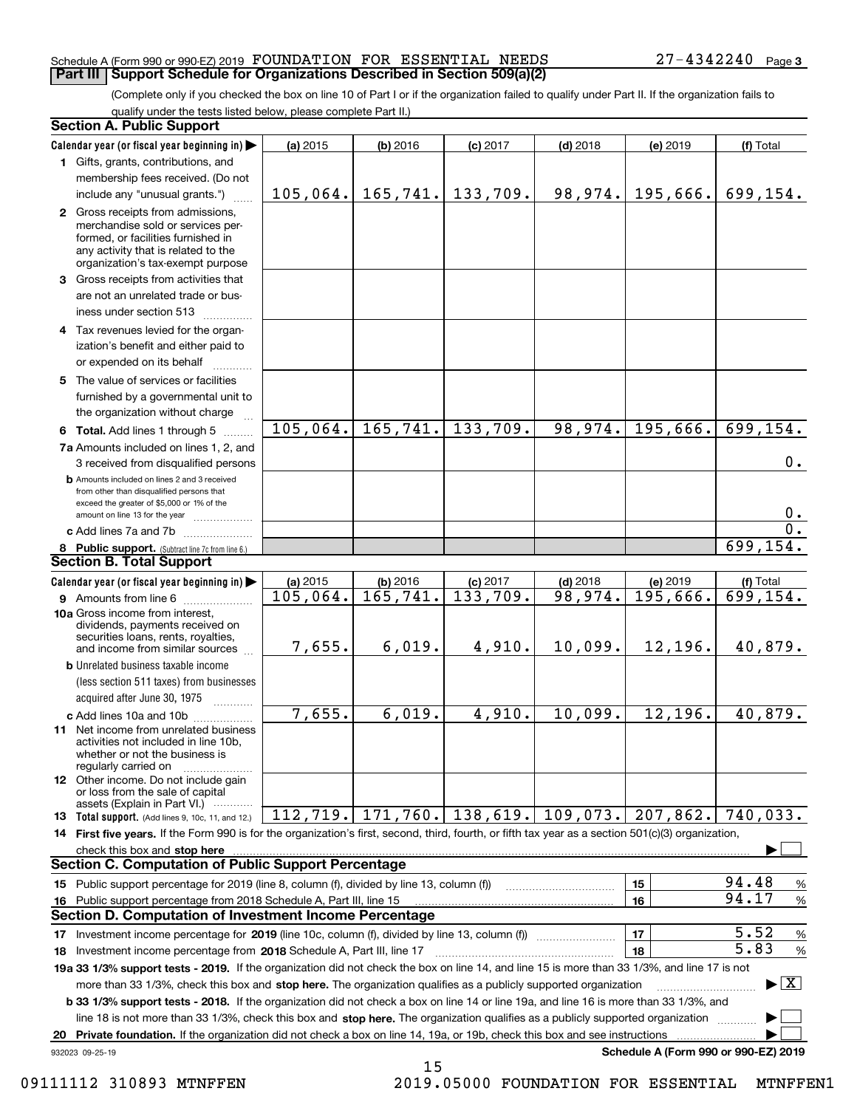### Schedule A (Form 990 or 990-EZ) 2019 Page FOUNDATION FOR ESSENTIAL NEEDS 27-4342240 **Part III Support Schedule for Organizations Described in Section 509(a)(2)**

(Complete only if you checked the box on line 10 of Part I or if the organization failed to qualify under Part II. If the organization fails to qualify under the tests listed below, please complete Part II.)

|    | <b>Section A. Public Support</b>                                                                                                                                                                                              |          |                                           |            |            |          |                                          |
|----|-------------------------------------------------------------------------------------------------------------------------------------------------------------------------------------------------------------------------------|----------|-------------------------------------------|------------|------------|----------|------------------------------------------|
|    | Calendar year (or fiscal year beginning in)                                                                                                                                                                                   | (a) 2015 | $(b)$ 2016                                | $(c)$ 2017 | $(d)$ 2018 | (e) 2019 | (f) Total                                |
|    | 1 Gifts, grants, contributions, and                                                                                                                                                                                           |          |                                           |            |            |          |                                          |
|    | membership fees received. (Do not                                                                                                                                                                                             |          |                                           |            |            |          |                                          |
|    | include any "unusual grants.")                                                                                                                                                                                                |          | $105, 064.$ 165, 741.                     | 133,709.   | 98,974.    | 195,666. | 699,154.                                 |
|    | 2 Gross receipts from admissions,<br>merchandise sold or services per-<br>formed, or facilities furnished in<br>any activity that is related to the<br>organization's tax-exempt purpose                                      |          |                                           |            |            |          |                                          |
|    | 3 Gross receipts from activities that<br>are not an unrelated trade or bus-<br>iness under section 513                                                                                                                        |          |                                           |            |            |          |                                          |
|    | 4 Tax revenues levied for the organ-<br>ization's benefit and either paid to                                                                                                                                                  |          |                                           |            |            |          |                                          |
|    | or expended on its behalf<br>.<br>5 The value of services or facilities<br>furnished by a governmental unit to<br>the organization without charge                                                                             |          |                                           |            |            |          |                                          |
|    | 6 Total. Add lines 1 through 5                                                                                                                                                                                                | 105,064. | 165, 741.                                 | 133,709.   | 98,974.    | 195,666. | 699, 154.                                |
|    | 7a Amounts included on lines 1, 2, and                                                                                                                                                                                        |          |                                           |            |            |          |                                          |
|    | 3 received from disqualified persons                                                                                                                                                                                          |          |                                           |            |            |          | 0.                                       |
|    | <b>b</b> Amounts included on lines 2 and 3 received<br>from other than disqualified persons that<br>exceed the greater of \$5,000 or 1% of the<br>amount on line 13 for the year                                              |          |                                           |            |            |          | 0.                                       |
|    | c Add lines 7a and 7b                                                                                                                                                                                                         |          |                                           |            |            |          | $\overline{0}$ .                         |
|    | 8 Public support. (Subtract line 7c from line 6.)                                                                                                                                                                             |          |                                           |            |            |          | 699, 154.                                |
|    | <b>Section B. Total Support</b>                                                                                                                                                                                               |          |                                           |            |            |          |                                          |
|    | Calendar year (or fiscal year beginning in)                                                                                                                                                                                   | (a) 2015 | $(b)$ 2016                                | $(c)$ 2017 | $(d)$ 2018 | (e) 2019 | (f) Total                                |
|    | <b>9</b> Amounts from line 6                                                                                                                                                                                                  | 105,064. | 165,741.                                  | 133,709.   | 98,974.    | 195,666. | 699,154.                                 |
|    | 10a Gross income from interest,<br>dividends, payments received on<br>securities loans, rents, royalties,<br>and income from similar sources                                                                                  | 7,655.   | 6,019.                                    | 4,910.     | 10,099.    | 12,196.  | 40,879.                                  |
|    | <b>b</b> Unrelated business taxable income                                                                                                                                                                                    |          |                                           |            |            |          |                                          |
|    | (less section 511 taxes) from businesses                                                                                                                                                                                      |          |                                           |            |            |          |                                          |
|    | acquired after June 30, 1975                                                                                                                                                                                                  |          |                                           |            |            |          |                                          |
|    | c Add lines 10a and 10b                                                                                                                                                                                                       | 7,655.   | 6,019.                                    | 4,910.     | 10,099.    | 12,196.  | 40,879.                                  |
|    | <b>11</b> Net income from unrelated business<br>activities not included in line 10b,<br>whether or not the business is<br>regularly carried on                                                                                |          |                                           |            |            |          |                                          |
|    | 12 Other income. Do not include gain<br>or loss from the sale of capital<br>assets (Explain in Part VI.)                                                                                                                      |          |                                           |            |            |          |                                          |
|    | <b>13 Total support.</b> (Add lines 9, 10c, 11, and 12.)                                                                                                                                                                      |          | $112, 719.$ 171, 760. 138, 619. 109, 073. |            |            | 207,862. | 740,033.                                 |
|    | 14 First five years. If the Form 990 is for the organization's first, second, third, fourth, or fifth tax year as a section 501(c)(3) organization,                                                                           |          |                                           |            |            |          |                                          |
|    | check this box and stop here measurements are all the contract of the state of the state of the state of the state of the state of the state of the state of the state of the state of the state of the state of the state of |          |                                           |            |            |          |                                          |
|    | <b>Section C. Computation of Public Support Percentage</b>                                                                                                                                                                    |          |                                           |            |            |          |                                          |
|    | 15 Public support percentage for 2019 (line 8, column (f), divided by line 13, column (f))                                                                                                                                    |          |                                           |            |            | 15       | 94.48<br>%                               |
|    | 16 Public support percentage from 2018 Schedule A, Part III, line 15                                                                                                                                                          |          |                                           |            |            | 16       | 94.17<br>$\%$                            |
|    | Section D. Computation of Investment Income Percentage                                                                                                                                                                        |          |                                           |            |            |          |                                          |
|    | 17 Investment income percentage for 2019 (line 10c, column (f), divided by line 13, column (f))                                                                                                                               |          |                                           |            |            | 17       | 5.52<br>$\%$                             |
|    | <b>18</b> Investment income percentage from <b>2018</b> Schedule A, Part III, line 17                                                                                                                                         |          |                                           |            |            | 18       | 5.83<br>%                                |
|    | 19a 33 1/3% support tests - 2019. If the organization did not check the box on line 14, and line 15 is more than 33 1/3%, and line 17 is not                                                                                  |          |                                           |            |            |          |                                          |
|    | more than 33 1/3%, check this box and stop here. The organization qualifies as a publicly supported organization                                                                                                              |          |                                           |            |            |          | $\blacktriangleright$ $\boxed{\text{X}}$ |
|    | <b>b 33 1/3% support tests - 2018.</b> If the organization did not check a box on line 14 or line 19a, and line 16 is more than 33 1/3%, and                                                                                  |          |                                           |            |            |          |                                          |
|    | line 18 is not more than 33 1/3%, check this box and stop here. The organization qualifies as a publicly supported organization                                                                                               |          |                                           |            |            |          |                                          |
| 20 | Private foundation. If the organization did not check a box on line 14, 19a, or 19b, check this box and see instructions                                                                                                      |          |                                           |            |            |          |                                          |
|    | 932023 09-25-19                                                                                                                                                                                                               |          |                                           |            |            |          | Schedule A (Form 990 or 990-EZ) 2019     |

15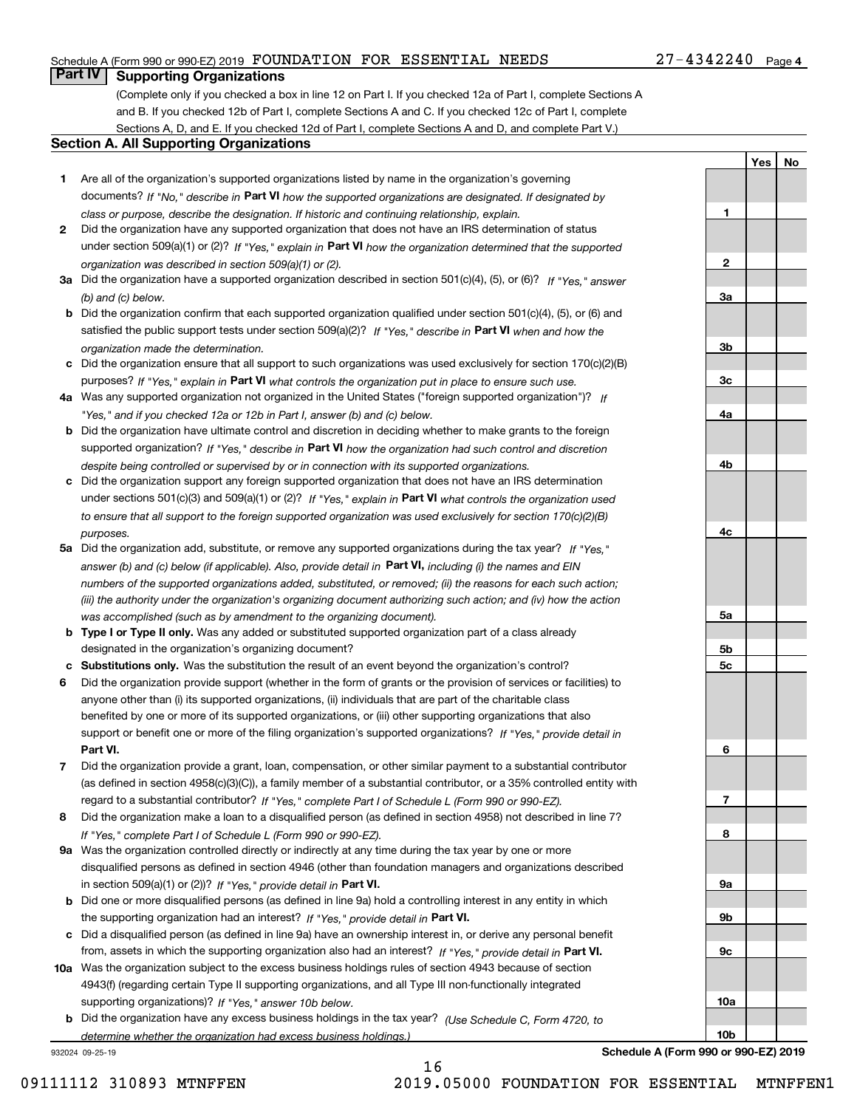### Schedule A (Form 990 or 990-EZ) 2019 Page FOUNDATION FOR ESSENTIAL NEEDS 27-4342240

# **Part IV Supporting Organizations**

(Complete only if you checked a box in line 12 on Part I. If you checked 12a of Part I, complete Sections A and B. If you checked 12b of Part I, complete Sections A and C. If you checked 12c of Part I, complete Sections A, D, and E. If you checked 12d of Part I, complete Sections A and D, and complete Part V.)

### **Section A. All Supporting Organizations**

- **1** Are all of the organization's supported organizations listed by name in the organization's governing documents? If "No," describe in **Part VI** how the supported organizations are designated. If designated by *class or purpose, describe the designation. If historic and continuing relationship, explain.*
- **2** Did the organization have any supported organization that does not have an IRS determination of status under section 509(a)(1) or (2)? If "Yes," explain in Part VI how the organization determined that the supported *organization was described in section 509(a)(1) or (2).*
- **3a** Did the organization have a supported organization described in section 501(c)(4), (5), or (6)? If "Yes," answer *(b) and (c) below.*
- **b** Did the organization confirm that each supported organization qualified under section 501(c)(4), (5), or (6) and satisfied the public support tests under section 509(a)(2)? If "Yes," describe in **Part VI** when and how the *organization made the determination.*
- **c**Did the organization ensure that all support to such organizations was used exclusively for section 170(c)(2)(B) purposes? If "Yes," explain in **Part VI** what controls the organization put in place to ensure such use.
- **4a***If* Was any supported organization not organized in the United States ("foreign supported organization")? *"Yes," and if you checked 12a or 12b in Part I, answer (b) and (c) below.*
- **b** Did the organization have ultimate control and discretion in deciding whether to make grants to the foreign supported organization? If "Yes," describe in **Part VI** how the organization had such control and discretion *despite being controlled or supervised by or in connection with its supported organizations.*
- **c** Did the organization support any foreign supported organization that does not have an IRS determination under sections 501(c)(3) and 509(a)(1) or (2)? If "Yes," explain in **Part VI** what controls the organization used *to ensure that all support to the foreign supported organization was used exclusively for section 170(c)(2)(B) purposes.*
- **5a** Did the organization add, substitute, or remove any supported organizations during the tax year? If "Yes," answer (b) and (c) below (if applicable). Also, provide detail in **Part VI,** including (i) the names and EIN *numbers of the supported organizations added, substituted, or removed; (ii) the reasons for each such action; (iii) the authority under the organization's organizing document authorizing such action; and (iv) how the action was accomplished (such as by amendment to the organizing document).*
- **b** Type I or Type II only. Was any added or substituted supported organization part of a class already designated in the organization's organizing document?
- **cSubstitutions only.**  Was the substitution the result of an event beyond the organization's control?
- **6** Did the organization provide support (whether in the form of grants or the provision of services or facilities) to **Part VI.** *If "Yes," provide detail in* support or benefit one or more of the filing organization's supported organizations? anyone other than (i) its supported organizations, (ii) individuals that are part of the charitable class benefited by one or more of its supported organizations, or (iii) other supporting organizations that also
- **7**Did the organization provide a grant, loan, compensation, or other similar payment to a substantial contributor *If "Yes," complete Part I of Schedule L (Form 990 or 990-EZ).* regard to a substantial contributor? (as defined in section 4958(c)(3)(C)), a family member of a substantial contributor, or a 35% controlled entity with
- **8** Did the organization make a loan to a disqualified person (as defined in section 4958) not described in line 7? *If "Yes," complete Part I of Schedule L (Form 990 or 990-EZ).*
- **9a** Was the organization controlled directly or indirectly at any time during the tax year by one or more in section 509(a)(1) or (2))? If "Yes," *provide detail in* <code>Part VI.</code> disqualified persons as defined in section 4946 (other than foundation managers and organizations described
- **b** Did one or more disqualified persons (as defined in line 9a) hold a controlling interest in any entity in which the supporting organization had an interest? If "Yes," provide detail in P**art VI**.
- **c**Did a disqualified person (as defined in line 9a) have an ownership interest in, or derive any personal benefit from, assets in which the supporting organization also had an interest? If "Yes," provide detail in P**art VI.**
- **10a** Was the organization subject to the excess business holdings rules of section 4943 because of section supporting organizations)? If "Yes," answer 10b below. 4943(f) (regarding certain Type II supporting organizations, and all Type III non-functionally integrated
- **b** Did the organization have any excess business holdings in the tax year? (Use Schedule C, Form 4720, to *determine whether the organization had excess business holdings.)*

932024 09-25-19

**9c**

**Schedule A (Form 990 or 990-EZ) 2019**

**1**

**2**

**3a**

**3b**

**3c**

**4a**

**4b**

**4c**

**5a**

**5b5c**

**6**

**7**

**8**

**9a**

**9b**

**10a**

**10b**

**YesNo**

16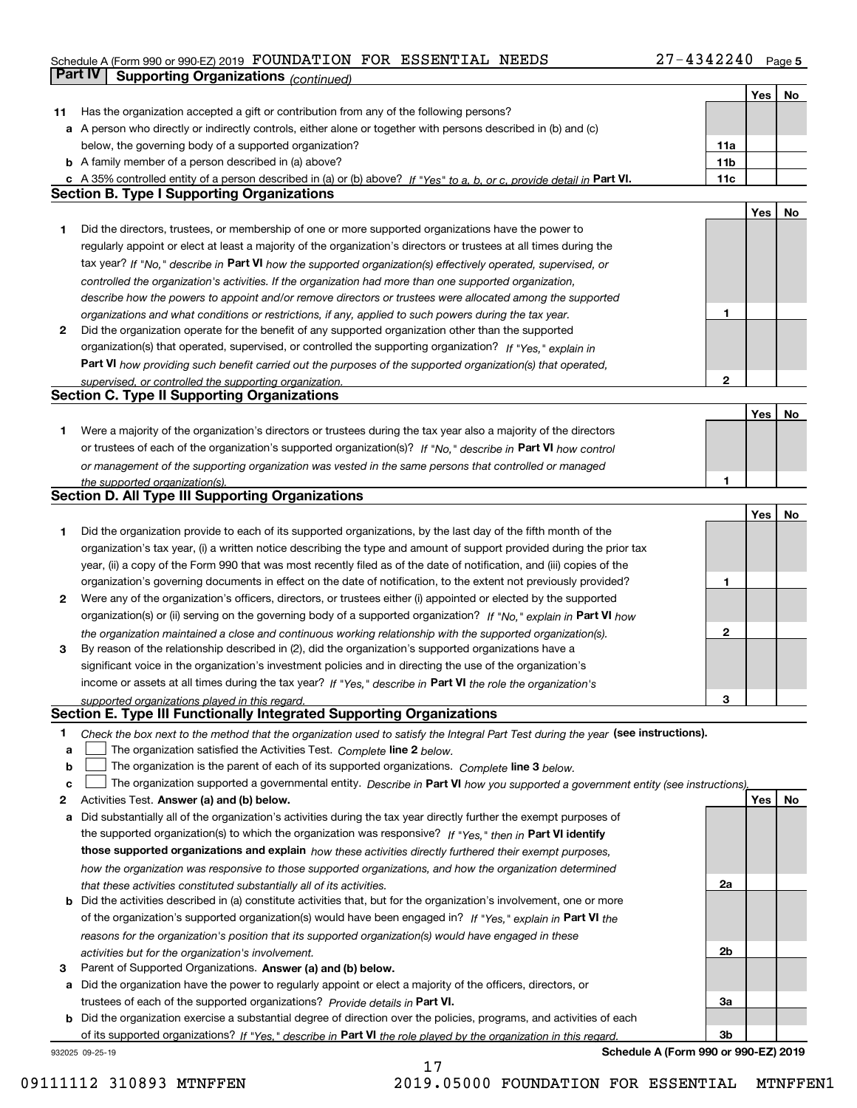### Schedule A (Form 990 or 990-EZ) 2019 Page FOUNDATION FOR ESSENTIAL NEEDS 27-4342240 **Part IV Supporting Organizations** *(continued)*

| Has the organization accepted a gift or contribution from any of the following persons?<br>11<br>a A person who directly or indirectly controls, either alone or together with persons described in (b) and (c)<br>below, the governing body of a supported organization?<br>11a<br><b>b</b> A family member of a person described in (a) above?<br>11 <sub>b</sub><br>11c<br>c A 35% controlled entity of a person described in (a) or (b) above? If "Yes" to a, b, or c, provide detail in Part VI.<br><b>Section B. Type I Supporting Organizations</b><br>Yes<br>No<br>Did the directors, trustees, or membership of one or more supported organizations have the power to<br>1<br>regularly appoint or elect at least a majority of the organization's directors or trustees at all times during the<br>tax year? If "No," describe in Part VI how the supported organization(s) effectively operated, supervised, or<br>controlled the organization's activities. If the organization had more than one supported organization,<br>describe how the powers to appoint and/or remove directors or trustees were allocated among the supported<br>1<br>organizations and what conditions or restrictions, if any, applied to such powers during the tax year.<br>Did the organization operate for the benefit of any supported organization other than the supported<br>2<br>organization(s) that operated, supervised, or controlled the supporting organization? If "Yes," explain in<br>Part VI how providing such benefit carried out the purposes of the supported organization(s) that operated,<br>$\mathbf{2}$<br>supervised, or controlled the supporting organization.<br><b>Section C. Type II Supporting Organizations</b><br>Yes<br>No<br>Were a majority of the organization's directors or trustees during the tax year also a majority of the directors<br>1<br>or trustees of each of the organization's supported organization(s)? If "No," describe in Part VI how control<br>or management of the supporting organization was vested in the same persons that controlled or managed<br>1<br>the supported organization(s).<br><b>Section D. All Type III Supporting Organizations</b><br>Yes<br>No<br>Did the organization provide to each of its supported organizations, by the last day of the fifth month of the<br>1<br>organization's tax year, (i) a written notice describing the type and amount of support provided during the prior tax<br>year, (ii) a copy of the Form 990 that was most recently filed as of the date of notification, and (iii) copies of the<br>organization's governing documents in effect on the date of notification, to the extent not previously provided?<br>1<br>Were any of the organization's officers, directors, or trustees either (i) appointed or elected by the supported<br>2<br>organization(s) or (ii) serving on the governing body of a supported organization? If "No," explain in Part VI how<br>$\mathbf{2}$<br>the organization maintained a close and continuous working relationship with the supported organization(s).<br>By reason of the relationship described in (2), did the organization's supported organizations have a<br>3<br>significant voice in the organization's investment policies and in directing the use of the organization's<br>income or assets at all times during the tax year? If "Yes," describe in Part VI the role the organization's<br>з<br>supported organizations played in this regard.<br>Section E. Type III Functionally Integrated Supporting Organizations<br>1<br>Check the box next to the method that the organization used to satisfy the Integral Part Test during the year (see instructions).<br>The organization satisfied the Activities Test. Complete line 2 below.<br>а<br>The organization is the parent of each of its supported organizations. Complete line 3 below.<br>b<br>The organization supported a governmental entity. Describe in Part VI how you supported a government entity (see instructions),<br>c<br>Activities Test. Answer (a) and (b) below.<br>Yes<br>2<br>No<br>Did substantially all of the organization's activities during the tax year directly further the exempt purposes of<br>а<br>the supported organization(s) to which the organization was responsive? If "Yes," then in Part VI identify<br>those supported organizations and explain how these activities directly furthered their exempt purposes,<br>how the organization was responsive to those supported organizations, and how the organization determined<br>2a<br>that these activities constituted substantially all of its activities.<br>Did the activities described in (a) constitute activities that, but for the organization's involvement, one or more<br>b<br>of the organization's supported organization(s) would have been engaged in? If "Yes," explain in Part VI the<br>reasons for the organization's position that its supported organization(s) would have engaged in these<br>2b<br>activities but for the organization's involvement.<br>Parent of Supported Organizations. Answer (a) and (b) below.<br>з<br>Did the organization have the power to regularly appoint or elect a majority of the officers, directors, or<br>а<br>trustees of each of the supported organizations? Provide details in Part VI.<br>За<br><b>b</b> Did the organization exercise a substantial degree of direction over the policies, programs, and activities of each<br>of its supported organizations? If "Yes," describe in Part VI the role played by the organization in this regard.<br>3b |  | Yes | No |
|---------------------------------------------------------------------------------------------------------------------------------------------------------------------------------------------------------------------------------------------------------------------------------------------------------------------------------------------------------------------------------------------------------------------------------------------------------------------------------------------------------------------------------------------------------------------------------------------------------------------------------------------------------------------------------------------------------------------------------------------------------------------------------------------------------------------------------------------------------------------------------------------------------------------------------------------------------------------------------------------------------------------------------------------------------------------------------------------------------------------------------------------------------------------------------------------------------------------------------------------------------------------------------------------------------------------------------------------------------------------------------------------------------------------------------------------------------------------------------------------------------------------------------------------------------------------------------------------------------------------------------------------------------------------------------------------------------------------------------------------------------------------------------------------------------------------------------------------------------------------------------------------------------------------------------------------------------------------------------------------------------------------------------------------------------------------------------------------------------------------------------------------------------------------------------------------------------------------------------------------------------------------------------------------------------------------------------------------------------------------------------------------------------------------------------------------------------------------------------------------------------------------------------------------------------------------------------------------------------------------------------------------------------------------------------------------------------------------------------------------------------------------------------------------------------------------------------------------------------------------------------------------------------------------------------------------------------------------------------------------------------------------------------------------------------------------------------------------------------------------------------------------------------------------------------------------------------------------------------------------------------------------------------------------------------------------------------------------------------------------------------------------------------------------------------------------------------------------------------------------------------------------------------------------------------------------------------------------------------------------------------------------------------------------------------------------------------------------------------------------------------------------------------------------------------------------------------------------------------------------------------------------------------------------------------------------------------------------------------------------------------------------------------------------------------------------------------------------------------------------------------------------------------------------------------------------------------------------------------------------------------------------------------------------------------------------------------------------------------------------------------------------------------------------------------------------------------------------------------------------------------------------------------------------------------------------------------------------------------------------------------------------------------------------------------------------------------------------------------------------------------------------------------------------------------------------------------------------------------------------------------------------------------------------------------------------------------------------------------------------------------------------------------------------------------------------------------------------------------------------------------------------------------------------------------------------------------------------------------------------------------------------------------------------------------------------------------------------------------------------------------------------------------------------------------------------------------------------------------------------------------------------------------------------------------------------------------------------------------------------------------------------|--|-----|----|
|                                                                                                                                                                                                                                                                                                                                                                                                                                                                                                                                                                                                                                                                                                                                                                                                                                                                                                                                                                                                                                                                                                                                                                                                                                                                                                                                                                                                                                                                                                                                                                                                                                                                                                                                                                                                                                                                                                                                                                                                                                                                                                                                                                                                                                                                                                                                                                                                                                                                                                                                                                                                                                                                                                                                                                                                                                                                                                                                                                                                                                                                                                                                                                                                                                                                                                                                                                                                                                                                                                                                                                                                                                                                                                                                                                                                                                                                                                                                                                                                                                                                                                                                                                                                                                                                                                                                                                                                                                                                                                                                                                                                                                                                                                                                                                                                                                                                                                                                                                                                                                                                                                                                                                                                                                                                                                                                                                                                                                                                                                                                                                                                                                             |  |     |    |
|                                                                                                                                                                                                                                                                                                                                                                                                                                                                                                                                                                                                                                                                                                                                                                                                                                                                                                                                                                                                                                                                                                                                                                                                                                                                                                                                                                                                                                                                                                                                                                                                                                                                                                                                                                                                                                                                                                                                                                                                                                                                                                                                                                                                                                                                                                                                                                                                                                                                                                                                                                                                                                                                                                                                                                                                                                                                                                                                                                                                                                                                                                                                                                                                                                                                                                                                                                                                                                                                                                                                                                                                                                                                                                                                                                                                                                                                                                                                                                                                                                                                                                                                                                                                                                                                                                                                                                                                                                                                                                                                                                                                                                                                                                                                                                                                                                                                                                                                                                                                                                                                                                                                                                                                                                                                                                                                                                                                                                                                                                                                                                                                                                             |  |     |    |
|                                                                                                                                                                                                                                                                                                                                                                                                                                                                                                                                                                                                                                                                                                                                                                                                                                                                                                                                                                                                                                                                                                                                                                                                                                                                                                                                                                                                                                                                                                                                                                                                                                                                                                                                                                                                                                                                                                                                                                                                                                                                                                                                                                                                                                                                                                                                                                                                                                                                                                                                                                                                                                                                                                                                                                                                                                                                                                                                                                                                                                                                                                                                                                                                                                                                                                                                                                                                                                                                                                                                                                                                                                                                                                                                                                                                                                                                                                                                                                                                                                                                                                                                                                                                                                                                                                                                                                                                                                                                                                                                                                                                                                                                                                                                                                                                                                                                                                                                                                                                                                                                                                                                                                                                                                                                                                                                                                                                                                                                                                                                                                                                                                             |  |     |    |
|                                                                                                                                                                                                                                                                                                                                                                                                                                                                                                                                                                                                                                                                                                                                                                                                                                                                                                                                                                                                                                                                                                                                                                                                                                                                                                                                                                                                                                                                                                                                                                                                                                                                                                                                                                                                                                                                                                                                                                                                                                                                                                                                                                                                                                                                                                                                                                                                                                                                                                                                                                                                                                                                                                                                                                                                                                                                                                                                                                                                                                                                                                                                                                                                                                                                                                                                                                                                                                                                                                                                                                                                                                                                                                                                                                                                                                                                                                                                                                                                                                                                                                                                                                                                                                                                                                                                                                                                                                                                                                                                                                                                                                                                                                                                                                                                                                                                                                                                                                                                                                                                                                                                                                                                                                                                                                                                                                                                                                                                                                                                                                                                                                             |  |     |    |
|                                                                                                                                                                                                                                                                                                                                                                                                                                                                                                                                                                                                                                                                                                                                                                                                                                                                                                                                                                                                                                                                                                                                                                                                                                                                                                                                                                                                                                                                                                                                                                                                                                                                                                                                                                                                                                                                                                                                                                                                                                                                                                                                                                                                                                                                                                                                                                                                                                                                                                                                                                                                                                                                                                                                                                                                                                                                                                                                                                                                                                                                                                                                                                                                                                                                                                                                                                                                                                                                                                                                                                                                                                                                                                                                                                                                                                                                                                                                                                                                                                                                                                                                                                                                                                                                                                                                                                                                                                                                                                                                                                                                                                                                                                                                                                                                                                                                                                                                                                                                                                                                                                                                                                                                                                                                                                                                                                                                                                                                                                                                                                                                                                             |  |     |    |
|                                                                                                                                                                                                                                                                                                                                                                                                                                                                                                                                                                                                                                                                                                                                                                                                                                                                                                                                                                                                                                                                                                                                                                                                                                                                                                                                                                                                                                                                                                                                                                                                                                                                                                                                                                                                                                                                                                                                                                                                                                                                                                                                                                                                                                                                                                                                                                                                                                                                                                                                                                                                                                                                                                                                                                                                                                                                                                                                                                                                                                                                                                                                                                                                                                                                                                                                                                                                                                                                                                                                                                                                                                                                                                                                                                                                                                                                                                                                                                                                                                                                                                                                                                                                                                                                                                                                                                                                                                                                                                                                                                                                                                                                                                                                                                                                                                                                                                                                                                                                                                                                                                                                                                                                                                                                                                                                                                                                                                                                                                                                                                                                                                             |  |     |    |
|                                                                                                                                                                                                                                                                                                                                                                                                                                                                                                                                                                                                                                                                                                                                                                                                                                                                                                                                                                                                                                                                                                                                                                                                                                                                                                                                                                                                                                                                                                                                                                                                                                                                                                                                                                                                                                                                                                                                                                                                                                                                                                                                                                                                                                                                                                                                                                                                                                                                                                                                                                                                                                                                                                                                                                                                                                                                                                                                                                                                                                                                                                                                                                                                                                                                                                                                                                                                                                                                                                                                                                                                                                                                                                                                                                                                                                                                                                                                                                                                                                                                                                                                                                                                                                                                                                                                                                                                                                                                                                                                                                                                                                                                                                                                                                                                                                                                                                                                                                                                                                                                                                                                                                                                                                                                                                                                                                                                                                                                                                                                                                                                                                             |  |     |    |
|                                                                                                                                                                                                                                                                                                                                                                                                                                                                                                                                                                                                                                                                                                                                                                                                                                                                                                                                                                                                                                                                                                                                                                                                                                                                                                                                                                                                                                                                                                                                                                                                                                                                                                                                                                                                                                                                                                                                                                                                                                                                                                                                                                                                                                                                                                                                                                                                                                                                                                                                                                                                                                                                                                                                                                                                                                                                                                                                                                                                                                                                                                                                                                                                                                                                                                                                                                                                                                                                                                                                                                                                                                                                                                                                                                                                                                                                                                                                                                                                                                                                                                                                                                                                                                                                                                                                                                                                                                                                                                                                                                                                                                                                                                                                                                                                                                                                                                                                                                                                                                                                                                                                                                                                                                                                                                                                                                                                                                                                                                                                                                                                                                             |  |     |    |
|                                                                                                                                                                                                                                                                                                                                                                                                                                                                                                                                                                                                                                                                                                                                                                                                                                                                                                                                                                                                                                                                                                                                                                                                                                                                                                                                                                                                                                                                                                                                                                                                                                                                                                                                                                                                                                                                                                                                                                                                                                                                                                                                                                                                                                                                                                                                                                                                                                                                                                                                                                                                                                                                                                                                                                                                                                                                                                                                                                                                                                                                                                                                                                                                                                                                                                                                                                                                                                                                                                                                                                                                                                                                                                                                                                                                                                                                                                                                                                                                                                                                                                                                                                                                                                                                                                                                                                                                                                                                                                                                                                                                                                                                                                                                                                                                                                                                                                                                                                                                                                                                                                                                                                                                                                                                                                                                                                                                                                                                                                                                                                                                                                             |  |     |    |
|                                                                                                                                                                                                                                                                                                                                                                                                                                                                                                                                                                                                                                                                                                                                                                                                                                                                                                                                                                                                                                                                                                                                                                                                                                                                                                                                                                                                                                                                                                                                                                                                                                                                                                                                                                                                                                                                                                                                                                                                                                                                                                                                                                                                                                                                                                                                                                                                                                                                                                                                                                                                                                                                                                                                                                                                                                                                                                                                                                                                                                                                                                                                                                                                                                                                                                                                                                                                                                                                                                                                                                                                                                                                                                                                                                                                                                                                                                                                                                                                                                                                                                                                                                                                                                                                                                                                                                                                                                                                                                                                                                                                                                                                                                                                                                                                                                                                                                                                                                                                                                                                                                                                                                                                                                                                                                                                                                                                                                                                                                                                                                                                                                             |  |     |    |
|                                                                                                                                                                                                                                                                                                                                                                                                                                                                                                                                                                                                                                                                                                                                                                                                                                                                                                                                                                                                                                                                                                                                                                                                                                                                                                                                                                                                                                                                                                                                                                                                                                                                                                                                                                                                                                                                                                                                                                                                                                                                                                                                                                                                                                                                                                                                                                                                                                                                                                                                                                                                                                                                                                                                                                                                                                                                                                                                                                                                                                                                                                                                                                                                                                                                                                                                                                                                                                                                                                                                                                                                                                                                                                                                                                                                                                                                                                                                                                                                                                                                                                                                                                                                                                                                                                                                                                                                                                                                                                                                                                                                                                                                                                                                                                                                                                                                                                                                                                                                                                                                                                                                                                                                                                                                                                                                                                                                                                                                                                                                                                                                                                             |  |     |    |
|                                                                                                                                                                                                                                                                                                                                                                                                                                                                                                                                                                                                                                                                                                                                                                                                                                                                                                                                                                                                                                                                                                                                                                                                                                                                                                                                                                                                                                                                                                                                                                                                                                                                                                                                                                                                                                                                                                                                                                                                                                                                                                                                                                                                                                                                                                                                                                                                                                                                                                                                                                                                                                                                                                                                                                                                                                                                                                                                                                                                                                                                                                                                                                                                                                                                                                                                                                                                                                                                                                                                                                                                                                                                                                                                                                                                                                                                                                                                                                                                                                                                                                                                                                                                                                                                                                                                                                                                                                                                                                                                                                                                                                                                                                                                                                                                                                                                                                                                                                                                                                                                                                                                                                                                                                                                                                                                                                                                                                                                                                                                                                                                                                             |  |     |    |
|                                                                                                                                                                                                                                                                                                                                                                                                                                                                                                                                                                                                                                                                                                                                                                                                                                                                                                                                                                                                                                                                                                                                                                                                                                                                                                                                                                                                                                                                                                                                                                                                                                                                                                                                                                                                                                                                                                                                                                                                                                                                                                                                                                                                                                                                                                                                                                                                                                                                                                                                                                                                                                                                                                                                                                                                                                                                                                                                                                                                                                                                                                                                                                                                                                                                                                                                                                                                                                                                                                                                                                                                                                                                                                                                                                                                                                                                                                                                                                                                                                                                                                                                                                                                                                                                                                                                                                                                                                                                                                                                                                                                                                                                                                                                                                                                                                                                                                                                                                                                                                                                                                                                                                                                                                                                                                                                                                                                                                                                                                                                                                                                                                             |  |     |    |
|                                                                                                                                                                                                                                                                                                                                                                                                                                                                                                                                                                                                                                                                                                                                                                                                                                                                                                                                                                                                                                                                                                                                                                                                                                                                                                                                                                                                                                                                                                                                                                                                                                                                                                                                                                                                                                                                                                                                                                                                                                                                                                                                                                                                                                                                                                                                                                                                                                                                                                                                                                                                                                                                                                                                                                                                                                                                                                                                                                                                                                                                                                                                                                                                                                                                                                                                                                                                                                                                                                                                                                                                                                                                                                                                                                                                                                                                                                                                                                                                                                                                                                                                                                                                                                                                                                                                                                                                                                                                                                                                                                                                                                                                                                                                                                                                                                                                                                                                                                                                                                                                                                                                                                                                                                                                                                                                                                                                                                                                                                                                                                                                                                             |  |     |    |
|                                                                                                                                                                                                                                                                                                                                                                                                                                                                                                                                                                                                                                                                                                                                                                                                                                                                                                                                                                                                                                                                                                                                                                                                                                                                                                                                                                                                                                                                                                                                                                                                                                                                                                                                                                                                                                                                                                                                                                                                                                                                                                                                                                                                                                                                                                                                                                                                                                                                                                                                                                                                                                                                                                                                                                                                                                                                                                                                                                                                                                                                                                                                                                                                                                                                                                                                                                                                                                                                                                                                                                                                                                                                                                                                                                                                                                                                                                                                                                                                                                                                                                                                                                                                                                                                                                                                                                                                                                                                                                                                                                                                                                                                                                                                                                                                                                                                                                                                                                                                                                                                                                                                                                                                                                                                                                                                                                                                                                                                                                                                                                                                                                             |  |     |    |
|                                                                                                                                                                                                                                                                                                                                                                                                                                                                                                                                                                                                                                                                                                                                                                                                                                                                                                                                                                                                                                                                                                                                                                                                                                                                                                                                                                                                                                                                                                                                                                                                                                                                                                                                                                                                                                                                                                                                                                                                                                                                                                                                                                                                                                                                                                                                                                                                                                                                                                                                                                                                                                                                                                                                                                                                                                                                                                                                                                                                                                                                                                                                                                                                                                                                                                                                                                                                                                                                                                                                                                                                                                                                                                                                                                                                                                                                                                                                                                                                                                                                                                                                                                                                                                                                                                                                                                                                                                                                                                                                                                                                                                                                                                                                                                                                                                                                                                                                                                                                                                                                                                                                                                                                                                                                                                                                                                                                                                                                                                                                                                                                                                             |  |     |    |
|                                                                                                                                                                                                                                                                                                                                                                                                                                                                                                                                                                                                                                                                                                                                                                                                                                                                                                                                                                                                                                                                                                                                                                                                                                                                                                                                                                                                                                                                                                                                                                                                                                                                                                                                                                                                                                                                                                                                                                                                                                                                                                                                                                                                                                                                                                                                                                                                                                                                                                                                                                                                                                                                                                                                                                                                                                                                                                                                                                                                                                                                                                                                                                                                                                                                                                                                                                                                                                                                                                                                                                                                                                                                                                                                                                                                                                                                                                                                                                                                                                                                                                                                                                                                                                                                                                                                                                                                                                                                                                                                                                                                                                                                                                                                                                                                                                                                                                                                                                                                                                                                                                                                                                                                                                                                                                                                                                                                                                                                                                                                                                                                                                             |  |     |    |
|                                                                                                                                                                                                                                                                                                                                                                                                                                                                                                                                                                                                                                                                                                                                                                                                                                                                                                                                                                                                                                                                                                                                                                                                                                                                                                                                                                                                                                                                                                                                                                                                                                                                                                                                                                                                                                                                                                                                                                                                                                                                                                                                                                                                                                                                                                                                                                                                                                                                                                                                                                                                                                                                                                                                                                                                                                                                                                                                                                                                                                                                                                                                                                                                                                                                                                                                                                                                                                                                                                                                                                                                                                                                                                                                                                                                                                                                                                                                                                                                                                                                                                                                                                                                                                                                                                                                                                                                                                                                                                                                                                                                                                                                                                                                                                                                                                                                                                                                                                                                                                                                                                                                                                                                                                                                                                                                                                                                                                                                                                                                                                                                                                             |  |     |    |
|                                                                                                                                                                                                                                                                                                                                                                                                                                                                                                                                                                                                                                                                                                                                                                                                                                                                                                                                                                                                                                                                                                                                                                                                                                                                                                                                                                                                                                                                                                                                                                                                                                                                                                                                                                                                                                                                                                                                                                                                                                                                                                                                                                                                                                                                                                                                                                                                                                                                                                                                                                                                                                                                                                                                                                                                                                                                                                                                                                                                                                                                                                                                                                                                                                                                                                                                                                                                                                                                                                                                                                                                                                                                                                                                                                                                                                                                                                                                                                                                                                                                                                                                                                                                                                                                                                                                                                                                                                                                                                                                                                                                                                                                                                                                                                                                                                                                                                                                                                                                                                                                                                                                                                                                                                                                                                                                                                                                                                                                                                                                                                                                                                             |  |     |    |
|                                                                                                                                                                                                                                                                                                                                                                                                                                                                                                                                                                                                                                                                                                                                                                                                                                                                                                                                                                                                                                                                                                                                                                                                                                                                                                                                                                                                                                                                                                                                                                                                                                                                                                                                                                                                                                                                                                                                                                                                                                                                                                                                                                                                                                                                                                                                                                                                                                                                                                                                                                                                                                                                                                                                                                                                                                                                                                                                                                                                                                                                                                                                                                                                                                                                                                                                                                                                                                                                                                                                                                                                                                                                                                                                                                                                                                                                                                                                                                                                                                                                                                                                                                                                                                                                                                                                                                                                                                                                                                                                                                                                                                                                                                                                                                                                                                                                                                                                                                                                                                                                                                                                                                                                                                                                                                                                                                                                                                                                                                                                                                                                                                             |  |     |    |
|                                                                                                                                                                                                                                                                                                                                                                                                                                                                                                                                                                                                                                                                                                                                                                                                                                                                                                                                                                                                                                                                                                                                                                                                                                                                                                                                                                                                                                                                                                                                                                                                                                                                                                                                                                                                                                                                                                                                                                                                                                                                                                                                                                                                                                                                                                                                                                                                                                                                                                                                                                                                                                                                                                                                                                                                                                                                                                                                                                                                                                                                                                                                                                                                                                                                                                                                                                                                                                                                                                                                                                                                                                                                                                                                                                                                                                                                                                                                                                                                                                                                                                                                                                                                                                                                                                                                                                                                                                                                                                                                                                                                                                                                                                                                                                                                                                                                                                                                                                                                                                                                                                                                                                                                                                                                                                                                                                                                                                                                                                                                                                                                                                             |  |     |    |
|                                                                                                                                                                                                                                                                                                                                                                                                                                                                                                                                                                                                                                                                                                                                                                                                                                                                                                                                                                                                                                                                                                                                                                                                                                                                                                                                                                                                                                                                                                                                                                                                                                                                                                                                                                                                                                                                                                                                                                                                                                                                                                                                                                                                                                                                                                                                                                                                                                                                                                                                                                                                                                                                                                                                                                                                                                                                                                                                                                                                                                                                                                                                                                                                                                                                                                                                                                                                                                                                                                                                                                                                                                                                                                                                                                                                                                                                                                                                                                                                                                                                                                                                                                                                                                                                                                                                                                                                                                                                                                                                                                                                                                                                                                                                                                                                                                                                                                                                                                                                                                                                                                                                                                                                                                                                                                                                                                                                                                                                                                                                                                                                                                             |  |     |    |
|                                                                                                                                                                                                                                                                                                                                                                                                                                                                                                                                                                                                                                                                                                                                                                                                                                                                                                                                                                                                                                                                                                                                                                                                                                                                                                                                                                                                                                                                                                                                                                                                                                                                                                                                                                                                                                                                                                                                                                                                                                                                                                                                                                                                                                                                                                                                                                                                                                                                                                                                                                                                                                                                                                                                                                                                                                                                                                                                                                                                                                                                                                                                                                                                                                                                                                                                                                                                                                                                                                                                                                                                                                                                                                                                                                                                                                                                                                                                                                                                                                                                                                                                                                                                                                                                                                                                                                                                                                                                                                                                                                                                                                                                                                                                                                                                                                                                                                                                                                                                                                                                                                                                                                                                                                                                                                                                                                                                                                                                                                                                                                                                                                             |  |     |    |
|                                                                                                                                                                                                                                                                                                                                                                                                                                                                                                                                                                                                                                                                                                                                                                                                                                                                                                                                                                                                                                                                                                                                                                                                                                                                                                                                                                                                                                                                                                                                                                                                                                                                                                                                                                                                                                                                                                                                                                                                                                                                                                                                                                                                                                                                                                                                                                                                                                                                                                                                                                                                                                                                                                                                                                                                                                                                                                                                                                                                                                                                                                                                                                                                                                                                                                                                                                                                                                                                                                                                                                                                                                                                                                                                                                                                                                                                                                                                                                                                                                                                                                                                                                                                                                                                                                                                                                                                                                                                                                                                                                                                                                                                                                                                                                                                                                                                                                                                                                                                                                                                                                                                                                                                                                                                                                                                                                                                                                                                                                                                                                                                                                             |  |     |    |
|                                                                                                                                                                                                                                                                                                                                                                                                                                                                                                                                                                                                                                                                                                                                                                                                                                                                                                                                                                                                                                                                                                                                                                                                                                                                                                                                                                                                                                                                                                                                                                                                                                                                                                                                                                                                                                                                                                                                                                                                                                                                                                                                                                                                                                                                                                                                                                                                                                                                                                                                                                                                                                                                                                                                                                                                                                                                                                                                                                                                                                                                                                                                                                                                                                                                                                                                                                                                                                                                                                                                                                                                                                                                                                                                                                                                                                                                                                                                                                                                                                                                                                                                                                                                                                                                                                                                                                                                                                                                                                                                                                                                                                                                                                                                                                                                                                                                                                                                                                                                                                                                                                                                                                                                                                                                                                                                                                                                                                                                                                                                                                                                                                             |  |     |    |
|                                                                                                                                                                                                                                                                                                                                                                                                                                                                                                                                                                                                                                                                                                                                                                                                                                                                                                                                                                                                                                                                                                                                                                                                                                                                                                                                                                                                                                                                                                                                                                                                                                                                                                                                                                                                                                                                                                                                                                                                                                                                                                                                                                                                                                                                                                                                                                                                                                                                                                                                                                                                                                                                                                                                                                                                                                                                                                                                                                                                                                                                                                                                                                                                                                                                                                                                                                                                                                                                                                                                                                                                                                                                                                                                                                                                                                                                                                                                                                                                                                                                                                                                                                                                                                                                                                                                                                                                                                                                                                                                                                                                                                                                                                                                                                                                                                                                                                                                                                                                                                                                                                                                                                                                                                                                                                                                                                                                                                                                                                                                                                                                                                             |  |     |    |
|                                                                                                                                                                                                                                                                                                                                                                                                                                                                                                                                                                                                                                                                                                                                                                                                                                                                                                                                                                                                                                                                                                                                                                                                                                                                                                                                                                                                                                                                                                                                                                                                                                                                                                                                                                                                                                                                                                                                                                                                                                                                                                                                                                                                                                                                                                                                                                                                                                                                                                                                                                                                                                                                                                                                                                                                                                                                                                                                                                                                                                                                                                                                                                                                                                                                                                                                                                                                                                                                                                                                                                                                                                                                                                                                                                                                                                                                                                                                                                                                                                                                                                                                                                                                                                                                                                                                                                                                                                                                                                                                                                                                                                                                                                                                                                                                                                                                                                                                                                                                                                                                                                                                                                                                                                                                                                                                                                                                                                                                                                                                                                                                                                             |  |     |    |
|                                                                                                                                                                                                                                                                                                                                                                                                                                                                                                                                                                                                                                                                                                                                                                                                                                                                                                                                                                                                                                                                                                                                                                                                                                                                                                                                                                                                                                                                                                                                                                                                                                                                                                                                                                                                                                                                                                                                                                                                                                                                                                                                                                                                                                                                                                                                                                                                                                                                                                                                                                                                                                                                                                                                                                                                                                                                                                                                                                                                                                                                                                                                                                                                                                                                                                                                                                                                                                                                                                                                                                                                                                                                                                                                                                                                                                                                                                                                                                                                                                                                                                                                                                                                                                                                                                                                                                                                                                                                                                                                                                                                                                                                                                                                                                                                                                                                                                                                                                                                                                                                                                                                                                                                                                                                                                                                                                                                                                                                                                                                                                                                                                             |  |     |    |
|                                                                                                                                                                                                                                                                                                                                                                                                                                                                                                                                                                                                                                                                                                                                                                                                                                                                                                                                                                                                                                                                                                                                                                                                                                                                                                                                                                                                                                                                                                                                                                                                                                                                                                                                                                                                                                                                                                                                                                                                                                                                                                                                                                                                                                                                                                                                                                                                                                                                                                                                                                                                                                                                                                                                                                                                                                                                                                                                                                                                                                                                                                                                                                                                                                                                                                                                                                                                                                                                                                                                                                                                                                                                                                                                                                                                                                                                                                                                                                                                                                                                                                                                                                                                                                                                                                                                                                                                                                                                                                                                                                                                                                                                                                                                                                                                                                                                                                                                                                                                                                                                                                                                                                                                                                                                                                                                                                                                                                                                                                                                                                                                                                             |  |     |    |
|                                                                                                                                                                                                                                                                                                                                                                                                                                                                                                                                                                                                                                                                                                                                                                                                                                                                                                                                                                                                                                                                                                                                                                                                                                                                                                                                                                                                                                                                                                                                                                                                                                                                                                                                                                                                                                                                                                                                                                                                                                                                                                                                                                                                                                                                                                                                                                                                                                                                                                                                                                                                                                                                                                                                                                                                                                                                                                                                                                                                                                                                                                                                                                                                                                                                                                                                                                                                                                                                                                                                                                                                                                                                                                                                                                                                                                                                                                                                                                                                                                                                                                                                                                                                                                                                                                                                                                                                                                                                                                                                                                                                                                                                                                                                                                                                                                                                                                                                                                                                                                                                                                                                                                                                                                                                                                                                                                                                                                                                                                                                                                                                                                             |  |     |    |
|                                                                                                                                                                                                                                                                                                                                                                                                                                                                                                                                                                                                                                                                                                                                                                                                                                                                                                                                                                                                                                                                                                                                                                                                                                                                                                                                                                                                                                                                                                                                                                                                                                                                                                                                                                                                                                                                                                                                                                                                                                                                                                                                                                                                                                                                                                                                                                                                                                                                                                                                                                                                                                                                                                                                                                                                                                                                                                                                                                                                                                                                                                                                                                                                                                                                                                                                                                                                                                                                                                                                                                                                                                                                                                                                                                                                                                                                                                                                                                                                                                                                                                                                                                                                                                                                                                                                                                                                                                                                                                                                                                                                                                                                                                                                                                                                                                                                                                                                                                                                                                                                                                                                                                                                                                                                                                                                                                                                                                                                                                                                                                                                                                             |  |     |    |
|                                                                                                                                                                                                                                                                                                                                                                                                                                                                                                                                                                                                                                                                                                                                                                                                                                                                                                                                                                                                                                                                                                                                                                                                                                                                                                                                                                                                                                                                                                                                                                                                                                                                                                                                                                                                                                                                                                                                                                                                                                                                                                                                                                                                                                                                                                                                                                                                                                                                                                                                                                                                                                                                                                                                                                                                                                                                                                                                                                                                                                                                                                                                                                                                                                                                                                                                                                                                                                                                                                                                                                                                                                                                                                                                                                                                                                                                                                                                                                                                                                                                                                                                                                                                                                                                                                                                                                                                                                                                                                                                                                                                                                                                                                                                                                                                                                                                                                                                                                                                                                                                                                                                                                                                                                                                                                                                                                                                                                                                                                                                                                                                                                             |  |     |    |
|                                                                                                                                                                                                                                                                                                                                                                                                                                                                                                                                                                                                                                                                                                                                                                                                                                                                                                                                                                                                                                                                                                                                                                                                                                                                                                                                                                                                                                                                                                                                                                                                                                                                                                                                                                                                                                                                                                                                                                                                                                                                                                                                                                                                                                                                                                                                                                                                                                                                                                                                                                                                                                                                                                                                                                                                                                                                                                                                                                                                                                                                                                                                                                                                                                                                                                                                                                                                                                                                                                                                                                                                                                                                                                                                                                                                                                                                                                                                                                                                                                                                                                                                                                                                                                                                                                                                                                                                                                                                                                                                                                                                                                                                                                                                                                                                                                                                                                                                                                                                                                                                                                                                                                                                                                                                                                                                                                                                                                                                                                                                                                                                                                             |  |     |    |
|                                                                                                                                                                                                                                                                                                                                                                                                                                                                                                                                                                                                                                                                                                                                                                                                                                                                                                                                                                                                                                                                                                                                                                                                                                                                                                                                                                                                                                                                                                                                                                                                                                                                                                                                                                                                                                                                                                                                                                                                                                                                                                                                                                                                                                                                                                                                                                                                                                                                                                                                                                                                                                                                                                                                                                                                                                                                                                                                                                                                                                                                                                                                                                                                                                                                                                                                                                                                                                                                                                                                                                                                                                                                                                                                                                                                                                                                                                                                                                                                                                                                                                                                                                                                                                                                                                                                                                                                                                                                                                                                                                                                                                                                                                                                                                                                                                                                                                                                                                                                                                                                                                                                                                                                                                                                                                                                                                                                                                                                                                                                                                                                                                             |  |     |    |
|                                                                                                                                                                                                                                                                                                                                                                                                                                                                                                                                                                                                                                                                                                                                                                                                                                                                                                                                                                                                                                                                                                                                                                                                                                                                                                                                                                                                                                                                                                                                                                                                                                                                                                                                                                                                                                                                                                                                                                                                                                                                                                                                                                                                                                                                                                                                                                                                                                                                                                                                                                                                                                                                                                                                                                                                                                                                                                                                                                                                                                                                                                                                                                                                                                                                                                                                                                                                                                                                                                                                                                                                                                                                                                                                                                                                                                                                                                                                                                                                                                                                                                                                                                                                                                                                                                                                                                                                                                                                                                                                                                                                                                                                                                                                                                                                                                                                                                                                                                                                                                                                                                                                                                                                                                                                                                                                                                                                                                                                                                                                                                                                                                             |  |     |    |
|                                                                                                                                                                                                                                                                                                                                                                                                                                                                                                                                                                                                                                                                                                                                                                                                                                                                                                                                                                                                                                                                                                                                                                                                                                                                                                                                                                                                                                                                                                                                                                                                                                                                                                                                                                                                                                                                                                                                                                                                                                                                                                                                                                                                                                                                                                                                                                                                                                                                                                                                                                                                                                                                                                                                                                                                                                                                                                                                                                                                                                                                                                                                                                                                                                                                                                                                                                                                                                                                                                                                                                                                                                                                                                                                                                                                                                                                                                                                                                                                                                                                                                                                                                                                                                                                                                                                                                                                                                                                                                                                                                                                                                                                                                                                                                                                                                                                                                                                                                                                                                                                                                                                                                                                                                                                                                                                                                                                                                                                                                                                                                                                                                             |  |     |    |
|                                                                                                                                                                                                                                                                                                                                                                                                                                                                                                                                                                                                                                                                                                                                                                                                                                                                                                                                                                                                                                                                                                                                                                                                                                                                                                                                                                                                                                                                                                                                                                                                                                                                                                                                                                                                                                                                                                                                                                                                                                                                                                                                                                                                                                                                                                                                                                                                                                                                                                                                                                                                                                                                                                                                                                                                                                                                                                                                                                                                                                                                                                                                                                                                                                                                                                                                                                                                                                                                                                                                                                                                                                                                                                                                                                                                                                                                                                                                                                                                                                                                                                                                                                                                                                                                                                                                                                                                                                                                                                                                                                                                                                                                                                                                                                                                                                                                                                                                                                                                                                                                                                                                                                                                                                                                                                                                                                                                                                                                                                                                                                                                                                             |  |     |    |
|                                                                                                                                                                                                                                                                                                                                                                                                                                                                                                                                                                                                                                                                                                                                                                                                                                                                                                                                                                                                                                                                                                                                                                                                                                                                                                                                                                                                                                                                                                                                                                                                                                                                                                                                                                                                                                                                                                                                                                                                                                                                                                                                                                                                                                                                                                                                                                                                                                                                                                                                                                                                                                                                                                                                                                                                                                                                                                                                                                                                                                                                                                                                                                                                                                                                                                                                                                                                                                                                                                                                                                                                                                                                                                                                                                                                                                                                                                                                                                                                                                                                                                                                                                                                                                                                                                                                                                                                                                                                                                                                                                                                                                                                                                                                                                                                                                                                                                                                                                                                                                                                                                                                                                                                                                                                                                                                                                                                                                                                                                                                                                                                                                             |  |     |    |
|                                                                                                                                                                                                                                                                                                                                                                                                                                                                                                                                                                                                                                                                                                                                                                                                                                                                                                                                                                                                                                                                                                                                                                                                                                                                                                                                                                                                                                                                                                                                                                                                                                                                                                                                                                                                                                                                                                                                                                                                                                                                                                                                                                                                                                                                                                                                                                                                                                                                                                                                                                                                                                                                                                                                                                                                                                                                                                                                                                                                                                                                                                                                                                                                                                                                                                                                                                                                                                                                                                                                                                                                                                                                                                                                                                                                                                                                                                                                                                                                                                                                                                                                                                                                                                                                                                                                                                                                                                                                                                                                                                                                                                                                                                                                                                                                                                                                                                                                                                                                                                                                                                                                                                                                                                                                                                                                                                                                                                                                                                                                                                                                                                             |  |     |    |
|                                                                                                                                                                                                                                                                                                                                                                                                                                                                                                                                                                                                                                                                                                                                                                                                                                                                                                                                                                                                                                                                                                                                                                                                                                                                                                                                                                                                                                                                                                                                                                                                                                                                                                                                                                                                                                                                                                                                                                                                                                                                                                                                                                                                                                                                                                                                                                                                                                                                                                                                                                                                                                                                                                                                                                                                                                                                                                                                                                                                                                                                                                                                                                                                                                                                                                                                                                                                                                                                                                                                                                                                                                                                                                                                                                                                                                                                                                                                                                                                                                                                                                                                                                                                                                                                                                                                                                                                                                                                                                                                                                                                                                                                                                                                                                                                                                                                                                                                                                                                                                                                                                                                                                                                                                                                                                                                                                                                                                                                                                                                                                                                                                             |  |     |    |
|                                                                                                                                                                                                                                                                                                                                                                                                                                                                                                                                                                                                                                                                                                                                                                                                                                                                                                                                                                                                                                                                                                                                                                                                                                                                                                                                                                                                                                                                                                                                                                                                                                                                                                                                                                                                                                                                                                                                                                                                                                                                                                                                                                                                                                                                                                                                                                                                                                                                                                                                                                                                                                                                                                                                                                                                                                                                                                                                                                                                                                                                                                                                                                                                                                                                                                                                                                                                                                                                                                                                                                                                                                                                                                                                                                                                                                                                                                                                                                                                                                                                                                                                                                                                                                                                                                                                                                                                                                                                                                                                                                                                                                                                                                                                                                                                                                                                                                                                                                                                                                                                                                                                                                                                                                                                                                                                                                                                                                                                                                                                                                                                                                             |  |     |    |
|                                                                                                                                                                                                                                                                                                                                                                                                                                                                                                                                                                                                                                                                                                                                                                                                                                                                                                                                                                                                                                                                                                                                                                                                                                                                                                                                                                                                                                                                                                                                                                                                                                                                                                                                                                                                                                                                                                                                                                                                                                                                                                                                                                                                                                                                                                                                                                                                                                                                                                                                                                                                                                                                                                                                                                                                                                                                                                                                                                                                                                                                                                                                                                                                                                                                                                                                                                                                                                                                                                                                                                                                                                                                                                                                                                                                                                                                                                                                                                                                                                                                                                                                                                                                                                                                                                                                                                                                                                                                                                                                                                                                                                                                                                                                                                                                                                                                                                                                                                                                                                                                                                                                                                                                                                                                                                                                                                                                                                                                                                                                                                                                                                             |  |     |    |
|                                                                                                                                                                                                                                                                                                                                                                                                                                                                                                                                                                                                                                                                                                                                                                                                                                                                                                                                                                                                                                                                                                                                                                                                                                                                                                                                                                                                                                                                                                                                                                                                                                                                                                                                                                                                                                                                                                                                                                                                                                                                                                                                                                                                                                                                                                                                                                                                                                                                                                                                                                                                                                                                                                                                                                                                                                                                                                                                                                                                                                                                                                                                                                                                                                                                                                                                                                                                                                                                                                                                                                                                                                                                                                                                                                                                                                                                                                                                                                                                                                                                                                                                                                                                                                                                                                                                                                                                                                                                                                                                                                                                                                                                                                                                                                                                                                                                                                                                                                                                                                                                                                                                                                                                                                                                                                                                                                                                                                                                                                                                                                                                                                             |  |     |    |
|                                                                                                                                                                                                                                                                                                                                                                                                                                                                                                                                                                                                                                                                                                                                                                                                                                                                                                                                                                                                                                                                                                                                                                                                                                                                                                                                                                                                                                                                                                                                                                                                                                                                                                                                                                                                                                                                                                                                                                                                                                                                                                                                                                                                                                                                                                                                                                                                                                                                                                                                                                                                                                                                                                                                                                                                                                                                                                                                                                                                                                                                                                                                                                                                                                                                                                                                                                                                                                                                                                                                                                                                                                                                                                                                                                                                                                                                                                                                                                                                                                                                                                                                                                                                                                                                                                                                                                                                                                                                                                                                                                                                                                                                                                                                                                                                                                                                                                                                                                                                                                                                                                                                                                                                                                                                                                                                                                                                                                                                                                                                                                                                                                             |  |     |    |
|                                                                                                                                                                                                                                                                                                                                                                                                                                                                                                                                                                                                                                                                                                                                                                                                                                                                                                                                                                                                                                                                                                                                                                                                                                                                                                                                                                                                                                                                                                                                                                                                                                                                                                                                                                                                                                                                                                                                                                                                                                                                                                                                                                                                                                                                                                                                                                                                                                                                                                                                                                                                                                                                                                                                                                                                                                                                                                                                                                                                                                                                                                                                                                                                                                                                                                                                                                                                                                                                                                                                                                                                                                                                                                                                                                                                                                                                                                                                                                                                                                                                                                                                                                                                                                                                                                                                                                                                                                                                                                                                                                                                                                                                                                                                                                                                                                                                                                                                                                                                                                                                                                                                                                                                                                                                                                                                                                                                                                                                                                                                                                                                                                             |  |     |    |
|                                                                                                                                                                                                                                                                                                                                                                                                                                                                                                                                                                                                                                                                                                                                                                                                                                                                                                                                                                                                                                                                                                                                                                                                                                                                                                                                                                                                                                                                                                                                                                                                                                                                                                                                                                                                                                                                                                                                                                                                                                                                                                                                                                                                                                                                                                                                                                                                                                                                                                                                                                                                                                                                                                                                                                                                                                                                                                                                                                                                                                                                                                                                                                                                                                                                                                                                                                                                                                                                                                                                                                                                                                                                                                                                                                                                                                                                                                                                                                                                                                                                                                                                                                                                                                                                                                                                                                                                                                                                                                                                                                                                                                                                                                                                                                                                                                                                                                                                                                                                                                                                                                                                                                                                                                                                                                                                                                                                                                                                                                                                                                                                                                             |  |     |    |
|                                                                                                                                                                                                                                                                                                                                                                                                                                                                                                                                                                                                                                                                                                                                                                                                                                                                                                                                                                                                                                                                                                                                                                                                                                                                                                                                                                                                                                                                                                                                                                                                                                                                                                                                                                                                                                                                                                                                                                                                                                                                                                                                                                                                                                                                                                                                                                                                                                                                                                                                                                                                                                                                                                                                                                                                                                                                                                                                                                                                                                                                                                                                                                                                                                                                                                                                                                                                                                                                                                                                                                                                                                                                                                                                                                                                                                                                                                                                                                                                                                                                                                                                                                                                                                                                                                                                                                                                                                                                                                                                                                                                                                                                                                                                                                                                                                                                                                                                                                                                                                                                                                                                                                                                                                                                                                                                                                                                                                                                                                                                                                                                                                             |  |     |    |
|                                                                                                                                                                                                                                                                                                                                                                                                                                                                                                                                                                                                                                                                                                                                                                                                                                                                                                                                                                                                                                                                                                                                                                                                                                                                                                                                                                                                                                                                                                                                                                                                                                                                                                                                                                                                                                                                                                                                                                                                                                                                                                                                                                                                                                                                                                                                                                                                                                                                                                                                                                                                                                                                                                                                                                                                                                                                                                                                                                                                                                                                                                                                                                                                                                                                                                                                                                                                                                                                                                                                                                                                                                                                                                                                                                                                                                                                                                                                                                                                                                                                                                                                                                                                                                                                                                                                                                                                                                                                                                                                                                                                                                                                                                                                                                                                                                                                                                                                                                                                                                                                                                                                                                                                                                                                                                                                                                                                                                                                                                                                                                                                                                             |  |     |    |
|                                                                                                                                                                                                                                                                                                                                                                                                                                                                                                                                                                                                                                                                                                                                                                                                                                                                                                                                                                                                                                                                                                                                                                                                                                                                                                                                                                                                                                                                                                                                                                                                                                                                                                                                                                                                                                                                                                                                                                                                                                                                                                                                                                                                                                                                                                                                                                                                                                                                                                                                                                                                                                                                                                                                                                                                                                                                                                                                                                                                                                                                                                                                                                                                                                                                                                                                                                                                                                                                                                                                                                                                                                                                                                                                                                                                                                                                                                                                                                                                                                                                                                                                                                                                                                                                                                                                                                                                                                                                                                                                                                                                                                                                                                                                                                                                                                                                                                                                                                                                                                                                                                                                                                                                                                                                                                                                                                                                                                                                                                                                                                                                                                             |  |     |    |
|                                                                                                                                                                                                                                                                                                                                                                                                                                                                                                                                                                                                                                                                                                                                                                                                                                                                                                                                                                                                                                                                                                                                                                                                                                                                                                                                                                                                                                                                                                                                                                                                                                                                                                                                                                                                                                                                                                                                                                                                                                                                                                                                                                                                                                                                                                                                                                                                                                                                                                                                                                                                                                                                                                                                                                                                                                                                                                                                                                                                                                                                                                                                                                                                                                                                                                                                                                                                                                                                                                                                                                                                                                                                                                                                                                                                                                                                                                                                                                                                                                                                                                                                                                                                                                                                                                                                                                                                                                                                                                                                                                                                                                                                                                                                                                                                                                                                                                                                                                                                                                                                                                                                                                                                                                                                                                                                                                                                                                                                                                                                                                                                                                             |  |     |    |
|                                                                                                                                                                                                                                                                                                                                                                                                                                                                                                                                                                                                                                                                                                                                                                                                                                                                                                                                                                                                                                                                                                                                                                                                                                                                                                                                                                                                                                                                                                                                                                                                                                                                                                                                                                                                                                                                                                                                                                                                                                                                                                                                                                                                                                                                                                                                                                                                                                                                                                                                                                                                                                                                                                                                                                                                                                                                                                                                                                                                                                                                                                                                                                                                                                                                                                                                                                                                                                                                                                                                                                                                                                                                                                                                                                                                                                                                                                                                                                                                                                                                                                                                                                                                                                                                                                                                                                                                                                                                                                                                                                                                                                                                                                                                                                                                                                                                                                                                                                                                                                                                                                                                                                                                                                                                                                                                                                                                                                                                                                                                                                                                                                             |  |     |    |
|                                                                                                                                                                                                                                                                                                                                                                                                                                                                                                                                                                                                                                                                                                                                                                                                                                                                                                                                                                                                                                                                                                                                                                                                                                                                                                                                                                                                                                                                                                                                                                                                                                                                                                                                                                                                                                                                                                                                                                                                                                                                                                                                                                                                                                                                                                                                                                                                                                                                                                                                                                                                                                                                                                                                                                                                                                                                                                                                                                                                                                                                                                                                                                                                                                                                                                                                                                                                                                                                                                                                                                                                                                                                                                                                                                                                                                                                                                                                                                                                                                                                                                                                                                                                                                                                                                                                                                                                                                                                                                                                                                                                                                                                                                                                                                                                                                                                                                                                                                                                                                                                                                                                                                                                                                                                                                                                                                                                                                                                                                                                                                                                                                             |  |     |    |
|                                                                                                                                                                                                                                                                                                                                                                                                                                                                                                                                                                                                                                                                                                                                                                                                                                                                                                                                                                                                                                                                                                                                                                                                                                                                                                                                                                                                                                                                                                                                                                                                                                                                                                                                                                                                                                                                                                                                                                                                                                                                                                                                                                                                                                                                                                                                                                                                                                                                                                                                                                                                                                                                                                                                                                                                                                                                                                                                                                                                                                                                                                                                                                                                                                                                                                                                                                                                                                                                                                                                                                                                                                                                                                                                                                                                                                                                                                                                                                                                                                                                                                                                                                                                                                                                                                                                                                                                                                                                                                                                                                                                                                                                                                                                                                                                                                                                                                                                                                                                                                                                                                                                                                                                                                                                                                                                                                                                                                                                                                                                                                                                                                             |  |     |    |
|                                                                                                                                                                                                                                                                                                                                                                                                                                                                                                                                                                                                                                                                                                                                                                                                                                                                                                                                                                                                                                                                                                                                                                                                                                                                                                                                                                                                                                                                                                                                                                                                                                                                                                                                                                                                                                                                                                                                                                                                                                                                                                                                                                                                                                                                                                                                                                                                                                                                                                                                                                                                                                                                                                                                                                                                                                                                                                                                                                                                                                                                                                                                                                                                                                                                                                                                                                                                                                                                                                                                                                                                                                                                                                                                                                                                                                                                                                                                                                                                                                                                                                                                                                                                                                                                                                                                                                                                                                                                                                                                                                                                                                                                                                                                                                                                                                                                                                                                                                                                                                                                                                                                                                                                                                                                                                                                                                                                                                                                                                                                                                                                                                             |  |     |    |
|                                                                                                                                                                                                                                                                                                                                                                                                                                                                                                                                                                                                                                                                                                                                                                                                                                                                                                                                                                                                                                                                                                                                                                                                                                                                                                                                                                                                                                                                                                                                                                                                                                                                                                                                                                                                                                                                                                                                                                                                                                                                                                                                                                                                                                                                                                                                                                                                                                                                                                                                                                                                                                                                                                                                                                                                                                                                                                                                                                                                                                                                                                                                                                                                                                                                                                                                                                                                                                                                                                                                                                                                                                                                                                                                                                                                                                                                                                                                                                                                                                                                                                                                                                                                                                                                                                                                                                                                                                                                                                                                                                                                                                                                                                                                                                                                                                                                                                                                                                                                                                                                                                                                                                                                                                                                                                                                                                                                                                                                                                                                                                                                                                             |  |     |    |

17

932025 09-25-19

**Schedule A (Form 990 or 990-EZ) 2019**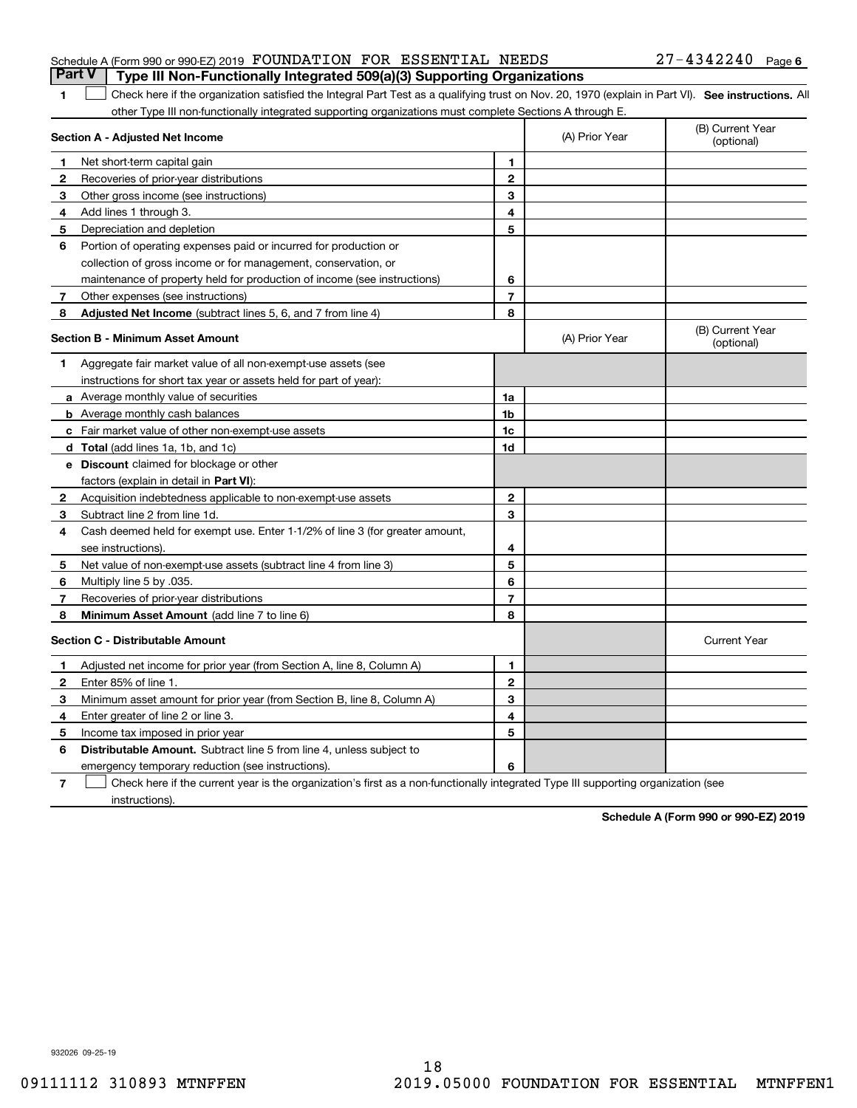### Schedule A (Form 990 or 990-EZ) 2019 Page FOUNDATION FOR ESSENTIAL NEEDS 27-4342240 **Part V Type III Non-Functionally Integrated 509(a)(3) Supporting Organizations**

## 1 Check here if the organization satisfied the Integral Part Test as a qualifying trust on Nov. 20, 1970 (explain in Part VI). See instructions. All other Type III non-functionally integrated supporting organizations must complete Sections A through E.

|   | Section A - Adjusted Net Income                                                                                                   |                | (A) Prior Year | (B) Current Year<br>(optional) |
|---|-----------------------------------------------------------------------------------------------------------------------------------|----------------|----------------|--------------------------------|
| 1 | Net short-term capital gain                                                                                                       | 1              |                |                                |
| 2 | Recoveries of prior-year distributions                                                                                            | $\overline{2}$ |                |                                |
| 3 | Other gross income (see instructions)                                                                                             | 3              |                |                                |
| 4 | Add lines 1 through 3.                                                                                                            | 4              |                |                                |
| 5 | Depreciation and depletion                                                                                                        | 5              |                |                                |
| 6 | Portion of operating expenses paid or incurred for production or                                                                  |                |                |                                |
|   | collection of gross income or for management, conservation, or                                                                    |                |                |                                |
|   | maintenance of property held for production of income (see instructions)                                                          | 6              |                |                                |
| 7 | Other expenses (see instructions)                                                                                                 | $\overline{7}$ |                |                                |
| 8 | Adjusted Net Income (subtract lines 5, 6, and 7 from line 4)                                                                      | 8              |                |                                |
|   | <b>Section B - Minimum Asset Amount</b>                                                                                           |                | (A) Prior Year | (B) Current Year<br>(optional) |
| 1 | Aggregate fair market value of all non-exempt-use assets (see                                                                     |                |                |                                |
|   | instructions for short tax year or assets held for part of year):                                                                 |                |                |                                |
|   | <b>a</b> Average monthly value of securities                                                                                      | 1a             |                |                                |
|   | <b>b</b> Average monthly cash balances                                                                                            | 1b             |                |                                |
|   | c Fair market value of other non-exempt-use assets                                                                                | 1c             |                |                                |
|   | <b>d</b> Total (add lines 1a, 1b, and 1c)                                                                                         | 1d             |                |                                |
|   | e Discount claimed for blockage or other                                                                                          |                |                |                                |
|   | factors (explain in detail in Part VI):                                                                                           |                |                |                                |
| 2 | Acquisition indebtedness applicable to non-exempt-use assets                                                                      | 2              |                |                                |
| 3 | Subtract line 2 from line 1d.                                                                                                     | 3              |                |                                |
| 4 | Cash deemed held for exempt use. Enter 1-1/2% of line 3 (for greater amount,                                                      |                |                |                                |
|   | see instructions)                                                                                                                 | 4              |                |                                |
| 5 | Net value of non-exempt-use assets (subtract line 4 from line 3)                                                                  | 5              |                |                                |
| 6 | Multiply line 5 by .035.                                                                                                          | 6              |                |                                |
| 7 | Recoveries of prior-year distributions                                                                                            | 7              |                |                                |
| 8 | <b>Minimum Asset Amount</b> (add line 7 to line 6)                                                                                | 8              |                |                                |
|   | <b>Section C - Distributable Amount</b>                                                                                           |                |                | <b>Current Year</b>            |
| 1 | Adjusted net income for prior year (from Section A, line 8, Column A)                                                             | 1              |                |                                |
| 2 | Enter 85% of line 1.                                                                                                              | $\overline{2}$ |                |                                |
| 3 | Minimum asset amount for prior year (from Section B, line 8, Column A)                                                            | 3              |                |                                |
| 4 | Enter greater of line 2 or line 3.                                                                                                | 4              |                |                                |
| 5 | Income tax imposed in prior year                                                                                                  | 5              |                |                                |
| 6 | <b>Distributable Amount.</b> Subtract line 5 from line 4, unless subject to                                                       |                |                |                                |
|   | emergency temporary reduction (see instructions).                                                                                 | 6              |                |                                |
| 7 | Check here if the current year is the organization's first as a non-functionally integrated Type III supporting organization (see |                |                |                                |

instructions).

**1**

**Schedule A (Form 990 or 990-EZ) 2019**

932026 09-25-19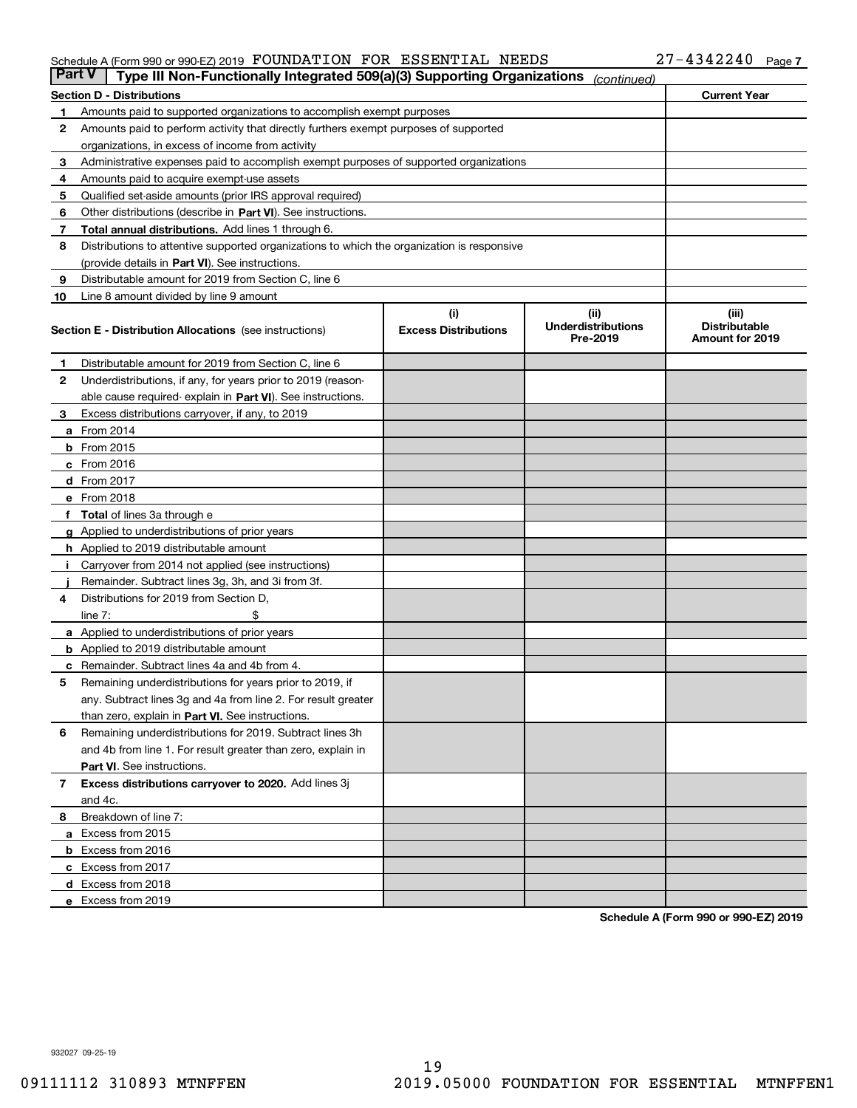### Schedule A (Form 990 or 990-EZ) 2019 Page FOUNDATION FOR ESSENTIAL NEEDS 27-4342240

| Part V | Type III Non-Functionally Integrated 509(a)(3) Supporting Organizations                    |                             | (continued)                           |                                         |
|--------|--------------------------------------------------------------------------------------------|-----------------------------|---------------------------------------|-----------------------------------------|
|        | <b>Section D - Distributions</b>                                                           |                             |                                       | <b>Current Year</b>                     |
| 1      | Amounts paid to supported organizations to accomplish exempt purposes                      |                             |                                       |                                         |
| 2      | Amounts paid to perform activity that directly furthers exempt purposes of supported       |                             |                                       |                                         |
|        | organizations, in excess of income from activity                                           |                             |                                       |                                         |
| з      | Administrative expenses paid to accomplish exempt purposes of supported organizations      |                             |                                       |                                         |
| 4      | Amounts paid to acquire exempt-use assets                                                  |                             |                                       |                                         |
| 5      | Qualified set-aside amounts (prior IRS approval required)                                  |                             |                                       |                                         |
| 6      | Other distributions (describe in Part VI). See instructions.                               |                             |                                       |                                         |
| 7      | <b>Total annual distributions.</b> Add lines 1 through 6.                                  |                             |                                       |                                         |
| 8      | Distributions to attentive supported organizations to which the organization is responsive |                             |                                       |                                         |
|        | (provide details in Part VI). See instructions.                                            |                             |                                       |                                         |
| 9      | Distributable amount for 2019 from Section C, line 6                                       |                             |                                       |                                         |
| 10     | Line 8 amount divided by line 9 amount                                                     |                             |                                       |                                         |
|        |                                                                                            | (i)                         | (iii)                                 | (iii)                                   |
|        | <b>Section E - Distribution Allocations</b> (see instructions)                             | <b>Excess Distributions</b> | <b>Underdistributions</b><br>Pre-2019 | <b>Distributable</b><br>Amount for 2019 |
| 1      | Distributable amount for 2019 from Section C, line 6                                       |                             |                                       |                                         |
| 2      | Underdistributions, if any, for years prior to 2019 (reason-                               |                             |                                       |                                         |
|        | able cause required- explain in Part VI). See instructions.                                |                             |                                       |                                         |
| з      | Excess distributions carryover, if any, to 2019                                            |                             |                                       |                                         |
|        | <b>a</b> From 2014                                                                         |                             |                                       |                                         |
|        | <b>b</b> From 2015                                                                         |                             |                                       |                                         |
|        | $c$ From 2016                                                                              |                             |                                       |                                         |
|        | d From 2017                                                                                |                             |                                       |                                         |
|        | e From 2018                                                                                |                             |                                       |                                         |
|        | Total of lines 3a through e                                                                |                             |                                       |                                         |
|        | <b>g</b> Applied to underdistributions of prior years                                      |                             |                                       |                                         |
|        | <b>h</b> Applied to 2019 distributable amount                                              |                             |                                       |                                         |
|        | Carryover from 2014 not applied (see instructions)                                         |                             |                                       |                                         |
|        | Remainder. Subtract lines 3g, 3h, and 3i from 3f.                                          |                             |                                       |                                         |
| 4      | Distributions for 2019 from Section D,                                                     |                             |                                       |                                         |
|        | line $7:$                                                                                  |                             |                                       |                                         |
|        | <b>a</b> Applied to underdistributions of prior years                                      |                             |                                       |                                         |
|        | <b>b</b> Applied to 2019 distributable amount                                              |                             |                                       |                                         |
| c      | Remainder. Subtract lines 4a and 4b from 4.                                                |                             |                                       |                                         |
| 5      | Remaining underdistributions for years prior to 2019, if                                   |                             |                                       |                                         |
|        | any. Subtract lines 3g and 4a from line 2. For result greater                              |                             |                                       |                                         |
|        | than zero, explain in Part VI. See instructions.                                           |                             |                                       |                                         |
| 6      | Remaining underdistributions for 2019. Subtract lines 3h                                   |                             |                                       |                                         |
|        | and 4b from line 1. For result greater than zero, explain in                               |                             |                                       |                                         |
|        | Part VI. See instructions.                                                                 |                             |                                       |                                         |
| 7      | Excess distributions carryover to 2020. Add lines 3j                                       |                             |                                       |                                         |
|        | and 4c.                                                                                    |                             |                                       |                                         |
| 8      | Breakdown of line 7:                                                                       |                             |                                       |                                         |
|        | a Excess from 2015                                                                         |                             |                                       |                                         |
|        | <b>b</b> Excess from 2016                                                                  |                             |                                       |                                         |
|        | c Excess from 2017                                                                         |                             |                                       |                                         |
|        | d Excess from 2018                                                                         |                             |                                       |                                         |
|        | e Excess from 2019                                                                         |                             |                                       |                                         |
|        |                                                                                            |                             |                                       |                                         |

**Schedule A (Form 990 or 990-EZ) 2019**

932027 09-25-19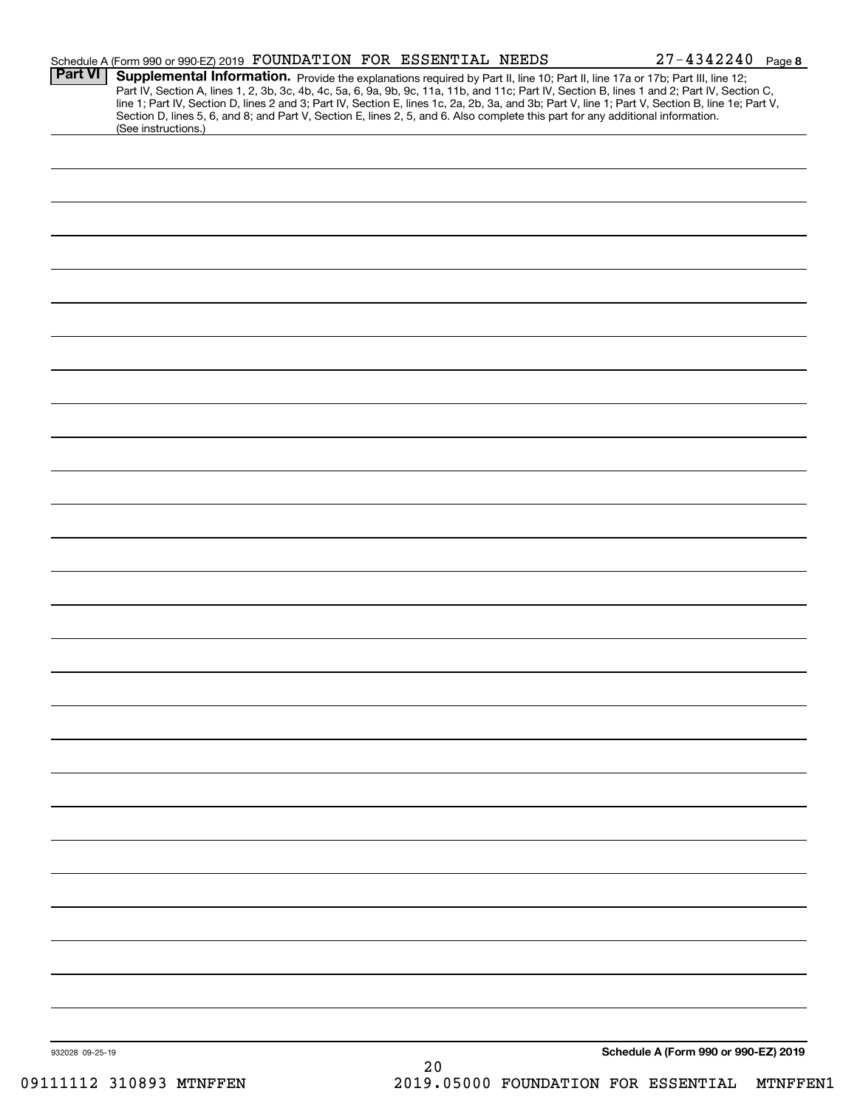|                 | Schedule A (Form 990 or 990-EZ) 2019 FOUNDATION FOR ESSENTIAL NEEDS                                                                                                                                                                                                                                                                                                                                                                                                                                                                                                  |    | $27 - 4342240$ Page 8                |  |
|-----------------|----------------------------------------------------------------------------------------------------------------------------------------------------------------------------------------------------------------------------------------------------------------------------------------------------------------------------------------------------------------------------------------------------------------------------------------------------------------------------------------------------------------------------------------------------------------------|----|--------------------------------------|--|
| <b>Part VI</b>  | Supplemental Information. Provide the explanations required by Part II, line 10; Part II, line 17a or 17b; Part III, line 12;<br>Part IV, Section A, lines 1, 2, 3b, 3c, 4b, 4c, 5a, 6, 9a, 9b, 9c, 11a, 11b, and 11c; Part IV, Section B, lines 1 and 2; Part IV, Section C,<br>line 1; Part IV, Section D, lines 2 and 3; Part IV, Section E, lines 1c, 2a, 2b, 3a, and 3b; Part V, line 1; Part V, Section B, line 1e; Part V,<br>Section D, lines 5, 6, and 8; and Part V, Section E, lines 2, 5, and 6. Also complete this part for any additional information. |    |                                      |  |
|                 | (See instructions.)                                                                                                                                                                                                                                                                                                                                                                                                                                                                                                                                                  |    |                                      |  |
|                 |                                                                                                                                                                                                                                                                                                                                                                                                                                                                                                                                                                      |    |                                      |  |
|                 |                                                                                                                                                                                                                                                                                                                                                                                                                                                                                                                                                                      |    |                                      |  |
|                 |                                                                                                                                                                                                                                                                                                                                                                                                                                                                                                                                                                      |    |                                      |  |
|                 |                                                                                                                                                                                                                                                                                                                                                                                                                                                                                                                                                                      |    |                                      |  |
|                 |                                                                                                                                                                                                                                                                                                                                                                                                                                                                                                                                                                      |    |                                      |  |
|                 |                                                                                                                                                                                                                                                                                                                                                                                                                                                                                                                                                                      |    |                                      |  |
|                 |                                                                                                                                                                                                                                                                                                                                                                                                                                                                                                                                                                      |    |                                      |  |
|                 |                                                                                                                                                                                                                                                                                                                                                                                                                                                                                                                                                                      |    |                                      |  |
|                 |                                                                                                                                                                                                                                                                                                                                                                                                                                                                                                                                                                      |    |                                      |  |
|                 |                                                                                                                                                                                                                                                                                                                                                                                                                                                                                                                                                                      |    |                                      |  |
|                 |                                                                                                                                                                                                                                                                                                                                                                                                                                                                                                                                                                      |    |                                      |  |
|                 |                                                                                                                                                                                                                                                                                                                                                                                                                                                                                                                                                                      |    |                                      |  |
|                 |                                                                                                                                                                                                                                                                                                                                                                                                                                                                                                                                                                      |    |                                      |  |
|                 |                                                                                                                                                                                                                                                                                                                                                                                                                                                                                                                                                                      |    |                                      |  |
|                 |                                                                                                                                                                                                                                                                                                                                                                                                                                                                                                                                                                      |    |                                      |  |
|                 |                                                                                                                                                                                                                                                                                                                                                                                                                                                                                                                                                                      |    |                                      |  |
|                 |                                                                                                                                                                                                                                                                                                                                                                                                                                                                                                                                                                      |    |                                      |  |
|                 |                                                                                                                                                                                                                                                                                                                                                                                                                                                                                                                                                                      |    |                                      |  |
|                 |                                                                                                                                                                                                                                                                                                                                                                                                                                                                                                                                                                      |    |                                      |  |
|                 |                                                                                                                                                                                                                                                                                                                                                                                                                                                                                                                                                                      |    |                                      |  |
|                 |                                                                                                                                                                                                                                                                                                                                                                                                                                                                                                                                                                      |    |                                      |  |
|                 |                                                                                                                                                                                                                                                                                                                                                                                                                                                                                                                                                                      |    |                                      |  |
|                 |                                                                                                                                                                                                                                                                                                                                                                                                                                                                                                                                                                      |    |                                      |  |
|                 |                                                                                                                                                                                                                                                                                                                                                                                                                                                                                                                                                                      |    |                                      |  |
|                 |                                                                                                                                                                                                                                                                                                                                                                                                                                                                                                                                                                      |    |                                      |  |
|                 |                                                                                                                                                                                                                                                                                                                                                                                                                                                                                                                                                                      |    |                                      |  |
|                 |                                                                                                                                                                                                                                                                                                                                                                                                                                                                                                                                                                      |    |                                      |  |
|                 |                                                                                                                                                                                                                                                                                                                                                                                                                                                                                                                                                                      |    |                                      |  |
|                 |                                                                                                                                                                                                                                                                                                                                                                                                                                                                                                                                                                      |    |                                      |  |
|                 |                                                                                                                                                                                                                                                                                                                                                                                                                                                                                                                                                                      |    |                                      |  |
|                 |                                                                                                                                                                                                                                                                                                                                                                                                                                                                                                                                                                      |    |                                      |  |
|                 |                                                                                                                                                                                                                                                                                                                                                                                                                                                                                                                                                                      |    |                                      |  |
|                 |                                                                                                                                                                                                                                                                                                                                                                                                                                                                                                                                                                      |    |                                      |  |
|                 |                                                                                                                                                                                                                                                                                                                                                                                                                                                                                                                                                                      |    |                                      |  |
| 932028 09-25-19 |                                                                                                                                                                                                                                                                                                                                                                                                                                                                                                                                                                      | 20 | Schedule A (Form 990 or 990-EZ) 2019 |  |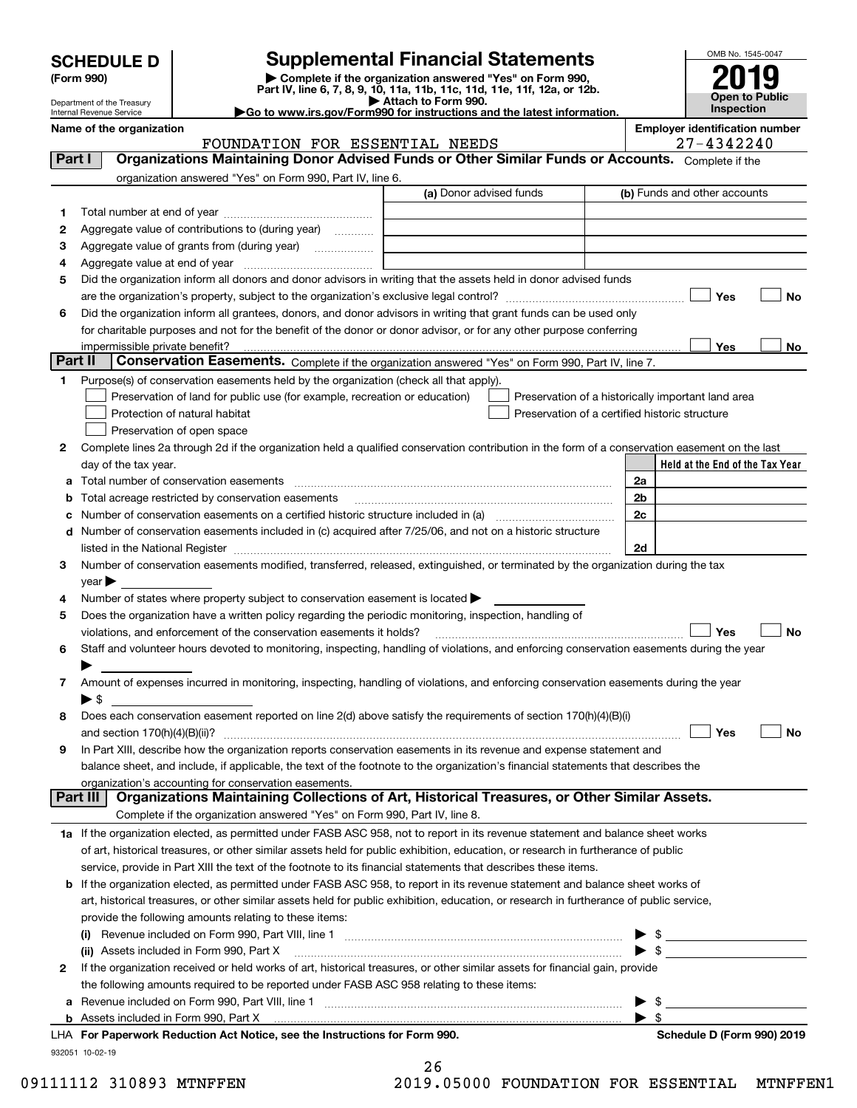|  | <b>SCHEDULE D</b> |  |  |  |
|--|-------------------|--|--|--|
|--|-------------------|--|--|--|

# **Supplemental Financial Statements**

(Form 990)<br>
Pepartment of the Treasury<br>
Department of the Treasury<br>
Department of the Treasury<br>
Department of the Treasury<br> **Co to www.irs.gov/Form990 for instructions and the latest information.**<br> **Co to www.irs.gov/Form9** 



Department of the Treasury Internal Revenue Service

**Name of the organization Employer identification number**

FOUNDATION FOR ESSENTIAL NEEDS 27-4342240

| Part I  | Organizations Maintaining Donor Advised Funds or Other Similar Funds or Accounts. Complete if the                                                                                                                             |                         |                                                    |
|---------|-------------------------------------------------------------------------------------------------------------------------------------------------------------------------------------------------------------------------------|-------------------------|----------------------------------------------------|
|         | organization answered "Yes" on Form 990, Part IV, line 6.                                                                                                                                                                     |                         |                                                    |
|         |                                                                                                                                                                                                                               | (a) Donor advised funds | (b) Funds and other accounts                       |
| 1       |                                                                                                                                                                                                                               |                         |                                                    |
| 2       | Aggregate value of contributions to (during year)                                                                                                                                                                             |                         |                                                    |
| з       | Aggregate value of grants from (during year)                                                                                                                                                                                  |                         |                                                    |
| 4       |                                                                                                                                                                                                                               |                         |                                                    |
| 5       | Did the organization inform all donors and donor advisors in writing that the assets held in donor advised funds                                                                                                              |                         |                                                    |
|         |                                                                                                                                                                                                                               |                         | Yes<br>No                                          |
| 6       | Did the organization inform all grantees, donors, and donor advisors in writing that grant funds can be used only                                                                                                             |                         |                                                    |
|         | for charitable purposes and not for the benefit of the donor or donor advisor, or for any other purpose conferring                                                                                                            |                         |                                                    |
|         |                                                                                                                                                                                                                               |                         | Yes<br>No                                          |
| Part II | Conservation Easements. Complete if the organization answered "Yes" on Form 990, Part IV, line 7.                                                                                                                             |                         |                                                    |
| 1       | Purpose(s) of conservation easements held by the organization (check all that apply).                                                                                                                                         |                         |                                                    |
|         | Preservation of land for public use (for example, recreation or education)                                                                                                                                                    |                         | Preservation of a historically important land area |
|         | Protection of natural habitat                                                                                                                                                                                                 |                         | Preservation of a certified historic structure     |
|         | Preservation of open space                                                                                                                                                                                                    |                         |                                                    |
| 2       | Complete lines 2a through 2d if the organization held a qualified conservation contribution in the form of a conservation easement on the last                                                                                |                         |                                                    |
|         | day of the tax year.                                                                                                                                                                                                          |                         | Held at the End of the Tax Year                    |
| а       | Total number of conservation easements                                                                                                                                                                                        |                         | 2a                                                 |
| b       | Total acreage restricted by conservation easements                                                                                                                                                                            |                         | 2 <sub>b</sub>                                     |
|         |                                                                                                                                                                                                                               |                         | 2c                                                 |
|         | d Number of conservation easements included in (c) acquired after 7/25/06, and not on a historic structure                                                                                                                    |                         |                                                    |
|         | listed in the National Register [111] Marshall Register [11] Marshall Register [11] Marshall Register [11] Marshall Register [11] Marshall Register [11] Marshall Register [11] Marshall Register [11] Marshall Register [11] |                         | 2d                                                 |
| 3       | Number of conservation easements modified, transferred, released, extinguished, or terminated by the organization during the tax                                                                                              |                         |                                                    |
|         | year                                                                                                                                                                                                                          |                         |                                                    |
| 4       | Number of states where property subject to conservation easement is located >                                                                                                                                                 |                         |                                                    |
| 5       | Does the organization have a written policy regarding the periodic monitoring, inspection, handling of                                                                                                                        |                         |                                                    |
|         | violations, and enforcement of the conservation easements it holds?                                                                                                                                                           |                         | Yes<br>No                                          |
| 6       | Staff and volunteer hours devoted to monitoring, inspecting, handling of violations, and enforcing conservation easements during the year                                                                                     |                         |                                                    |
|         |                                                                                                                                                                                                                               |                         |                                                    |
| 7       | Amount of expenses incurred in monitoring, inspecting, handling of violations, and enforcing conservation easements during the year                                                                                           |                         |                                                    |
|         | $\blacktriangleright$ S                                                                                                                                                                                                       |                         |                                                    |
| 8       | Does each conservation easement reported on line 2(d) above satisfy the requirements of section 170(h)(4)(B)(i)                                                                                                               |                         |                                                    |
|         |                                                                                                                                                                                                                               |                         | Yes<br>No                                          |
| 9       | In Part XIII, describe how the organization reports conservation easements in its revenue and expense statement and                                                                                                           |                         |                                                    |
|         | balance sheet, and include, if applicable, the text of the footnote to the organization's financial statements that describes the                                                                                             |                         |                                                    |
|         | organization's accounting for conservation easements.                                                                                                                                                                         |                         |                                                    |
|         | Organizations Maintaining Collections of Art, Historical Treasures, or Other Similar Assets.<br>Part III                                                                                                                      |                         |                                                    |
|         | Complete if the organization answered "Yes" on Form 990, Part IV, line 8.                                                                                                                                                     |                         |                                                    |
|         | 1a If the organization elected, as permitted under FASB ASC 958, not to report in its revenue statement and balance sheet works                                                                                               |                         |                                                    |
|         | of art, historical treasures, or other similar assets held for public exhibition, education, or research in furtherance of public                                                                                             |                         |                                                    |
|         | service, provide in Part XIII the text of the footnote to its financial statements that describes these items.                                                                                                                |                         |                                                    |
|         | <b>b</b> If the organization elected, as permitted under FASB ASC 958, to report in its revenue statement and balance sheet works of                                                                                          |                         |                                                    |
|         | art, historical treasures, or other similar assets held for public exhibition, education, or research in furtherance of public service,                                                                                       |                         |                                                    |
|         | provide the following amounts relating to these items:                                                                                                                                                                        |                         |                                                    |
|         | (i)                                                                                                                                                                                                                           |                         | $\frac{1}{2}$                                      |
|         | (ii) Assets included in Form 990, Part X                                                                                                                                                                                      |                         | $\triangleright$ \$                                |
| 2       | If the organization received or held works of art, historical treasures, or other similar assets for financial gain, provide                                                                                                  |                         |                                                    |
|         | the following amounts required to be reported under FASB ASC 958 relating to these items:                                                                                                                                     |                         |                                                    |
| а       |                                                                                                                                                                                                                               |                         | - \$<br>▶                                          |
|         |                                                                                                                                                                                                                               |                         | $\blacktriangleright$ s                            |
|         | LHA For Paperwork Reduction Act Notice, see the Instructions for Form 990.                                                                                                                                                    |                         | Schedule D (Form 990) 2019                         |
|         | 932051 10-02-19                                                                                                                                                                                                               |                         |                                                    |

| O<br>z |  |  |  |
|--------|--|--|--|
|        |  |  |  |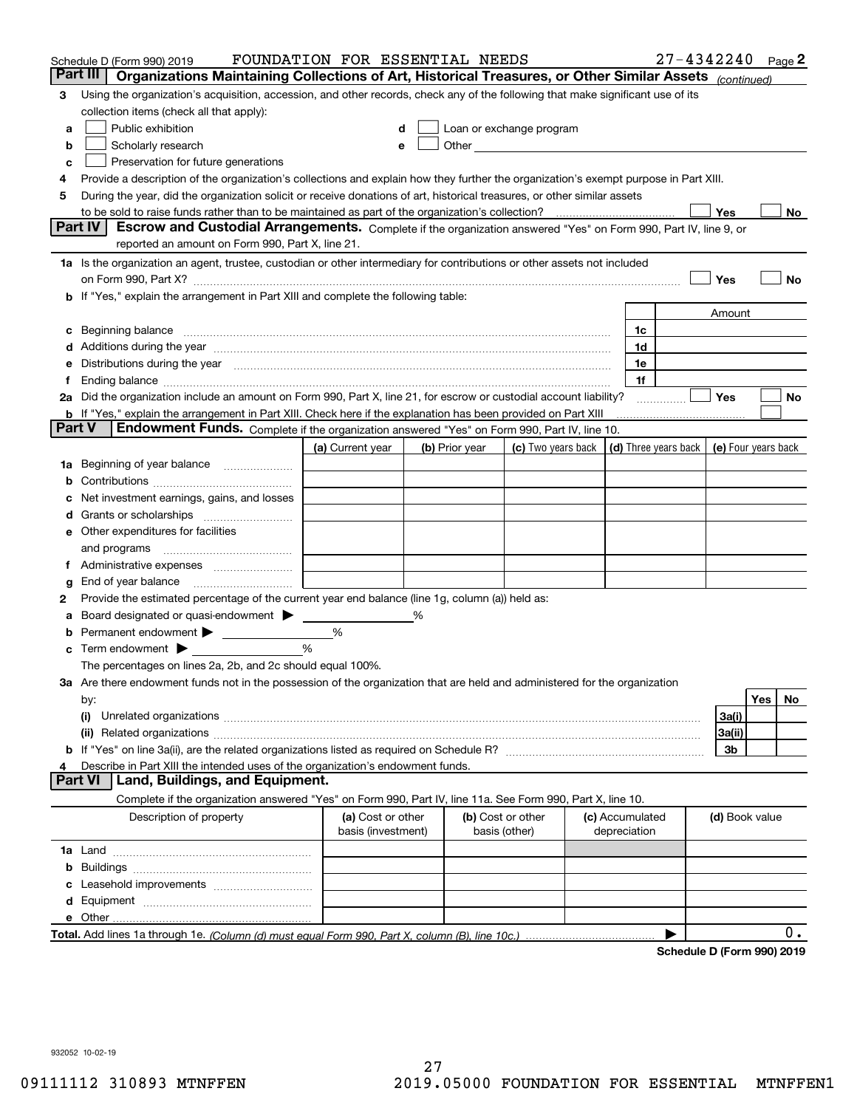|               | Schedule D (Form 990) 2019                                                                                                                                                                                                     | FOUNDATION FOR ESSENTIAL NEEDS |   |                |                          |                 | 27-4342240                 |                     |     | Page 2 |
|---------------|--------------------------------------------------------------------------------------------------------------------------------------------------------------------------------------------------------------------------------|--------------------------------|---|----------------|--------------------------|-----------------|----------------------------|---------------------|-----|--------|
|               | Organizations Maintaining Collections of Art, Historical Treasures, or Other Similar Assets (continued)<br>Part III                                                                                                            |                                |   |                |                          |                 |                            |                     |     |        |
| 3             | Using the organization's acquisition, accession, and other records, check any of the following that make significant use of its                                                                                                |                                |   |                |                          |                 |                            |                     |     |        |
|               | collection items (check all that apply):                                                                                                                                                                                       |                                |   |                |                          |                 |                            |                     |     |        |
| а             | Public exhibition                                                                                                                                                                                                              |                                |   |                | Loan or exchange program |                 |                            |                     |     |        |
| b             | Scholarly research                                                                                                                                                                                                             |                                |   |                |                          |                 |                            |                     |     |        |
| с             | Preservation for future generations                                                                                                                                                                                            |                                |   |                |                          |                 |                            |                     |     |        |
| 4             | Provide a description of the organization's collections and explain how they further the organization's exempt purpose in Part XIII.                                                                                           |                                |   |                |                          |                 |                            |                     |     |        |
| 5             | During the year, did the organization solicit or receive donations of art, historical treasures, or other similar assets                                                                                                       |                                |   |                |                          |                 |                            |                     |     |        |
|               | to be sold to raise funds rather than to be maintained as part of the organization's collection?                                                                                                                               |                                |   |                |                          | . <u>.</u>      |                            | Yes                 |     | No     |
|               | <b>Part IV</b><br>Escrow and Custodial Arrangements. Complete if the organization answered "Yes" on Form 990, Part IV, line 9, or                                                                                              |                                |   |                |                          |                 |                            |                     |     |        |
|               | reported an amount on Form 990, Part X, line 21.                                                                                                                                                                               |                                |   |                |                          |                 |                            |                     |     |        |
|               | 1a Is the organization an agent, trustee, custodian or other intermediary for contributions or other assets not included                                                                                                       |                                |   |                |                          |                 |                            |                     |     |        |
|               | on Form 990, Part X? [11] matter contracts and contracts and contracts are contracted and contracts are contracted and contract of the set of the set of the set of the set of the set of the set of the set of the set of the |                                |   |                |                          |                 |                            | Yes                 |     | No     |
|               | <b>b</b> If "Yes," explain the arrangement in Part XIII and complete the following table:                                                                                                                                      |                                |   |                |                          |                 |                            |                     |     |        |
|               |                                                                                                                                                                                                                                |                                |   |                |                          |                 |                            | Amount              |     |        |
| c             | Beginning balance material contracts and contracts and contracts and contracts and contracts and contracts and                                                                                                                 |                                |   |                |                          | 1c              |                            |                     |     |        |
|               | d Additions during the year measurements are all an according to the year.                                                                                                                                                     |                                |   |                |                          | 1d              |                            |                     |     |        |
|               | e Distributions during the year manufactured and an according to the distributions during the year manufactured and the state of the state of the state of the state of the state of the state of the state of the state of th |                                |   |                |                          | 1e              |                            |                     |     |        |
| f.            |                                                                                                                                                                                                                                |                                |   |                |                          | 1f              |                            |                     |     |        |
|               | 2a Did the organization include an amount on Form 990, Part X, line 21, for escrow or custodial account liability?                                                                                                             |                                |   |                |                          |                 |                            | Yes                 |     | No     |
|               | b If "Yes," explain the arrangement in Part XIII. Check here if the explanation has been provided on Part XIII                                                                                                                 |                                |   |                |                          |                 |                            |                     |     |        |
| <b>Part V</b> | Endowment Funds. Complete if the organization answered "Yes" on Form 990, Part IV, line 10.                                                                                                                                    |                                |   |                |                          |                 |                            |                     |     |        |
|               |                                                                                                                                                                                                                                | (a) Current year               |   | (b) Prior year | (c) Two years back       |                 | (d) Three years back       | (e) Four years back |     |        |
|               | 1a Beginning of year balance                                                                                                                                                                                                   |                                |   |                |                          |                 |                            |                     |     |        |
| b             |                                                                                                                                                                                                                                |                                |   |                |                          |                 |                            |                     |     |        |
|               | Net investment earnings, gains, and losses                                                                                                                                                                                     |                                |   |                |                          |                 |                            |                     |     |        |
|               |                                                                                                                                                                                                                                |                                |   |                |                          |                 |                            |                     |     |        |
|               | e Other expenditures for facilities                                                                                                                                                                                            |                                |   |                |                          |                 |                            |                     |     |        |
|               | and programs                                                                                                                                                                                                                   |                                |   |                |                          |                 |                            |                     |     |        |
|               |                                                                                                                                                                                                                                |                                |   |                |                          |                 |                            |                     |     |        |
| g             |                                                                                                                                                                                                                                |                                |   |                |                          |                 |                            |                     |     |        |
| 2             | Provide the estimated percentage of the current year end balance (line 1g, column (a)) held as:                                                                                                                                |                                |   |                |                          |                 |                            |                     |     |        |
| а             | Board designated or quasi-endowment > _____                                                                                                                                                                                    |                                | % |                |                          |                 |                            |                     |     |        |
| b             | Permanent endowment > 1                                                                                                                                                                                                        | %                              |   |                |                          |                 |                            |                     |     |        |
|               | <b>c</b> Term endowment $\blacktriangleright$                                                                                                                                                                                  | %                              |   |                |                          |                 |                            |                     |     |        |
|               | The percentages on lines 2a, 2b, and 2c should equal 100%.                                                                                                                                                                     |                                |   |                |                          |                 |                            |                     |     |        |
|               | 3a Are there endowment funds not in the possession of the organization that are held and administered for the organization                                                                                                     |                                |   |                |                          |                 |                            |                     |     |        |
|               | by:                                                                                                                                                                                                                            |                                |   |                |                          |                 |                            |                     | Yes | No     |
|               |                                                                                                                                                                                                                                |                                |   |                |                          |                 |                            | 3a(i)               |     |        |
|               |                                                                                                                                                                                                                                |                                |   |                |                          |                 |                            | 3a(ii)              |     |        |
|               |                                                                                                                                                                                                                                |                                |   |                |                          |                 |                            | 3b                  |     |        |
| 4             | Describe in Part XIII the intended uses of the organization's endowment funds.                                                                                                                                                 |                                |   |                |                          |                 |                            |                     |     |        |
|               | Land, Buildings, and Equipment.<br><b>Part VI</b>                                                                                                                                                                              |                                |   |                |                          |                 |                            |                     |     |        |
|               | Complete if the organization answered "Yes" on Form 990, Part IV, line 11a. See Form 990, Part X, line 10.                                                                                                                     |                                |   |                |                          |                 |                            |                     |     |        |
|               | Description of property                                                                                                                                                                                                        | (a) Cost or other              |   |                | (b) Cost or other        | (c) Accumulated |                            | (d) Book value      |     |        |
|               |                                                                                                                                                                                                                                | basis (investment)             |   |                | basis (other)            | depreciation    |                            |                     |     |        |
|               |                                                                                                                                                                                                                                |                                |   |                |                          |                 |                            |                     |     |        |
| b             |                                                                                                                                                                                                                                |                                |   |                |                          |                 |                            |                     |     |        |
| c             |                                                                                                                                                                                                                                |                                |   |                |                          |                 |                            |                     |     |        |
| d             |                                                                                                                                                                                                                                |                                |   |                |                          |                 |                            |                     |     |        |
|               |                                                                                                                                                                                                                                |                                |   |                |                          |                 |                            |                     |     |        |
|               |                                                                                                                                                                                                                                |                                |   |                |                          |                 |                            |                     |     | 0.     |
|               |                                                                                                                                                                                                                                |                                |   |                |                          |                 | Schedule D (Form 990) 2019 |                     |     |        |
|               |                                                                                                                                                                                                                                |                                |   |                |                          |                 |                            |                     |     |        |

932052 10-02-19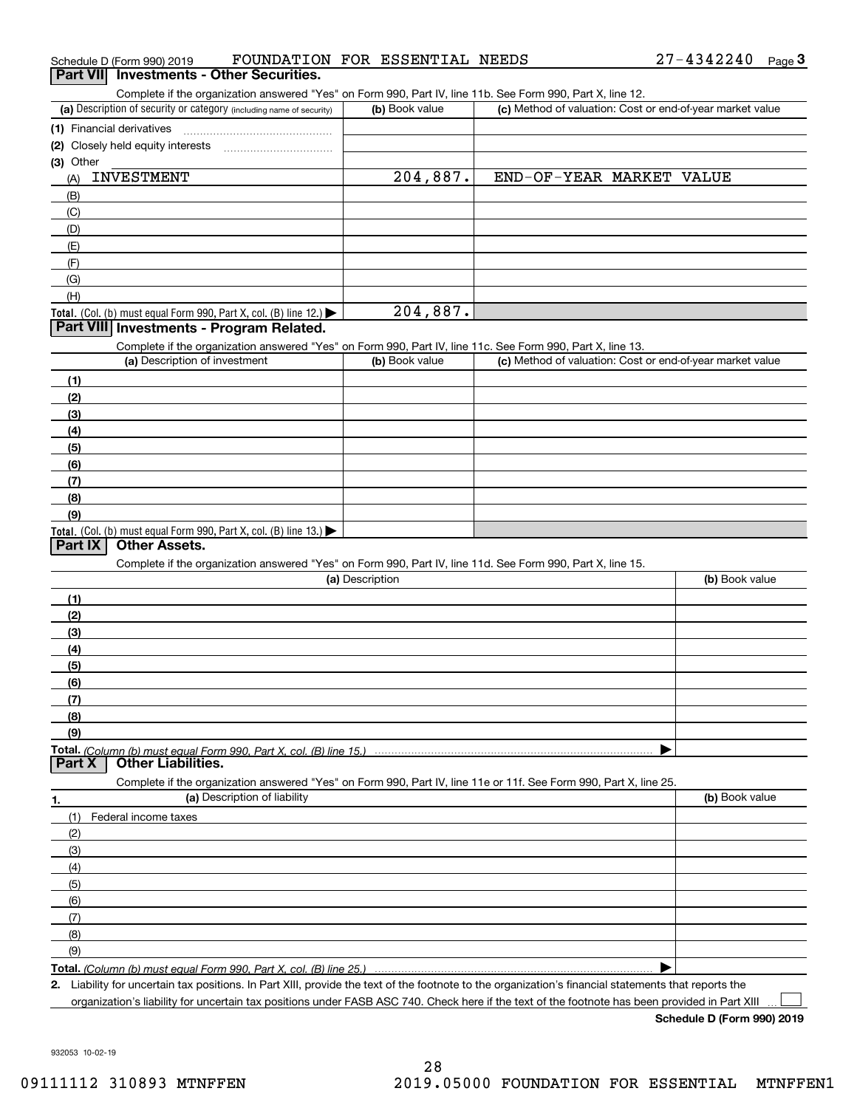| Schedule D (Form 990) 2019                      | FOUNDATION FOR ESSENTIAL NEEDS |  | $27 - 4342240$ | Page |
|-------------------------------------------------|--------------------------------|--|----------------|------|
| <b>Part VII</b> Investments - Other Securities. |                                |  |                |      |

| (a) Description of security or category (including name of security)                                                                                                    | Complete if the organization answered "Yes" on Form 990, Part IV, line 11b. See Form 990, Part X, line 12.<br>(b) Book value | (c) Method of valuation: Cost or end-of-year market value |
|-------------------------------------------------------------------------------------------------------------------------------------------------------------------------|------------------------------------------------------------------------------------------------------------------------------|-----------------------------------------------------------|
| (1) Financial derivatives                                                                                                                                               |                                                                                                                              |                                                           |
|                                                                                                                                                                         |                                                                                                                              |                                                           |
| (3) Other                                                                                                                                                               |                                                                                                                              |                                                           |
| <b>INVESTMENT</b><br>(A)                                                                                                                                                | 204,887.                                                                                                                     | END-OF-YEAR MARKET VALUE                                  |
| (B)                                                                                                                                                                     |                                                                                                                              |                                                           |
| (C)                                                                                                                                                                     |                                                                                                                              |                                                           |
| (D)                                                                                                                                                                     |                                                                                                                              |                                                           |
| (E)                                                                                                                                                                     |                                                                                                                              |                                                           |
| (F)                                                                                                                                                                     |                                                                                                                              |                                                           |
| (G)                                                                                                                                                                     |                                                                                                                              |                                                           |
| (H)                                                                                                                                                                     |                                                                                                                              |                                                           |
| Total. (Col. (b) must equal Form 990, Part X, col. (B) line 12.)                                                                                                        | 204,887.                                                                                                                     |                                                           |
| Part VIII Investments - Program Related.                                                                                                                                |                                                                                                                              |                                                           |
| Complete if the organization answered "Yes" on Form 990, Part IV, line 11c. See Form 990, Part X, line 13.                                                              |                                                                                                                              |                                                           |
| (a) Description of investment                                                                                                                                           | (b) Book value                                                                                                               | (c) Method of valuation: Cost or end-of-year market value |
| (1)                                                                                                                                                                     |                                                                                                                              |                                                           |
| (2)                                                                                                                                                                     |                                                                                                                              |                                                           |
| (3)                                                                                                                                                                     |                                                                                                                              |                                                           |
| (4)                                                                                                                                                                     |                                                                                                                              |                                                           |
| (5)                                                                                                                                                                     |                                                                                                                              |                                                           |
| (6)                                                                                                                                                                     |                                                                                                                              |                                                           |
| (7)                                                                                                                                                                     |                                                                                                                              |                                                           |
|                                                                                                                                                                         |                                                                                                                              |                                                           |
| (8)                                                                                                                                                                     |                                                                                                                              |                                                           |
| (9)<br>Total. (Col. (b) must equal Form 990, Part X, col. (B) line 13.)                                                                                                 |                                                                                                                              |                                                           |
|                                                                                                                                                                         |                                                                                                                              |                                                           |
|                                                                                                                                                                         |                                                                                                                              |                                                           |
| <b>Other Assets.</b><br><b>Part IX</b>                                                                                                                                  |                                                                                                                              |                                                           |
| Complete if the organization answered "Yes" on Form 990, Part IV, line 11d. See Form 990, Part X, line 15.                                                              |                                                                                                                              |                                                           |
|                                                                                                                                                                         | (a) Description                                                                                                              | (b) Book value                                            |
|                                                                                                                                                                         |                                                                                                                              |                                                           |
| (2)                                                                                                                                                                     |                                                                                                                              |                                                           |
| (1)<br>(3)                                                                                                                                                              |                                                                                                                              |                                                           |
| (4)                                                                                                                                                                     |                                                                                                                              |                                                           |
|                                                                                                                                                                         |                                                                                                                              |                                                           |
|                                                                                                                                                                         |                                                                                                                              |                                                           |
|                                                                                                                                                                         |                                                                                                                              |                                                           |
|                                                                                                                                                                         |                                                                                                                              |                                                           |
|                                                                                                                                                                         |                                                                                                                              |                                                           |
|                                                                                                                                                                         |                                                                                                                              |                                                           |
| <b>Other Liabilities.</b>                                                                                                                                               |                                                                                                                              |                                                           |
| Complete if the organization answered "Yes" on Form 990, Part IV, line 11e or 11f. See Form 990, Part X, line 25.                                                       |                                                                                                                              |                                                           |
| (a) Description of liability                                                                                                                                            |                                                                                                                              | (b) Book value                                            |
| Federal income taxes                                                                                                                                                    |                                                                                                                              |                                                           |
|                                                                                                                                                                         |                                                                                                                              |                                                           |
|                                                                                                                                                                         |                                                                                                                              |                                                           |
|                                                                                                                                                                         |                                                                                                                              |                                                           |
|                                                                                                                                                                         |                                                                                                                              |                                                           |
|                                                                                                                                                                         |                                                                                                                              |                                                           |
| (5)<br>(6)<br>(7)<br>(8)<br>(9)<br>Total. (Column (b) must equal Form 990, Part X, col. (B) line 15.)<br><b>Part X</b><br>(1)<br>(2)<br>(3)<br>(4)<br>(5)<br>(6)<br>(7) |                                                                                                                              |                                                           |
| (8)<br>(9)                                                                                                                                                              |                                                                                                                              |                                                           |

organization's liability for uncertain tax positions under FASB ASC 740. Check here if the text of the footnote has been provided in Part XIII

**Schedule D (Form 990) 2019**

 $\mathcal{L}^{\text{max}}$ 

932053 10-02-19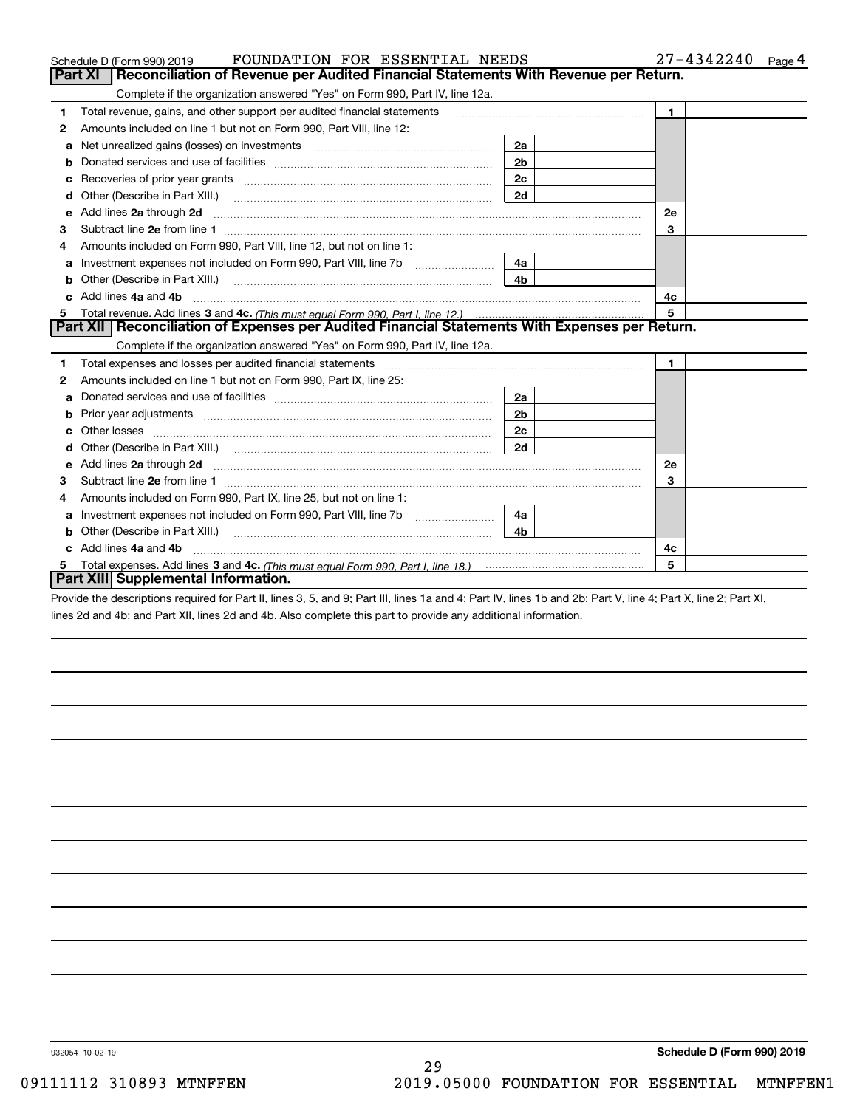|    | FOUNDATION FOR ESSENTIAL NEEDS<br>Schedule D (Form 990) 2019                                                                                                                                                                        |                | 27-4342240<br>Page 4 |
|----|-------------------------------------------------------------------------------------------------------------------------------------------------------------------------------------------------------------------------------------|----------------|----------------------|
|    | Reconciliation of Revenue per Audited Financial Statements With Revenue per Return.<br>Part XI                                                                                                                                      |                |                      |
|    | Complete if the organization answered "Yes" on Form 990, Part IV, line 12a.                                                                                                                                                         |                |                      |
| 1  | Total revenue, gains, and other support per audited financial statements                                                                                                                                                            |                | $\blacksquare$       |
| 2  | Amounts included on line 1 but not on Form 990, Part VIII, line 12:                                                                                                                                                                 |                |                      |
| а  | Net unrealized gains (losses) on investments [11] matter contracts and the unrealized gains (losses) on investments                                                                                                                 | 2a             |                      |
|    |                                                                                                                                                                                                                                     | 2b             |                      |
|    |                                                                                                                                                                                                                                     | 2c             |                      |
| d  | Other (Describe in Part XIII.) <b>2006</b> 2007 2010 2010 2010 2010 2011 2012 2013 2014 2014 2015 2016 2017 2018 2019 2016 2017 2018 2019 2016 2017 2018 2019 2016 2017 2018 2019 2018 2019 2019 2016 2017 2018 2019 2018 2019 2019 | 2d             |                      |
| е  | Add lines 2a through 2d                                                                                                                                                                                                             |                | 2е                   |
| з  |                                                                                                                                                                                                                                     |                | 3                    |
| 4  | Amounts included on Form 990, Part VIII, line 12, but not on line 1:                                                                                                                                                                |                |                      |
|    |                                                                                                                                                                                                                                     | 4a             |                      |
|    |                                                                                                                                                                                                                                     | 4 <sub>b</sub> |                      |
| c. | Add lines 4a and 4b                                                                                                                                                                                                                 |                | 4c                   |
|    |                                                                                                                                                                                                                                     | 5              |                      |
|    |                                                                                                                                                                                                                                     |                |                      |
|    | Part XII   Reconciliation of Expenses per Audited Financial Statements With Expenses per Return.                                                                                                                                    |                |                      |
|    | Complete if the organization answered "Yes" on Form 990, Part IV, line 12a.                                                                                                                                                         |                |                      |
| 1  |                                                                                                                                                                                                                                     |                | $\mathbf{1}$         |
| 2  | Amounts included on line 1 but not on Form 990, Part IX, line 25:                                                                                                                                                                   |                |                      |
| a  |                                                                                                                                                                                                                                     | 2a             |                      |
| b  |                                                                                                                                                                                                                                     | 2 <sub>b</sub> |                      |
|    |                                                                                                                                                                                                                                     | 2c             |                      |
| d  |                                                                                                                                                                                                                                     | 2d             |                      |
| е  |                                                                                                                                                                                                                                     |                | 2e                   |
| 3  |                                                                                                                                                                                                                                     |                | 3                    |
| 4  | Amounts included on Form 990, Part IX, line 25, but not on line 1:                                                                                                                                                                  |                |                      |
| a  |                                                                                                                                                                                                                                     | 4a             |                      |
| b  |                                                                                                                                                                                                                                     | 4b.            |                      |
|    | Add lines 4a and 4b                                                                                                                                                                                                                 |                | 4с                   |
|    | Part XIII Supplemental Information.                                                                                                                                                                                                 |                | 5                    |

Provide the descriptions required for Part II, lines 3, 5, and 9; Part III, lines 1a and 4; Part IV, lines 1b and 2b; Part V, line 4; Part X, line 2; Part XI, lines 2d and 4b; and Part XII, lines 2d and 4b. Also complete this part to provide any additional information.

| ) (Form 990) 2019 | FOUNDATION FOR ESSENTI. |  |
|-------------------|-------------------------|--|
|                   |                         |  |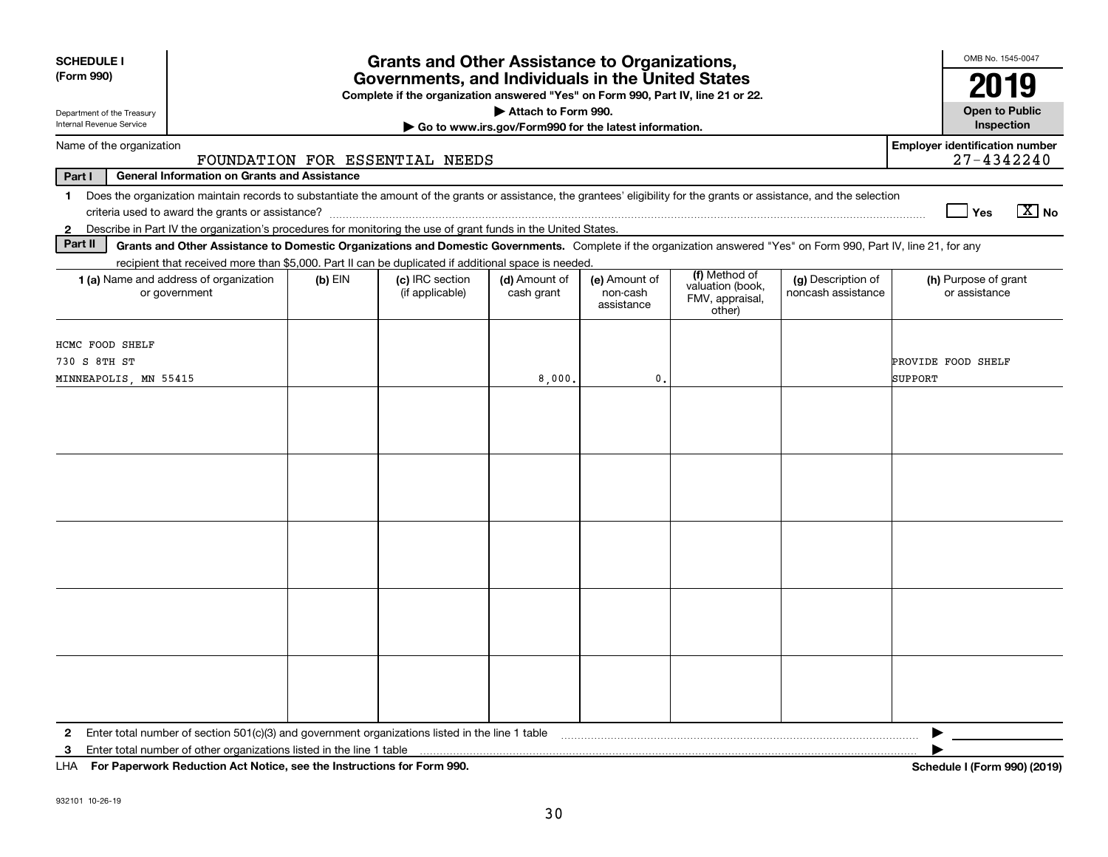| <b>SCHEDULE I</b><br>(Form 990)                                                                                                                                                                                                                                                                                          |           | <b>Grants and Other Assistance to Organizations,</b><br>Governments, and Individuals in the United States<br>Complete if the organization answered "Yes" on Form 990, Part IV, line 21 or 22. |                                                       |                                         |                                                                |                                          | OMB No. 1545-0047<br>2019                                         |
|--------------------------------------------------------------------------------------------------------------------------------------------------------------------------------------------------------------------------------------------------------------------------------------------------------------------------|-----------|-----------------------------------------------------------------------------------------------------------------------------------------------------------------------------------------------|-------------------------------------------------------|-----------------------------------------|----------------------------------------------------------------|------------------------------------------|-------------------------------------------------------------------|
| Department of the Treasury                                                                                                                                                                                                                                                                                               |           |                                                                                                                                                                                               | Attach to Form 990.                                   |                                         |                                                                |                                          | <b>Open to Public</b>                                             |
| Internal Revenue Service                                                                                                                                                                                                                                                                                                 |           |                                                                                                                                                                                               | Go to www.irs.gov/Form990 for the latest information. |                                         |                                                                |                                          | Inspection                                                        |
| Name of the organization                                                                                                                                                                                                                                                                                                 |           | FOUNDATION FOR ESSENTIAL NEEDS                                                                                                                                                                |                                                       |                                         |                                                                |                                          | <b>Employer identification number</b><br>27-4342240               |
| Part I<br><b>General Information on Grants and Assistance</b>                                                                                                                                                                                                                                                            |           |                                                                                                                                                                                               |                                                       |                                         |                                                                |                                          |                                                                   |
| Does the organization maintain records to substantiate the amount of the grants or assistance, the grantees' eligibility for the grants or assistance, and the selection<br>$\mathbf 1$<br>Describe in Part IV the organization's procedures for monitoring the use of grant funds in the United States.<br>$\mathbf{2}$ |           |                                                                                                                                                                                               |                                                       |                                         |                                                                |                                          | $\boxed{\text{X}}$ No<br>∣ Yes                                    |
| Part II                                                                                                                                                                                                                                                                                                                  |           | Grants and Other Assistance to Domestic Organizations and Domestic Governments. Complete if the organization answered "Yes" on Form 990, Part IV, line 21, for any                            |                                                       |                                         |                                                                |                                          |                                                                   |
| 1 (a) Name and address of organization<br>or government                                                                                                                                                                                                                                                                  | $(b)$ EIN | recipient that received more than \$5,000. Part II can be duplicated if additional space is needed.<br>(c) IRC section<br>(if applicable)                                                     | (d) Amount of<br>cash grant                           | (e) Amount of<br>non-cash<br>assistance | (f) Method of<br>valuation (book,<br>FMV, appraisal,<br>other) | (g) Description of<br>noncash assistance | (h) Purpose of grant<br>or assistance                             |
| HCMC FOOD SHELF<br>730 S 8TH ST<br>MINNEAPOLIS, MN 55415                                                                                                                                                                                                                                                                 |           |                                                                                                                                                                                               | 8,000.                                                | 0.                                      |                                                                |                                          | PROVIDE FOOD SHELF<br>SUPPORT                                     |
|                                                                                                                                                                                                                                                                                                                          |           |                                                                                                                                                                                               |                                                       |                                         |                                                                |                                          |                                                                   |
|                                                                                                                                                                                                                                                                                                                          |           |                                                                                                                                                                                               |                                                       |                                         |                                                                |                                          |                                                                   |
|                                                                                                                                                                                                                                                                                                                          |           |                                                                                                                                                                                               |                                                       |                                         |                                                                |                                          |                                                                   |
|                                                                                                                                                                                                                                                                                                                          |           |                                                                                                                                                                                               |                                                       |                                         |                                                                |                                          |                                                                   |
|                                                                                                                                                                                                                                                                                                                          |           |                                                                                                                                                                                               |                                                       |                                         |                                                                |                                          |                                                                   |
| Enter total number of other organizations listed in the line 1 table<br>3.                                                                                                                                                                                                                                               |           |                                                                                                                                                                                               |                                                       |                                         |                                                                |                                          | ▶<br>$d_{\text{obs}} + (E_{\text{obs}} - 0.00)$ (0040)<br>$0 - h$ |

**For Paperwork Reduction Act Notice, see the Instructions for Form 990. Schedule I (Form 990) (2019)** LHA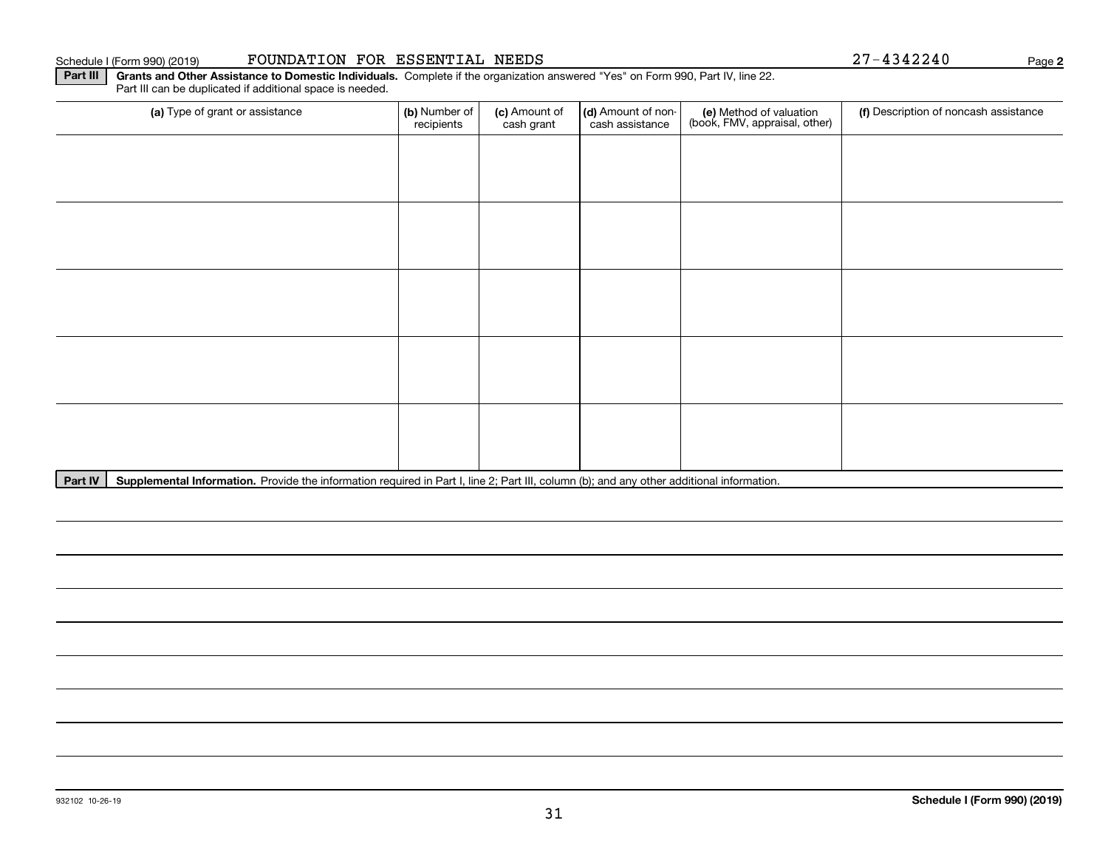#### 932102 10-26-19

# Schedule I (Form 990) (2019) Page FOUNDATION FOR ESSENTIAL NEEDS 27-4342240

**Part III** | Grants and Other Assistance to Domestic Individuals. Complete if the organization answered "Yes" on Form 990, Part IV, line 22. Part III can be duplicated if additional space is needed.

| (a) Type of grant or assistance | (b) Number of<br>recipients | (c) Amount of<br>cash grant | (d) Amount of non-<br>cash assistance | (e) Method of valuation<br>(book, FMV, appraisal, other) | (f) Description of noncash assistance |
|---------------------------------|-----------------------------|-----------------------------|---------------------------------------|----------------------------------------------------------|---------------------------------------|
|                                 |                             |                             |                                       |                                                          |                                       |
|                                 |                             |                             |                                       |                                                          |                                       |
|                                 |                             |                             |                                       |                                                          |                                       |
|                                 |                             |                             |                                       |                                                          |                                       |
|                                 |                             |                             |                                       |                                                          |                                       |
|                                 |                             |                             |                                       |                                                          |                                       |
|                                 |                             |                             |                                       |                                                          |                                       |
|                                 |                             |                             |                                       |                                                          |                                       |
|                                 |                             |                             |                                       |                                                          |                                       |
|                                 |                             |                             |                                       |                                                          |                                       |

Part IV | Supplemental Information. Provide the information required in Part I, line 2; Part III, column (b); and any other additional information.

**2**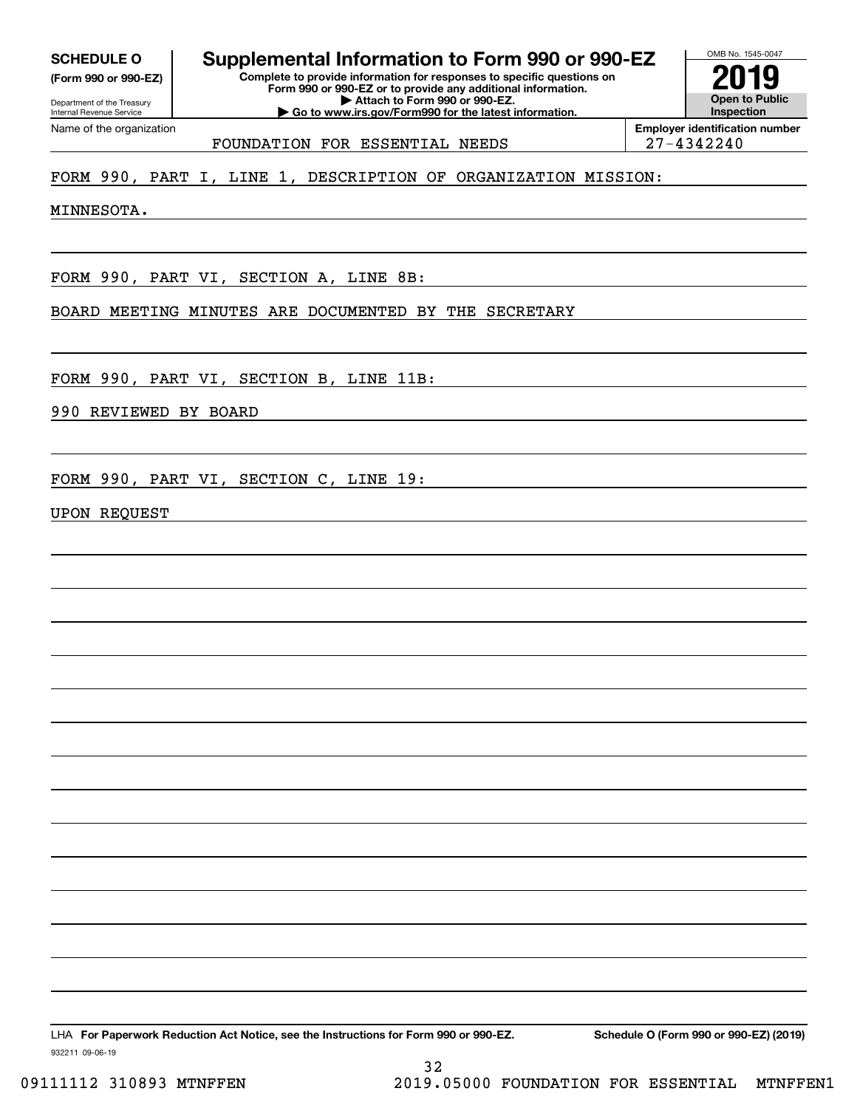**(Form 990 or 990-EZ)**

Department of the Treasury Internal Revenue Service Name of the organization

# **SCHEDULE O Supplemental Information to Form 990 or 990-EZ**

**Complete to provide information for responses to specific questions on Form 990 or 990-EZ or to provide any additional information. | Attach to Form 990 or 990-EZ. | Go to www.irs.gov/Form990 for the latest information.**



FOUNDATION FOR ESSENTIAL NEEDS 27-4342240

# FORM 990, PART I, LINE 1, DESCRIPTION OF ORGANIZATION MISSION:

MINNESOTA.

FORM 990, PART VI, SECTION A, LINE 8B:

### BOARD MEETING MINUTES ARE DOCUMENTED BY THE SECRETARY

FORM 990, PART VI, SECTION B, LINE 11B:

990 REVIEWED BY BOARD

FORM 990, PART VI, SECTION C, LINE 19:

UPON REQUEST

LHA For Paperwork Reduction Act Notice, see the Instructions for Form 990 or 990-EZ. Schedule O (Form 990 or 990-EZ) (2019)

932211 09-06-19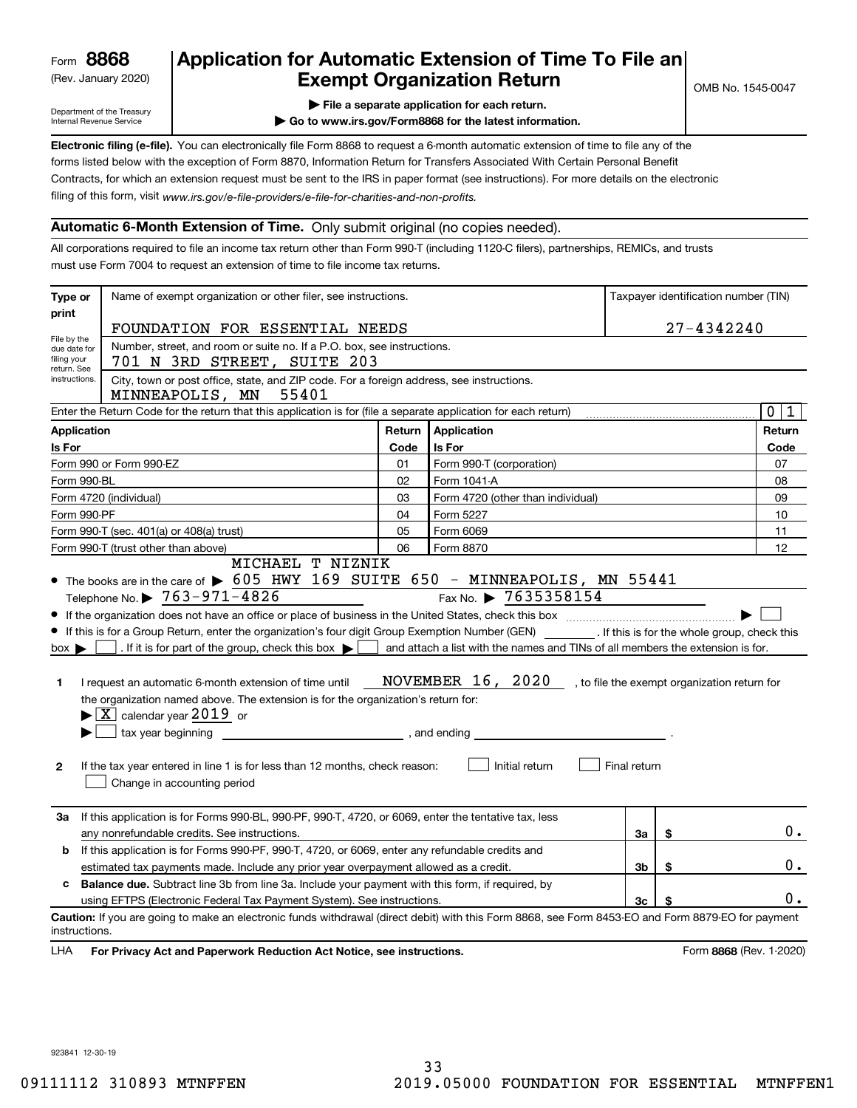(Rev. January 2020)

# **Application for Automatic Extension of Time To File an Exempt Organization Return**

Department of the Treasury Internal Revenue Service

- **| File a separate application for each return.**
- **| Go to www.irs.gov/Form8868 for the latest information.**

**Electronic filing (e-file).**  You can electronically file Form 8868 to request a 6-month automatic extension of time to file any of the filing of this form, visit www.irs.gov/e-file-providers/e-file-for-charities-and-non-profits. forms listed below with the exception of Form 8870, Information Return for Transfers Associated With Certain Personal Benefit Contracts, for which an extension request must be sent to the IRS in paper format (see instructions). For more details on the electronic

### **Automatic 6-Month Extension of Time.** Only submit original (no copies needed).

All corporations required to file an income tax return other than Form 990-T (including 1120-C filers), partnerships, REMICs, and trusts must use Form 7004 to request an extension of time to file income tax returns.

| Type or                                                                                                                                             | Name of exempt organization or other filer, see instructions.                                                                                                                                                                                                                                                                                                                                                                                                                                                                                                                                                                                                                                                                                                                                                                                           |        |                                                                                                                                                                                           |              |    | Taxpayer identification number (TIN) |
|-----------------------------------------------------------------------------------------------------------------------------------------------------|---------------------------------------------------------------------------------------------------------------------------------------------------------------------------------------------------------------------------------------------------------------------------------------------------------------------------------------------------------------------------------------------------------------------------------------------------------------------------------------------------------------------------------------------------------------------------------------------------------------------------------------------------------------------------------------------------------------------------------------------------------------------------------------------------------------------------------------------------------|--------|-------------------------------------------------------------------------------------------------------------------------------------------------------------------------------------------|--------------|----|--------------------------------------|
| print                                                                                                                                               | FOUNDATION FOR ESSENTIAL NEEDS                                                                                                                                                                                                                                                                                                                                                                                                                                                                                                                                                                                                                                                                                                                                                                                                                          |        |                                                                                                                                                                                           |              |    | 27-4342240                           |
| File by the<br>Number, street, and room or suite no. If a P.O. box, see instructions.<br>due date for<br>filing your<br>701 N 3RD STREET, SUITE 203 |                                                                                                                                                                                                                                                                                                                                                                                                                                                                                                                                                                                                                                                                                                                                                                                                                                                         |        |                                                                                                                                                                                           |              |    |                                      |
| return. See<br>instructions.                                                                                                                        | City, town or post office, state, and ZIP code. For a foreign address, see instructions.                                                                                                                                                                                                                                                                                                                                                                                                                                                                                                                                                                                                                                                                                                                                                                |        |                                                                                                                                                                                           |              |    |                                      |
|                                                                                                                                                     | MINNEAPOLIS, MN 55401                                                                                                                                                                                                                                                                                                                                                                                                                                                                                                                                                                                                                                                                                                                                                                                                                                   |        |                                                                                                                                                                                           |              |    |                                      |
|                                                                                                                                                     | Enter the Return Code for the return that this application is for (file a separate application for each return)                                                                                                                                                                                                                                                                                                                                                                                                                                                                                                                                                                                                                                                                                                                                         |        |                                                                                                                                                                                           |              |    | $\mathbf 0$<br>$\mathbf{1}$          |
| Application                                                                                                                                         |                                                                                                                                                                                                                                                                                                                                                                                                                                                                                                                                                                                                                                                                                                                                                                                                                                                         | Return | Application                                                                                                                                                                               |              |    | Return                               |
| Is For                                                                                                                                              |                                                                                                                                                                                                                                                                                                                                                                                                                                                                                                                                                                                                                                                                                                                                                                                                                                                         | Code   | Is For                                                                                                                                                                                    |              |    | Code                                 |
|                                                                                                                                                     | Form 990 or Form 990-EZ                                                                                                                                                                                                                                                                                                                                                                                                                                                                                                                                                                                                                                                                                                                                                                                                                                 | 01     | Form 990-T (corporation)                                                                                                                                                                  |              |    | 07                                   |
| Form 990-BL                                                                                                                                         |                                                                                                                                                                                                                                                                                                                                                                                                                                                                                                                                                                                                                                                                                                                                                                                                                                                         | 02     | Form 1041-A                                                                                                                                                                               |              |    | 08                                   |
|                                                                                                                                                     | Form 4720 (individual)                                                                                                                                                                                                                                                                                                                                                                                                                                                                                                                                                                                                                                                                                                                                                                                                                                  | 03     | Form 4720 (other than individual)                                                                                                                                                         |              |    | 09                                   |
| Form 990-PF                                                                                                                                         |                                                                                                                                                                                                                                                                                                                                                                                                                                                                                                                                                                                                                                                                                                                                                                                                                                                         | 04     | Form 5227                                                                                                                                                                                 |              |    | 10                                   |
|                                                                                                                                                     | Form 990-T (sec. 401(a) or 408(a) trust)                                                                                                                                                                                                                                                                                                                                                                                                                                                                                                                                                                                                                                                                                                                                                                                                                | 05     | Form 6069                                                                                                                                                                                 |              |    | 11                                   |
|                                                                                                                                                     | Form 990-T (trust other than above)                                                                                                                                                                                                                                                                                                                                                                                                                                                                                                                                                                                                                                                                                                                                                                                                                     | 06     | Form 8870                                                                                                                                                                                 |              |    | 12                                   |
| $box \blacktriangleright$<br>1<br>$\mathbf{2}$                                                                                                      | Telephone No. $\triangleright$ 763-971-4826<br>• If this is for a Group Return, enter the organization's four digit Group Exemption Number (GEN) _________. If this is for the whole group, check this<br>. If it is for part of the group, check this box $\blacktriangleright$<br>I request an automatic 6-month extension of time until<br>the organization named above. The extension is for the organization's return for:<br>$\blacktriangleright$ $\boxed{\text{X}}$ calendar year 2019 or<br>tax year beginning <u>equal to the control of the control of the control of the control of the control of the control of the control of the control of the control of the control of the control of the control of the control o</u><br>If the tax year entered in line 1 is for less than 12 months, check reason:<br>Change in accounting period |        | Fax No. > 7635358154<br>and attach a list with the names and TINs of all members the extension is for.<br>NOVEMBER 16, 2020, to file the exempt organization return for<br>Initial return | Final return |    |                                      |
| За                                                                                                                                                  | If this application is for Forms 990-BL, 990-PF, 990-T, 4720, or 6069, enter the tentative tax, less<br>any nonrefundable credits. See instructions.                                                                                                                                                                                                                                                                                                                                                                                                                                                                                                                                                                                                                                                                                                    |        |                                                                                                                                                                                           | За           | \$ | $0$ .                                |
| b                                                                                                                                                   | If this application is for Forms 990-PF, 990-T, 4720, or 6069, enter any refundable credits and                                                                                                                                                                                                                                                                                                                                                                                                                                                                                                                                                                                                                                                                                                                                                         |        |                                                                                                                                                                                           |              |    |                                      |
|                                                                                                                                                     | estimated tax payments made. Include any prior year overpayment allowed as a credit.                                                                                                                                                                                                                                                                                                                                                                                                                                                                                                                                                                                                                                                                                                                                                                    |        |                                                                                                                                                                                           | 3b           | \$ | 0.                                   |
| c                                                                                                                                                   | <b>Balance due.</b> Subtract line 3b from line 3a. Include your payment with this form, if required, by                                                                                                                                                                                                                                                                                                                                                                                                                                                                                                                                                                                                                                                                                                                                                 |        |                                                                                                                                                                                           |              |    |                                      |
|                                                                                                                                                     | using EFTPS (Electronic Federal Tax Payment System). See instructions.                                                                                                                                                                                                                                                                                                                                                                                                                                                                                                                                                                                                                                                                                                                                                                                  |        |                                                                                                                                                                                           | 3c           | \$ | 0.                                   |
| instructions.<br>LHA                                                                                                                                | Caution: If you are going to make an electronic funds withdrawal (direct debit) with this Form 8868, see Form 8453-EO and Form 8879-EO for payment<br>For Privacy Act and Paperwork Reduction Act Notice, see instructions.                                                                                                                                                                                                                                                                                                                                                                                                                                                                                                                                                                                                                             |        |                                                                                                                                                                                           |              |    | Form 8868 (Rev. 1-2020)              |

923841 12-30-19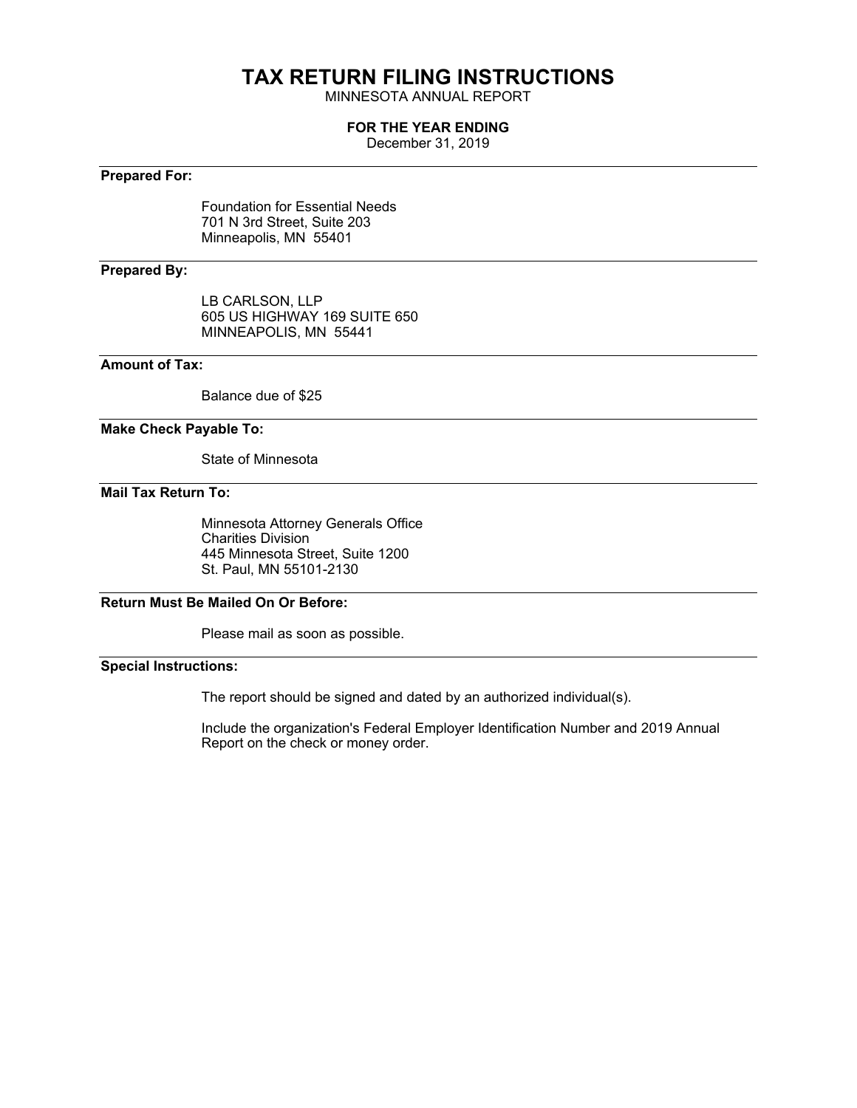# **TAX RETURN FILING INSTRUCTIONS**

MINNESOTA ANNUAL REPORT

### **FOR THE YEAR ENDING**

December 31, 2019

# **Prepared For:**

Foundation for Essential Needs 701 N 3rd Street, Suite 203 Minneapolis, MN 55401

# **Prepared By:**

LB CARLSON, LLP 605 US HIGHWAY 169 SUITE 650 MINNEAPOLIS, MN 55441

# **Amount of Tax:**

Balance due of \$25

### **Make Check Payable To:**

State of Minnesota

### **Mail Tax Return To:**

Minnesota Attorney Generals Office Charities Division 445 Minnesota Street, Suite 1200 St. Paul, MN 55101-2130

# **Return Must Be Mailed On Or Before:**

Please mail as soon as possible.

# **Special Instructions:**

The report should be signed and dated by an authorized individual(s).

Include the organization's Federal Employer Identification Number and 2019 Annual Report on the check or money order.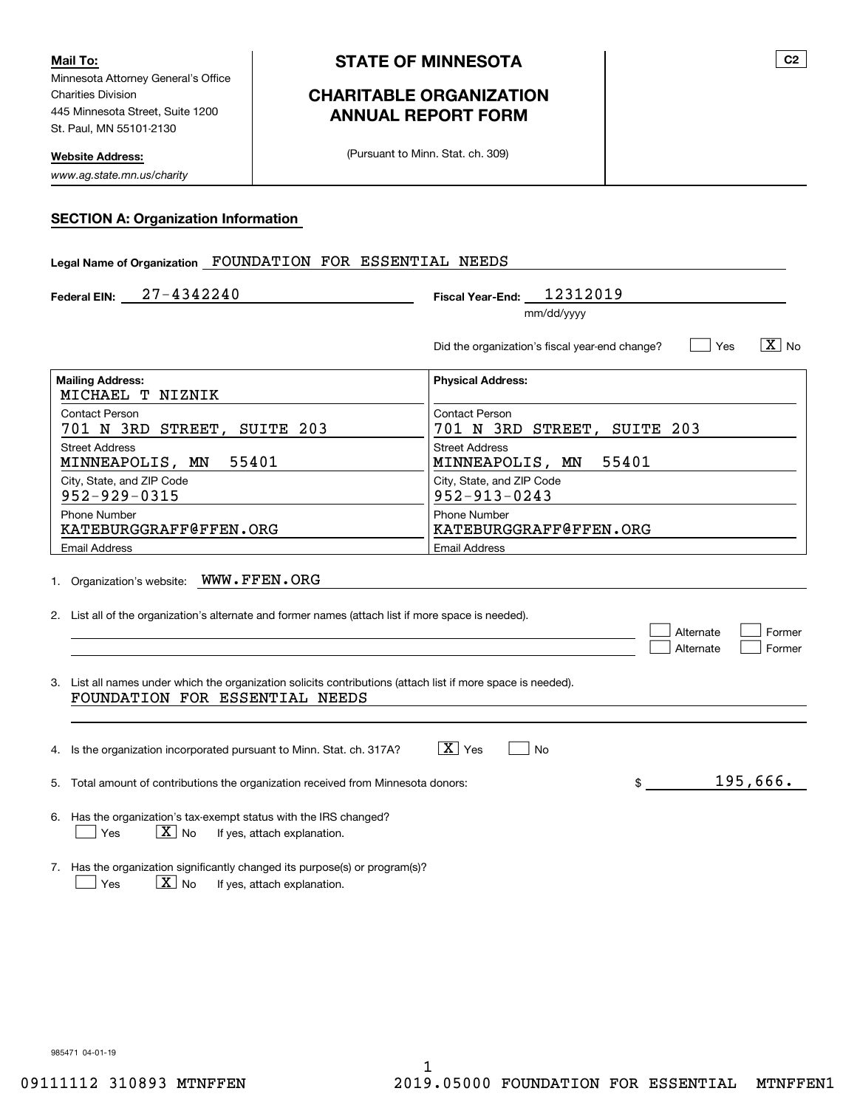Minnesota Attorney General's Office Charities Division 445 Minnesota Street, Suite 1200 St. Paul, MN 55101-2130 **Mail To:**

**Website Address:**

*www.ag.state.mn.us/charity*

# **CHARITABLE ORGANIZATION ANNUAL REPORT FORM**

(Pursuant to Minn. Stat. ch. 309)

### **SECTION A: Organization Information**

## **Legal Name of Organization** FOUNDATION FOR ESSENTIAL NEEDS

**Federal EIN:** 27-4342240

mm/dd/yyyy Fiscal Year-End: 12312019

| Did the organization's fiscal year-end change? | Yes | $\boxed{\text{X}}$ No |
|------------------------------------------------|-----|-----------------------|
|                                                |     |                       |

| <b>Mailing Address:</b><br>MICHAEL T NIZNIK | <b>Physical Address:</b>    |
|---------------------------------------------|-----------------------------|
| Contact Person                              | <b>Contact Person</b>       |
| 701 N 3RD STREET, SUITE 203                 | 701 N 3RD STREET, SUITE 203 |
| <b>Street Address</b>                       | <b>Street Address</b>       |
| 55401                                       | 55401                       |
| MINNEAPOLIS, MN                             | MINNEAPOLIS, MN             |
| City, State, and ZIP Code                   | City, State, and ZIP Code   |
| $952 - 929 - 0315$                          | $952 - 913 - 0243$          |
| <b>Phone Number</b>                         | <b>Phone Number</b>         |
| KATEBURGGRAFF@FFEN.ORG                      | KATEBURGGRAFF@FFEN.ORG      |
| <b>Email Address</b>                        | <b>Email Address</b>        |

1. Organization's website: WWW . FFEN . ORG

| 2. List all of the organization's alternate and former names (attach list if more space is needed). |  |
|-----------------------------------------------------------------------------------------------------|--|
|                                                                                                     |  |

|                                                                                                                                                | Former<br>Alternate<br>Alternate<br>Former |
|------------------------------------------------------------------------------------------------------------------------------------------------|--------------------------------------------|
| 3. List all names under which the organization solicits contributions (attach list if more space is needed).<br>FOUNDATION FOR ESSENTIAL NEEDS |                                            |
| $X \mid$<br>Yes<br><b>No</b><br>4. Is the organization incorporated pursuant to Minn. Stat. ch. 317A?                                          |                                            |
| \$<br>5. Total amount of contributions the organization received from Minnesota donors:                                                        | 195,666.                                   |
| 6. Has the organization's tax-exempt status with the IRS changed?<br>$X _{\text{No}}$<br>Yes<br>If yes, attach explanation.                    |                                            |
| 7. Has the organization significantly changed its purpose(s) or program(s)?<br>$\overline{X}$ No<br>If yes, attach explanation.<br>Yes         |                                            |

985471 04-01-19

**C2**

 $X_{\text{No}}$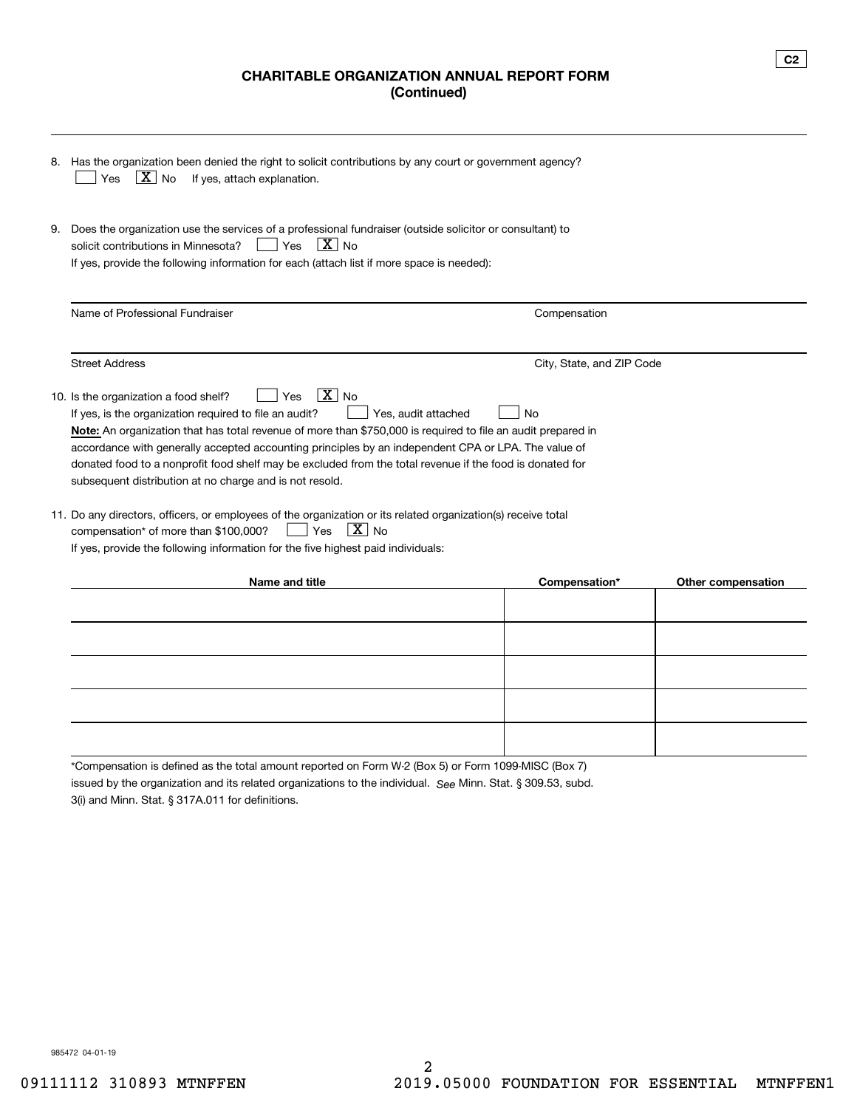# **CHARITABLE ORGANIZATION ANNUAL REPORT FORM (Continued)**

|    | 8. Has the organization been denied the right to solicit contributions by any court or government agency?<br>$ X $ No<br><b>Yes</b><br>If yes, attach explanation.                                                                                                                                                                                                                                                                                                                                                                               |                           |                    |
|----|--------------------------------------------------------------------------------------------------------------------------------------------------------------------------------------------------------------------------------------------------------------------------------------------------------------------------------------------------------------------------------------------------------------------------------------------------------------------------------------------------------------------------------------------------|---------------------------|--------------------|
| 9. | Does the organization use the services of a professional fundraiser (outside solicitor or consultant) to<br>$ X _{\text{No}}$<br>solicit contributions in Minnesota?<br>Yes<br>If yes, provide the following information for each (attach list if more space is needed):                                                                                                                                                                                                                                                                         |                           |                    |
|    | Name of Professional Fundraiser                                                                                                                                                                                                                                                                                                                                                                                                                                                                                                                  | Compensation              |                    |
|    | <b>Street Address</b>                                                                                                                                                                                                                                                                                                                                                                                                                                                                                                                            | City, State, and ZIP Code |                    |
|    | $\overline{X}$ No<br>10. Is the organization a food shelf?<br>Yes<br>Yes, audit attached<br>If yes, is the organization required to file an audit?<br>Note: An organization that has total revenue of more than \$750,000 is required to file an audit prepared in<br>accordance with generally accepted accounting principles by an independent CPA or LPA. The value of<br>donated food to a nonprofit food shelf may be excluded from the total revenue if the food is donated for<br>subsequent distribution at no charge and is not resold. | No                        |                    |
|    | 11. Do any directors, officers, or employees of the organization or its related organization(s) receive total<br>$ X _{\text{No}}$<br>compensation* of more than \$100,000?<br>Yes<br>If yes, provide the following information for the five highest paid individuals:                                                                                                                                                                                                                                                                           |                           |                    |
|    | Name and title                                                                                                                                                                                                                                                                                                                                                                                                                                                                                                                                   | Compensation*             | Other compensation |
|    |                                                                                                                                                                                                                                                                                                                                                                                                                                                                                                                                                  |                           |                    |
|    |                                                                                                                                                                                                                                                                                                                                                                                                                                                                                                                                                  |                           |                    |

\*Compensation is defined as the total amount reported on Form W-2 (Box 5) or Form 1099-MISC (Box 7)

issued by the organization and its related organizations to the individual. S<sub>ee</sub> Minn. Stat. § 309.53, subd.

3(i) and Minn. Stat. § 317A.011 for definitions.

985472 04-01-19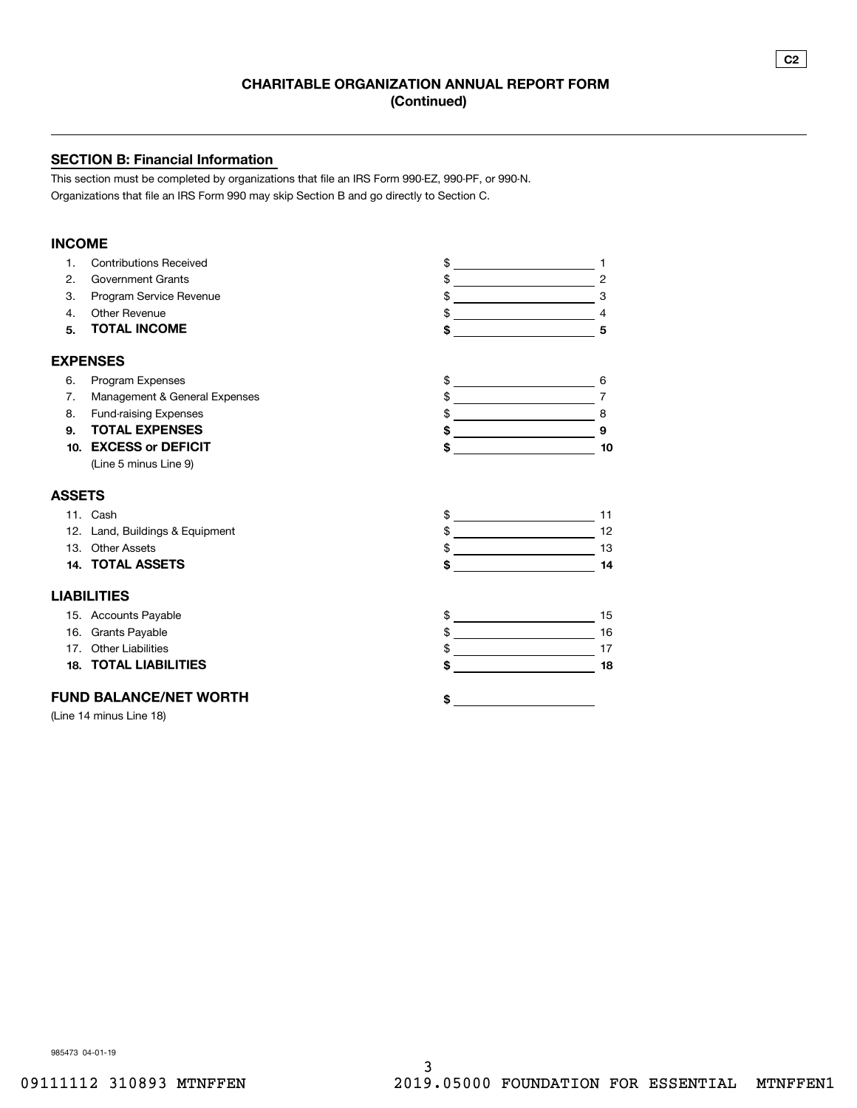### **SECTION B: Financial Information**

This section must be completed by organizations that file an IRS Form 990-EZ, 990-PF, or 990-N. Organizations that file an IRS Form 990 may skip Section B and go directly to Section C.

### **INCOME**

| $\mathbf{1}$ . | <b>Contributions Received</b>   | \$                                                        |                                                                                             |
|----------------|---------------------------------|-----------------------------------------------------------|---------------------------------------------------------------------------------------------|
| 2.             | <b>Government Grants</b>        | \$                                                        | $\overline{c}$                                                                              |
| 3.             | Program Service Revenue         | \$                                                        | 3<br><u> 1989 - Johann Barn, fransk politik (</u>                                           |
| 4.             | Other Revenue                   |                                                           |                                                                                             |
| 5.             | <b>TOTAL INCOME</b>             | \$                                                        | 5                                                                                           |
|                | <b>EXPENSES</b>                 |                                                           |                                                                                             |
| 6.             | Program Expenses                |                                                           | 6                                                                                           |
| 7 <sub>1</sub> | Management & General Expenses   | \$<br><u> 1989 - Andrea Station Barbara, amerikan per</u> | $\overline{7}$                                                                              |
| 8.             | <b>Fund-raising Expenses</b>    | \$                                                        | $\begin{array}{c c} \hline \begin{array}{ccc} \hline \end{array} & 8 \\ \hline \end{array}$ |
| 9.             | <b>TOTAL EXPENSES</b>           |                                                           | 9                                                                                           |
| 10.            | <b>EXCESS or DEFICIT</b>        | \$                                                        | 10<br><u> 1990 - Jan Barbara III, martx</u>                                                 |
|                | (Line 5 minus Line 9)           |                                                           |                                                                                             |
| <b>ASSETS</b>  |                                 |                                                           |                                                                                             |
|                | 11. Cash                        | $\mathsf{\$}$                                             | 11                                                                                          |
|                | 12. Land, Buildings & Equipment |                                                           | 12                                                                                          |
|                | 13. Other Assets                |                                                           | 13                                                                                          |
|                | 14. TOTAL ASSETS                | \$                                                        | 14                                                                                          |
|                | <b>LIABILITIES</b>              |                                                           |                                                                                             |
|                | 15. Accounts Payable            | <u> 1980 - Johann Barbara, martxa a</u>                   | 15                                                                                          |
|                | 16. Grants Payable              | $\frac{1}{2}$                                             | 16                                                                                          |
|                | 17. Other Liabilities           |                                                           | 17                                                                                          |
|                | <b>18. TOTAL LIABILITIES</b>    | \$                                                        | 18<br><u> 1980 - Jan Salaman Salaman (</u>                                                  |
|                | <b>FUND BALANCE/NET WORTH</b>   | \$                                                        |                                                                                             |
|                | (Line 14 minus Line 18)         |                                                           |                                                                                             |

985473 04-01-19

**C2**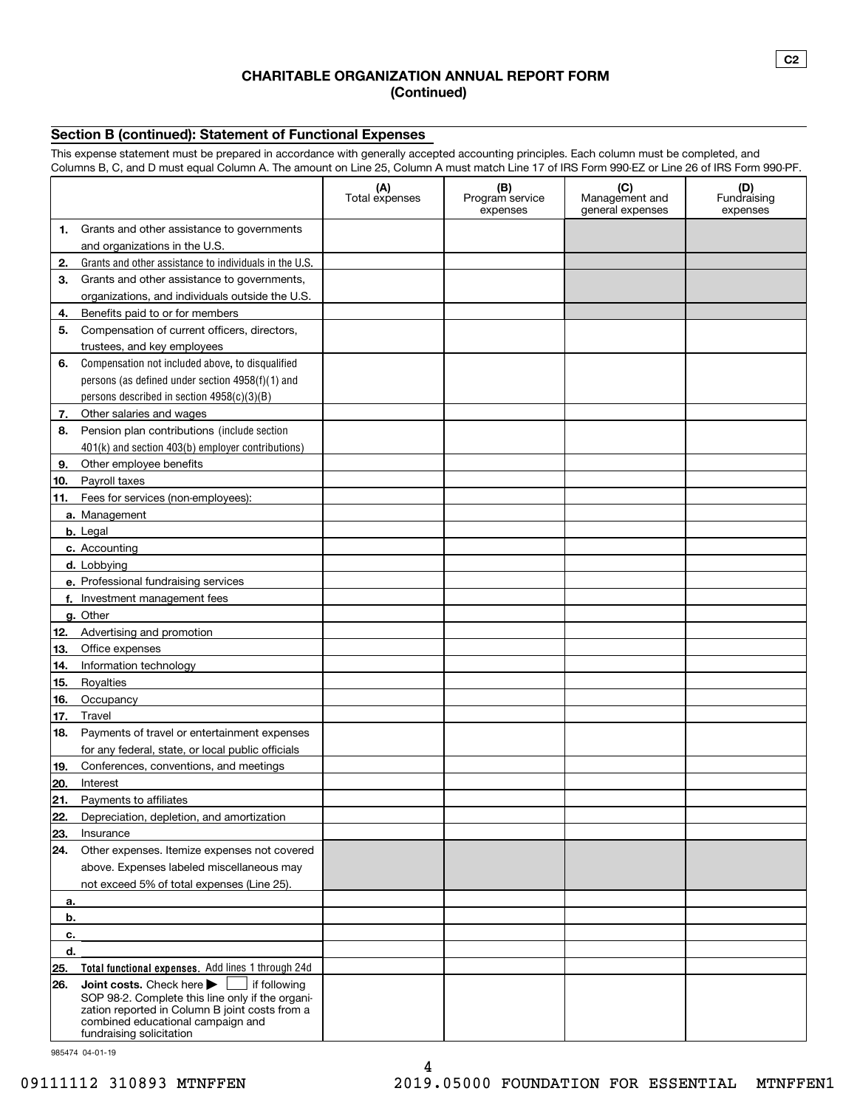# **CHARITABLE ORGANIZATION ANNUAL REPORT FORM (Continued)**

## **Section B (continued): Statement of Functional Expenses**

This expense statement must be prepared in accordance with generally accepted accounting principles. Each column must be completed, and Columns B, C, and D must equal Column A. The amount on Line 25, Column A must match Line 17 of IRS Form 990-EZ or Line 26 of IRS Form 990-PF.

|     | OURINNS D, O, and D must equal OURINN A. The amount On Eine 25, OURINN A must match Eine T7 OFINST ONN 330-EZ OFEINE 20 OFINST OMN 330-TT.                                                                     | (A)<br>Total expenses | (B)<br>Program service<br>expenses | (C)<br>Management and<br>general expenses | (D)<br>Fundraising<br>expenses |
|-----|----------------------------------------------------------------------------------------------------------------------------------------------------------------------------------------------------------------|-----------------------|------------------------------------|-------------------------------------------|--------------------------------|
| 1.  | Grants and other assistance to governments                                                                                                                                                                     |                       |                                    |                                           |                                |
|     | and organizations in the U.S.                                                                                                                                                                                  |                       |                                    |                                           |                                |
| 2.  | Grants and other assistance to individuals in the U.S.                                                                                                                                                         |                       |                                    |                                           |                                |
| З.  | Grants and other assistance to governments,                                                                                                                                                                    |                       |                                    |                                           |                                |
|     | organizations, and individuals outside the U.S.                                                                                                                                                                |                       |                                    |                                           |                                |
| 4.  | Benefits paid to or for members                                                                                                                                                                                |                       |                                    |                                           |                                |
| 5.  | Compensation of current officers, directors,                                                                                                                                                                   |                       |                                    |                                           |                                |
|     | trustees, and key employees                                                                                                                                                                                    |                       |                                    |                                           |                                |
| 6.  | Compensation not included above, to disqualified                                                                                                                                                               |                       |                                    |                                           |                                |
|     | persons (as defined under section 4958(f)(1) and                                                                                                                                                               |                       |                                    |                                           |                                |
|     | persons described in section 4958(c)(3)(B)                                                                                                                                                                     |                       |                                    |                                           |                                |
| 7.  | Other salaries and wages                                                                                                                                                                                       |                       |                                    |                                           |                                |
| 8.  | Pension plan contributions (include section                                                                                                                                                                    |                       |                                    |                                           |                                |
|     | 401(k) and section 403(b) employer contributions)                                                                                                                                                              |                       |                                    |                                           |                                |
| 9.  | Other employee benefits                                                                                                                                                                                        |                       |                                    |                                           |                                |
| 10. | Payroll taxes                                                                                                                                                                                                  |                       |                                    |                                           |                                |
| 11. | Fees for services (non-employees):                                                                                                                                                                             |                       |                                    |                                           |                                |
|     | a. Management                                                                                                                                                                                                  |                       |                                    |                                           |                                |
|     | b. Legal                                                                                                                                                                                                       |                       |                                    |                                           |                                |
|     | c. Accounting                                                                                                                                                                                                  |                       |                                    |                                           |                                |
|     | d. Lobbying                                                                                                                                                                                                    |                       |                                    |                                           |                                |
|     | e. Professional fundraising services                                                                                                                                                                           |                       |                                    |                                           |                                |
|     | f. Investment management fees                                                                                                                                                                                  |                       |                                    |                                           |                                |
|     | g. Other                                                                                                                                                                                                       |                       |                                    |                                           |                                |
|     | 12. Advertising and promotion                                                                                                                                                                                  |                       |                                    |                                           |                                |
| 13. | Office expenses                                                                                                                                                                                                |                       |                                    |                                           |                                |
| 14. | Information technology                                                                                                                                                                                         |                       |                                    |                                           |                                |
| 15. | Royalties                                                                                                                                                                                                      |                       |                                    |                                           |                                |
| 16. | Occupancy                                                                                                                                                                                                      |                       |                                    |                                           |                                |
| 17. | Travel                                                                                                                                                                                                         |                       |                                    |                                           |                                |
| 18. | Payments of travel or entertainment expenses                                                                                                                                                                   |                       |                                    |                                           |                                |
|     | for any federal, state, or local public officials                                                                                                                                                              |                       |                                    |                                           |                                |
| 19. | Conferences, conventions, and meetings                                                                                                                                                                         |                       |                                    |                                           |                                |
| 20. | Interest                                                                                                                                                                                                       |                       |                                    |                                           |                                |
| 21. | Payments to affiliates                                                                                                                                                                                         |                       |                                    |                                           |                                |
| 22. | Depreciation, depletion, and amortization                                                                                                                                                                      |                       |                                    |                                           |                                |
| 23. | Insurance                                                                                                                                                                                                      |                       |                                    |                                           |                                |
| 24. | Other expenses. Itemize expenses not covered                                                                                                                                                                   |                       |                                    |                                           |                                |
|     | above. Expenses labeled miscellaneous may                                                                                                                                                                      |                       |                                    |                                           |                                |
|     | not exceed 5% of total expenses (Line 25).                                                                                                                                                                     |                       |                                    |                                           |                                |
| a.  |                                                                                                                                                                                                                |                       |                                    |                                           |                                |
| b.  |                                                                                                                                                                                                                |                       |                                    |                                           |                                |
| c.  |                                                                                                                                                                                                                |                       |                                    |                                           |                                |
| d.  |                                                                                                                                                                                                                |                       |                                    |                                           |                                |
| 25. | Total functional expenses. Add lines 1 through 24d                                                                                                                                                             |                       |                                    |                                           |                                |
| 26. | Joint costs. Check here<br>if following<br>SOP 98-2. Complete this line only if the organi-<br>zation reported in Column B joint costs from a<br>combined educational campaign and<br>fundraising solicitation |                       |                                    |                                           |                                |

985474 04-01-19